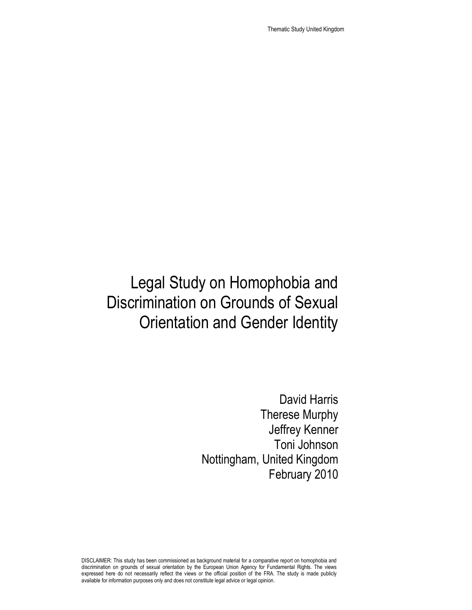Thematic Study United Kingdom

# Legal Study on Homophobia and Discrimination on Grounds of Sexual Orientation and Gender Identity

David Harris Therese Murphy Jeffrey Kenner Toni Johnson Nottingham, United Kingdom February 2010

DISCLAIMER: This study has been commissioned as background material for a comparative report on homophobia and discrimination on grounds of sexual orientation by the European Union Agency for Fundamental Rights. The views expressed here do not necessarily reflect the views or the official position of the FRA. The study is made publicly available for information purposes only and does not constitute legal advice or legal opinion.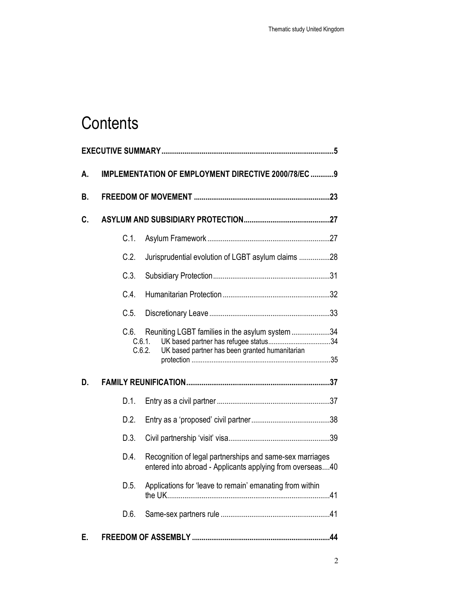# **Contents**

| А. | IMPLEMENTATION OF EMPLOYMENT DIRECTIVE 2000/78/EC  9 |                                                                                                                       |  |  |  |
|----|------------------------------------------------------|-----------------------------------------------------------------------------------------------------------------------|--|--|--|
| В. |                                                      |                                                                                                                       |  |  |  |
| C. |                                                      |                                                                                                                       |  |  |  |
|    | C.1.                                                 |                                                                                                                       |  |  |  |
|    | C.2.                                                 | Jurisprudential evolution of LGBT asylum claims 28                                                                    |  |  |  |
|    | C.3.                                                 |                                                                                                                       |  |  |  |
|    | C.4.                                                 |                                                                                                                       |  |  |  |
|    | C.5.                                                 |                                                                                                                       |  |  |  |
|    | C.6.                                                 | Reuniting LGBT families in the asylum system 34<br>C.6.1.<br>UK based partner has been granted humanitarian<br>C.6.2. |  |  |  |
| D. |                                                      |                                                                                                                       |  |  |  |
|    | D.1.                                                 |                                                                                                                       |  |  |  |
|    | D.2.                                                 |                                                                                                                       |  |  |  |
|    | D.3.                                                 |                                                                                                                       |  |  |  |
|    | D.4.                                                 | Recognition of legal partnerships and same-sex marriages<br>entered into abroad - Applicants applying from overseas40 |  |  |  |
|    | D.5.                                                 | Applications for 'leave to remain' emanating from within                                                              |  |  |  |
|    | D.6.                                                 |                                                                                                                       |  |  |  |
| Е. |                                                      |                                                                                                                       |  |  |  |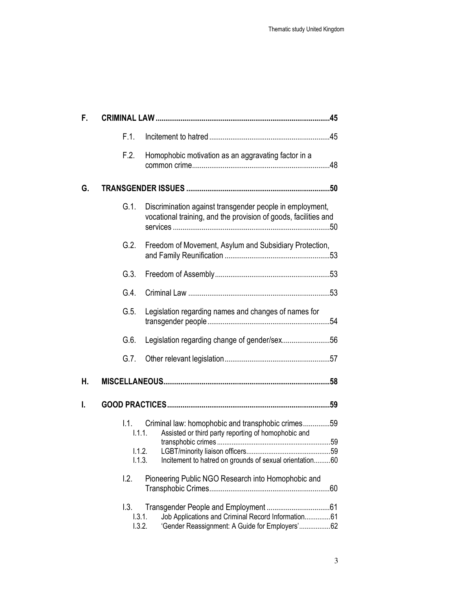| F. |                          |                                                                                                                             |  |
|----|--------------------------|-----------------------------------------------------------------------------------------------------------------------------|--|
|    | F.1.                     |                                                                                                                             |  |
|    | F.2.                     | Homophobic motivation as an aggravating factor in a                                                                         |  |
| G. |                          |                                                                                                                             |  |
|    | G.1.                     | Discrimination against transgender people in employment,<br>vocational training, and the provision of goods, facilities and |  |
|    | G.2.                     | Freedom of Movement, Asylum and Subsidiary Protection,                                                                      |  |
|    | G.3.                     |                                                                                                                             |  |
|    | G.4.                     |                                                                                                                             |  |
|    | G.5.                     | Legislation regarding names and changes of names for                                                                        |  |
|    | G.6.                     | Legislation regarding change of gender/sex56                                                                                |  |
|    | G.7.                     |                                                                                                                             |  |
| н. |                          |                                                                                                                             |  |
| I. |                          |                                                                                                                             |  |
|    | 1.1.<br>1.1.1.           | Criminal law: homophobic and transphobic crimes59<br>Assisted or third party reporting of homophobic and                    |  |
|    | 1.1.2.<br>1.1.3.         | Incitement to hatred on grounds of sexual orientation60                                                                     |  |
|    | 1.2.                     | Pioneering Public NGO Research into Homophobic and                                                                          |  |
|    | 1.3.<br>1.3.1.<br>1.3.2. | Job Applications and Criminal Record Information 61<br>'Gender Reassignment: A Guide for Employers'62                       |  |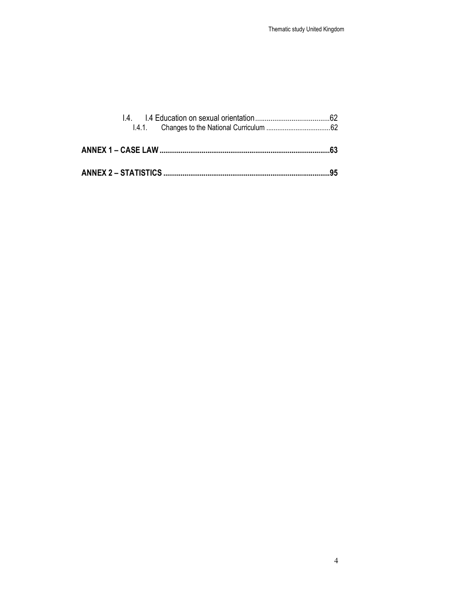| ANNEX 2 – STATISTICS ………………………………………………………………………………………95 |  |
|----------------------------------------------------------|--|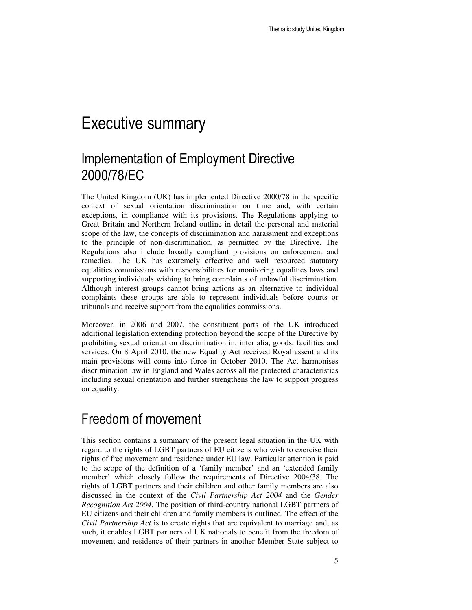# Executive summary

### Implementation of Employment Directive 2000/78/EC

The United Kingdom (UK) has implemented Directive 2000/78 in the specific context of sexual orientation discrimination on time and, with certain exceptions, in compliance with its provisions. The Regulations applying to Great Britain and Northern Ireland outline in detail the personal and material scope of the law, the concepts of discrimination and harassment and exceptions to the principle of non-discrimination, as permitted by the Directive. The Regulations also include broadly compliant provisions on enforcement and remedies. The UK has extremely effective and well resourced statutory equalities commissions with responsibilities for monitoring equalities laws and supporting individuals wishing to bring complaints of unlawful discrimination. Although interest groups cannot bring actions as an alternative to individual complaints these groups are able to represent individuals before courts or tribunals and receive support from the equalities commissions.

Moreover, in 2006 and 2007, the constituent parts of the UK introduced additional legislation extending protection beyond the scope of the Directive by prohibiting sexual orientation discrimination in, inter alia, goods, facilities and services. On 8 April 2010, the new Equality Act received Royal assent and its main provisions will come into force in October 2010. The Act harmonises discrimination law in England and Wales across all the protected characteristics including sexual orientation and further strengthens the law to support progress on equality.

### Freedom of movement

This section contains a summary of the present legal situation in the UK with regard to the rights of LGBT partners of EU citizens who wish to exercise their rights of free movement and residence under EU law. Particular attention is paid to the scope of the definition of a 'family member' and an 'extended family member' which closely follow the requirements of Directive 2004/38. The rights of LGBT partners and their children and other family members are also discussed in the context of the *Civil Partnership Act 2004* and the *Gender Recognition Act 2004*. The position of third-country national LGBT partners of EU citizens and their children and family members is outlined. The effect of the *Civil Partnership Act* is to create rights that are equivalent to marriage and, as such, it enables LGBT partners of UK nationals to benefit from the freedom of movement and residence of their partners in another Member State subject to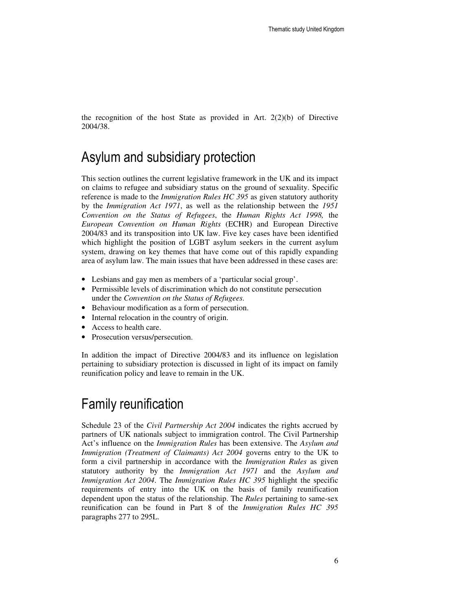the recognition of the host State as provided in Art.  $2(2)(b)$  of Directive 2004/38.

### Asylum and subsidiary protection

This section outlines the current legislative framework in the UK and its impact on claims to refugee and subsidiary status on the ground of sexuality. Specific reference is made to the *Immigration Rules HC 395* as given statutory authority by the *Immigration Act 1971*, as well as the relationship between the *1951 Convention on the Status of Refugees*, the *Human Rights Act 1998,* the *European Convention on Human Rights* (ECHR) and European Directive 2004/83 and its transposition into UK law. Five key cases have been identified which highlight the position of LGBT asylum seekers in the current asylum system, drawing on key themes that have come out of this rapidly expanding area of asylum law. The main issues that have been addressed in these cases are:

- Lesbians and gay men as members of a 'particular social group'.
- Permissible levels of discrimination which do not constitute persecution under the *Convention on the Status of Refugees*.
- Behaviour modification as a form of persecution.
- Internal relocation in the country of origin.
- Access to health care.
- Prosecution versus/persecution.

In addition the impact of Directive 2004/83 and its influence on legislation pertaining to subsidiary protection is discussed in light of its impact on family reunification policy and leave to remain in the UK.

### Family reunification

Schedule 23 of the *Civil Partnership Act 2004* indicates the rights accrued by partners of UK nationals subject to immigration control. The Civil Partnership Act's influence on the *Immigration Rules* has been extensive. The *Asylum and Immigration (Treatment of Claimants) Act 2004* governs entry to the UK to form a civil partnership in accordance with the *Immigration Rules* as given statutory authority by the *Immigration Act 1971* and the *Asylum and Immigration Act 2004*. The *Immigration Rules HC 395* highlight the specific requirements of entry into the UK on the basis of family reunification dependent upon the status of the relationship. The *Rules* pertaining to same-sex reunification can be found in Part 8 of the *Immigration Rules HC 395* paragraphs 277 to 295L.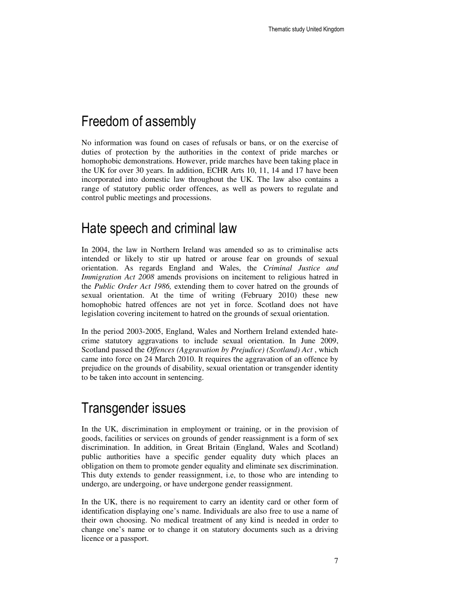### Freedom of assembly

No information was found on cases of refusals or bans, or on the exercise of duties of protection by the authorities in the context of pride marches or homophobic demonstrations. However, pride marches have been taking place in the UK for over 30 years. In addition, ECHR Arts 10, 11, 14 and 17 have been incorporated into domestic law throughout the UK. The law also contains a range of statutory public order offences, as well as powers to regulate and control public meetings and processions.

#### Hate speech and criminal law

In 2004, the law in Northern Ireland was amended so as to criminalise acts intended or likely to stir up hatred or arouse fear on grounds of sexual orientation. As regards England and Wales, the *Criminal Justice and Immigration Act 2008* amends provisions on incitement to religious hatred in the *Public Order Act 1986,* extending them to cover hatred on the grounds of sexual orientation. At the time of writing (February 2010) these new homophobic hatred offences are not yet in force. Scotland does not have legislation covering incitement to hatred on the grounds of sexual orientation.

In the period 2003-2005, England, Wales and Northern Ireland extended hatecrime statutory aggravations to include sexual orientation. In June 2009, Scotland passed the *Offences (Aggravation by Prejudice) (Scotland) Act* , which came into force on 24 March 2010. It requires the aggravation of an offence by prejudice on the grounds of disability, sexual orientation or transgender identity to be taken into account in sentencing.

### Transgender issues

In the UK, discrimination in employment or training, or in the provision of goods, facilities or services on grounds of gender reassignment is a form of sex discrimination. In addition, in Great Britain (England, Wales and Scotland) public authorities have a specific gender equality duty which places an obligation on them to promote gender equality and eliminate sex discrimination. This duty extends to gender reassignment, i.e, to those who are intending to undergo, are undergoing, or have undergone gender reassignment.

In the UK, there is no requirement to carry an identity card or other form of identification displaying one's name. Individuals are also free to use a name of their own choosing. No medical treatment of any kind is needed in order to change one's name or to change it on statutory documents such as a driving licence or a passport.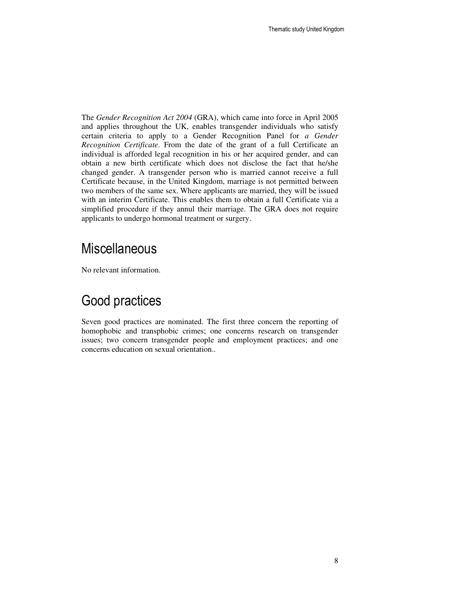The *Gender Recognition Act 2004* (GRA), which came into force in April 2005 and applies throughout the UK, enables transgender individuals who satisfy certain criteria to apply to a Gender Recognition Panel for *a Gender Recognition Certificate*. From the date of the grant of a full Certificate an individual is afforded legal recognition in his or her acquired gender, and can obtain a new birth certificate which does not disclose the fact that he/she changed gender. A transgender person who is married cannot receive a full Certificate because, in the United Kingdom, marriage is not permitted between two members of the same sex. Where applicants are married, they will be issued with an interim Certificate. This enables them to obtain a full Certificate via a simplified procedure if they annul their marriage. The GRA does not require applicants to undergo hormonal treatment or surgery.

#### **Miscellaneous**

No relevant information.

### Good practices

Seven good practices are nominated. The first three concern the reporting of homophobic and transphobic crimes; one concerns research on transgender issues; two concern transgender people and employment practices; and one concerns education on sexual orientation..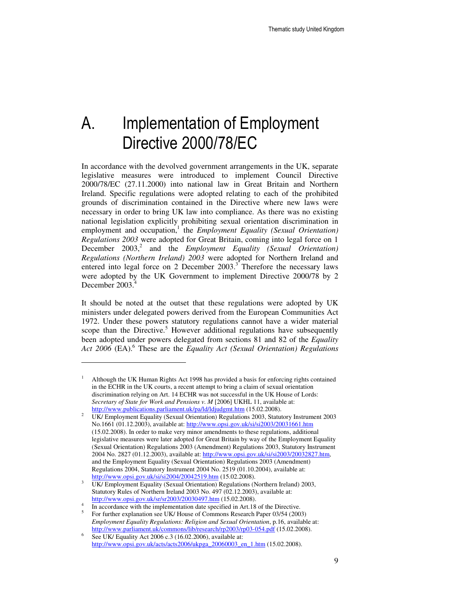# A. Implementation of Employment Directive 2000/78/EC

In accordance with the devolved government arrangements in the UK, separate legislative measures were introduced to implement Council Directive 2000/78/EC (27.11.2000) into national law in Great Britain and Northern Ireland. Specific regulations were adopted relating to each of the prohibited grounds of discrimination contained in the Directive where new laws were necessary in order to bring UK law into compliance. As there was no existing national legislation explicitly prohibiting sexual orientation discrimination in employment and occupation,<sup>1</sup> the *Employment Equality (Sexual Orientation) Regulations 2003* were adopted for Great Britain, coming into legal force on 1 December 2003,<sup>2</sup> and the *Employment Equality (Sexual Orientation) Regulations (Northern Ireland) 2003* were adopted for Northern Ireland and entered into legal force on 2 December  $2003$ .<sup>3</sup> Therefore the necessary laws were adopted by the UK Government to implement Directive 2000/78 by 2 December 2003.<sup>4</sup>

It should be noted at the outset that these regulations were adopted by UK ministers under delegated powers derived from the European Communities Act 1972. Under these powers statutory regulations cannot have a wider material scope than the Directive.<sup>5</sup> However additional regulations have subsequently been adopted under powers delegated from sections 81 and 82 of the *Equality*  Act 2006 (EA).<sup>6</sup> These are the *Equality Act (Sexual Orientation) Regulations* 

<sup>1</sup> Although the UK Human Rights Act 1998 has provided a basis for enforcing rights contained in the ECHR in the UK courts, a recent attempt to bring a claim of sexual orientation discrimination relying on Art. 14 ECHR was not successful in the UK House of Lords: *Secretary of State for Work and Pensions v. M* [2006] UKHL 11, available at: http://www.publications.parliament.uk/pa/ld/ldjudgmt.htm (15.02.2008).

<sup>2</sup> UK/ Employment Equality (Sexual Orientation) Regulations 2003, Statutory Instrument 2003 No.1661 (01.12.2003), available at: http://www.opsi.gov.uk/si/si2003/20031661.htm (15.02.2008). In order to make very minor amendments to these regulations, additional legislative measures were later adopted for Great Britain by way of the Employment Equality (Sexual Orientation) Regulations 2003 (Amendment) Regulations 2003, Statutory Instrument 2004 No. 2827 (01.12.2003), available at: http://www.opsi.gov.uk/si/si2003/20032827.htm, and the Employment Equality (Sexual Orientation) Regulations 2003 (Amendment) Regulations 2004, Statutory Instrument 2004 No. 2519 (01.10.2004), available at: http://www.opsi.gov.uk/si/si2004/20042519.htm (15.02.2008).

<sup>3</sup> UK/ Employment Equality (Sexual Orientation) Regulations (Northern Ireland) 2003, Statutory Rules of Northern Ireland 2003 No. 497 (02.12.2003), available at: http://www.opsi.gov.uk/sr/sr2003/20030497.htm (15.02.2008).

<sup>4</sup> In accordance with the implementation date specified in Art.18 of the Directive.

<sup>5</sup> For further explanation see UK/ House of Commons Research Paper 03/54 (2003) *Employment Equality Regulations: Religion and Sexual Orientation*, p.16, available at: http://www.parliament.uk/commons/lib/research/rp2003/rp03-054.pdf (15.02.2008).

<sup>6</sup> See UK/ Equality Act 2006 c.3 (16.02.2006), available at: http://www.opsi.gov.uk/acts/acts2006/ukpga\_20060003\_en\_1.htm (15.02.2008).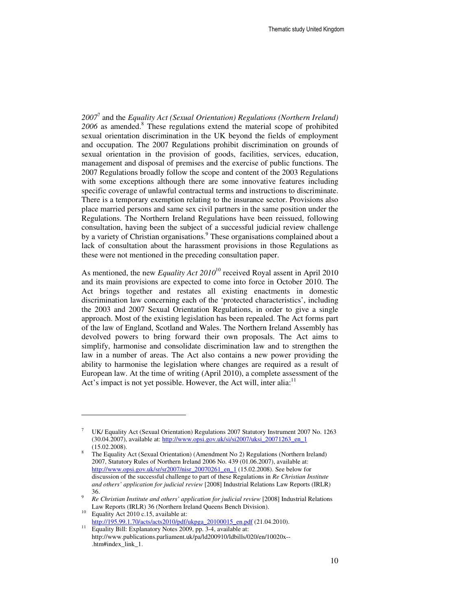*2007*<sup>7</sup> and the *Equality Act (Sexual Orientation) Regulations (Northern Ireland)*  2006 as amended.<sup>8</sup> These regulations extend the material scope of prohibited sexual orientation discrimination in the UK beyond the fields of employment and occupation. The 2007 Regulations prohibit discrimination on grounds of sexual orientation in the provision of goods, facilities, services, education, management and disposal of premises and the exercise of public functions. The 2007 Regulations broadly follow the scope and content of the 2003 Regulations with some exceptions although there are some innovative features including specific coverage of unlawful contractual terms and instructions to discriminate. There is a temporary exemption relating to the insurance sector. Provisions also place married persons and same sex civil partners in the same position under the Regulations. The Northern Ireland Regulations have been reissued, following consultation, having been the subject of a successful judicial review challenge by a variety of Christian organisations.<sup>9</sup> These organisations complained about a lack of consultation about the harassment provisions in those Regulations as these were not mentioned in the preceding consultation paper.

As mentioned, the new *Equality Act 2010*<sup>10</sup> received Royal assent in April 2010 and its main provisions are expected to come into force in October 2010. The Act brings together and restates all existing enactments in domestic discrimination law concerning each of the 'protected characteristics', including the 2003 and 2007 Sexual Orientation Regulations, in order to give a single approach. Most of the existing legislation has been repealed. The Act forms part of the law of England, Scotland and Wales. The Northern Ireland Assembly has devolved powers to bring forward their own proposals. The Act aims to simplify, harmonise and consolidate discrimination law and to strengthen the law in a number of areas. The Act also contains a new power providing the ability to harmonise the legislation where changes are required as a result of European law. At the time of writing (April 2010), a complete assessment of the Act's impact is not yet possible. However, the Act will, inter alia: $<sup>11</sup>$ </sup>

<sup>7</sup> UK/ Equality Act (Sexual Orientation) Regulations 2007 Statutory Instrument 2007 No. 1263 (30.04.2007), available at: http://www.opsi.gov.uk/si/si2007/uksi\_20071263\_en\_1 (15.02.2008).

<sup>8</sup> The Equality Act (Sexual Orientation) (Amendment No 2) Regulations (Northern Ireland) 2007, Statutory Rules of Northern Ireland 2006 No. 439 (01.06.2007), available at: http://www.opsi.gov.uk/sr/sr2007/nisr\_20070261\_en\_1 (15.02.2008). See below for discussion of the successful challenge to part of these Regulations in *Re Christian Institute and others' application for judicial review* [2008] Industrial Relations Law Reports (IRLR) 36.

<sup>9</sup> *Re Christian Institute and others' application for judicial review* [2008] Industrial Relations Law Reports (IRLR) 36 (Northern Ireland Queens Bench Division).

<sup>&</sup>lt;sup>10</sup> Equality Act 2010 c.15, available at: http://195.99.1.70/acts/acts2010/pdf/ukpga\_20100015\_en.pdf (21.04.2010).

<sup>&</sup>lt;sup>11</sup> Equality Bill: Explanatory Notes 2009, pp. 3-4, available at: http://www.publications.parliament.uk/pa/ld200910/ldbills/020/en/10020x-- .htm#index\_link\_1.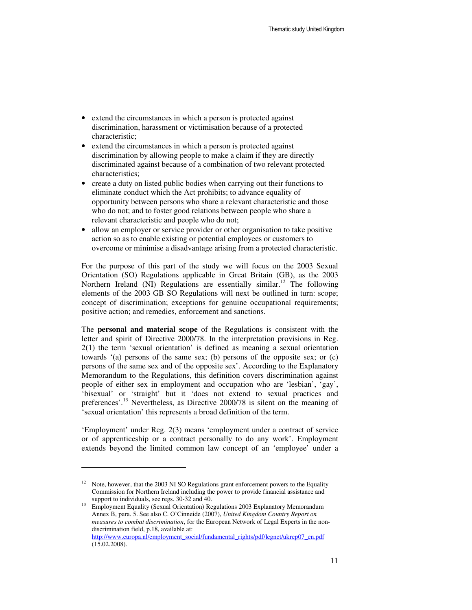- extend the circumstances in which a person is protected against discrimination, harassment or victimisation because of a protected characteristic;
- extend the circumstances in which a person is protected against discrimination by allowing people to make a claim if they are directly discriminated against because of a combination of two relevant protected characteristics;
- create a duty on listed public bodies when carrying out their functions to eliminate conduct which the Act prohibits; to advance equality of opportunity between persons who share a relevant characteristic and those who do not; and to foster good relations between people who share a relevant characteristic and people who do not;
- allow an employer or service provider or other organisation to take positive action so as to enable existing or potential employees or customers to overcome or minimise a disadvantage arising from a protected characteristic.

For the purpose of this part of the study we will focus on the 2003 Sexual Orientation (SO) Regulations applicable in Great Britain (GB), as the 2003 Northern Ireland (NI) Regulations are essentially similar.<sup>12</sup> The following elements of the 2003 GB SO Regulations will next be outlined in turn: scope; concept of discrimination; exceptions for genuine occupational requirements; positive action; and remedies, enforcement and sanctions.

The **personal and material scope** of the Regulations is consistent with the letter and spirit of Directive 2000/78. In the interpretation provisions in Reg. 2(1) the term 'sexual orientation' is defined as meaning a sexual orientation towards '(a) persons of the same sex; (b) persons of the opposite sex; or (c) persons of the same sex and of the opposite sex'. According to the Explanatory Memorandum to the Regulations, this definition covers discrimination against people of either sex in employment and occupation who are 'lesbian', 'gay', 'bisexual' or 'straight' but it 'does not extend to sexual practices and preferences'.<sup>13</sup> Nevertheless, as Directive 2000/78 is silent on the meaning of 'sexual orientation' this represents a broad definition of the term.

'Employment' under Reg. 2(3) means 'employment under a contract of service or of apprenticeship or a contract personally to do any work'. Employment extends beyond the limited common law concept of an 'employee' under a

<sup>&</sup>lt;sup>12</sup> Note, however, that the 2003 NI SO Regulations grant enforcement powers to the Equality Commission for Northern Ireland including the power to provide financial assistance and support to individuals, see regs. 30-32 and 40.

<sup>&</sup>lt;sup>13</sup> Employment Equality (Sexual Orientation) Regulations 2003 Explanatory Memorandum Annex B, para. 5. See also C. O'Cinneide (2007), *United Kingdom Country Report on measures to combat discrimination*, for the European Network of Legal Experts in the nondiscrimination field, p.18, available at:

http://www.europa.nl/employment\_social/fundamental\_rights/pdf/legnet/ukrep07\_en.pdf (15.02.2008).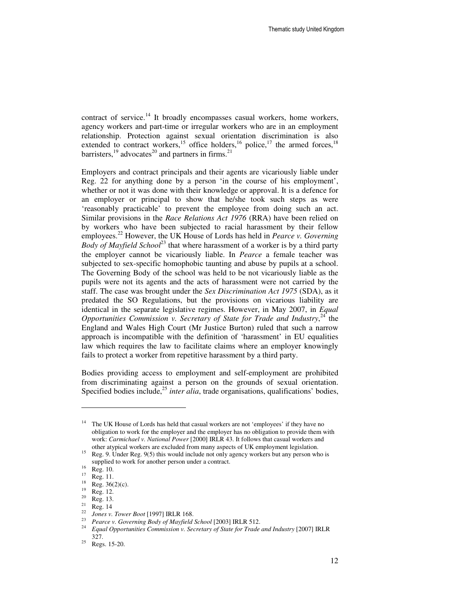contract of service.<sup>14</sup> It broadly encompasses casual workers, home workers, agency workers and part-time or irregular workers who are in an employment relationship. Protection against sexual orientation discrimination is also extended to contract workers,<sup>15</sup> office holders,<sup>16</sup> police,<sup>17</sup> the armed forces,<sup>18</sup> barristers,<sup>19</sup> advocates<sup>20</sup> and partners in firms.<sup>21</sup>

Employers and contract principals and their agents are vicariously liable under Reg. 22 for anything done by a person 'in the course of his employment', whether or not it was done with their knowledge or approval. It is a defence for an employer or principal to show that he/she took such steps as were 'reasonably practicable' to prevent the employee from doing such an act. Similar provisions in the *Race Relations Act 1976* (RRA) have been relied on by workers who have been subjected to racial harassment by their fellow employees.<sup>22</sup> However, the UK House of Lords has held in *Pearce v. Governing Body of Mayfield School*<sup>23</sup> that where harassment of a worker is by a third party the employer cannot be vicariously liable. In *Pearce* a female teacher was subjected to sex-specific homophobic taunting and abuse by pupils at a school. The Governing Body of the school was held to be not vicariously liable as the pupils were not its agents and the acts of harassment were not carried by the staff. The case was brought under the *Sex Discrimination Act 1975* (SDA), as it predated the SO Regulations, but the provisions on vicarious liability are identical in the separate legislative regimes. However, in May 2007, in *Equal Opportunities Commission v. Secretary of State for Trade and Industry*, <sup>24</sup> the England and Wales High Court (Mr Justice Burton) ruled that such a narrow approach is incompatible with the definition of 'harassment' in EU equalities law which requires the law to facilitate claims where an employer knowingly fails to protect a worker from repetitive harassment by a third party.

Bodies providing access to employment and self-employment are prohibited from discriminating against a person on the grounds of sexual orientation. Specified bodies include,<sup>25</sup> *inter alia*, trade organisations, qualifications' bodies,

The UK House of Lords has held that casual workers are not 'employees' if they have no obligation to work for the employer and the employer has no obligation to provide them with work: *Carmichael v. National Power* [2000] IRLR 43. It follows that casual workers and other atypical workers are excluded from many aspects of UK employment legislation.

<sup>&</sup>lt;sup>15</sup> Reg. 9. Under Reg. 9(5) this would include not only agency workers but any person who is supplied to work for another person under a contract.

 $^{16}$  Reg. 10.

 $^{17}$  Reg. 11.

 $^{18}$  Reg. 36(2)(c).

 $\frac{19}{20}$  Reg. 12.

 $\frac{20}{21}$  Reg. 13.

Reg. 14

<sup>22</sup> *Jones v. Tower Boot* [1997] IRLR 168.

<sup>23</sup> *Pearce v. Governing Body of Mayfield School* [2003] IRLR 512.

<sup>24</sup> *Equal Opportunities Commission v. Secretary of State for Trade and Industry* [2007] IRLR 327.

 $25$  Regs. 15-20.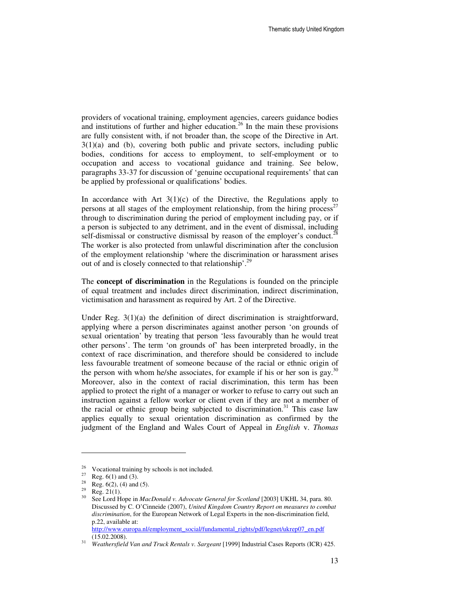providers of vocational training, employment agencies, careers guidance bodies and institutions of further and higher education.<sup>26</sup> In the main these provisions are fully consistent with, if not broader than, the scope of the Directive in Art.  $3(1)(a)$  and (b), covering both public and private sectors, including public bodies, conditions for access to employment, to self-employment or to occupation and access to vocational guidance and training. See below, paragraphs 33-37 for discussion of 'genuine occupational requirements' that can be applied by professional or qualifications' bodies.

In accordance with Art  $3(1)(c)$  of the Directive, the Regulations apply to persons at all stages of the employment relationship, from the hiring process<sup>27</sup> through to discrimination during the period of employment including pay, or if a person is subjected to any detriment, and in the event of dismissal, including self-dismissal or constructive dismissal by reason of the employer's conduct.<sup>2</sup> The worker is also protected from unlawful discrimination after the conclusion of the employment relationship 'where the discrimination or harassment arises out of and is closely connected to that relationship'.<sup>29</sup>

The **concept of discrimination** in the Regulations is founded on the principle of equal treatment and includes direct discrimination, indirect discrimination, victimisation and harassment as required by Art. 2 of the Directive.

Under Reg. 3(1)(a) the definition of direct discrimination is straightforward, applying where a person discriminates against another person 'on grounds of sexual orientation' by treating that person 'less favourably than he would treat other persons'. The term 'on grounds of' has been interpreted broadly, in the context of race discrimination, and therefore should be considered to include less favourable treatment of someone because of the racial or ethnic origin of the person with whom he/she associates, for example if his or her son is gay.<sup>30</sup> Moreover, also in the context of racial discrimination, this term has been applied to protect the right of a manager or worker to refuse to carry out such an instruction against a fellow worker or client even if they are not a member of the racial or ethnic group being subjected to discrimination.<sup>31</sup> This case law applies equally to sexual orientation discrimination as confirmed by the judgment of the England and Wales Court of Appeal in *English* v. *Thomas* 

<sup>&</sup>lt;sup>26</sup> Vocational training by schools is not included.

<sup>&</sup>lt;sup>27</sup> Reg. 6(1) and (3).

Reg.  $6(2)$ ,  $(4)$  and  $(5)$ .

 $29$  Reg. 21(1).

<sup>30</sup> See Lord Hope in *MacDonald v. Advocate General for Scotland* [2003] UKHL 34, para. 80. Discussed by C. O'Cinneide (2007), *United Kingdom Country Report on measures to combat discrimination*, for the European Network of Legal Experts in the non-discrimination field, p.22, available at: http://www.europa.nl/employment\_social/fundamental\_rights/pdf/legnet/ukrep07\_en.pdf (15.02.2008).

<sup>31</sup> *Weathersfield Van and Truck Rentals v. Sargeant* [1999] Industrial Cases Reports (ICR) 425.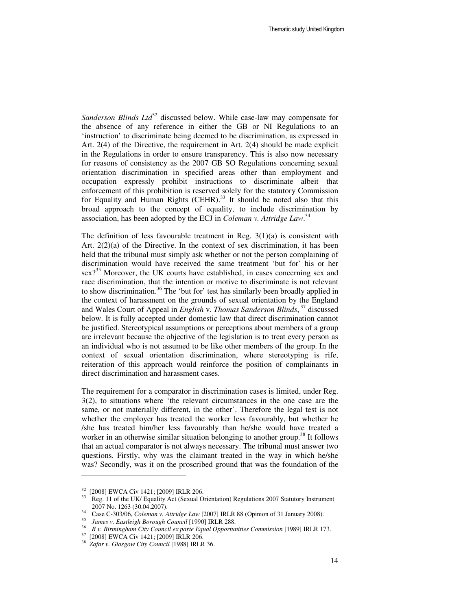*Sanderson Blinds Ltd*<sup>32</sup> discussed below. While case-law may compensate for the absence of any reference in either the GB or NI Regulations to an 'instruction' to discriminate being deemed to be discrimination, as expressed in Art. 2(4) of the Directive, the requirement in Art. 2(4) should be made explicit in the Regulations in order to ensure transparency. This is also now necessary for reasons of consistency as the 2007 GB SO Regulations concerning sexual orientation discrimination in specified areas other than employment and occupation expressly prohibit instructions to discriminate albeit that enforcement of this prohibition is reserved solely for the statutory Commission for Equality and Human Rights (CEHR).<sup>33</sup> It should be noted also that this broad approach to the concept of equality, to include discrimination by association, has been adopted by the ECJ in *Coleman v. Attridge Law*. 34

The definition of less favourable treatment in Reg.  $3(1)(a)$  is consistent with Art.  $2(2)(a)$  of the Directive. In the context of sex discrimination, it has been held that the tribunal must simply ask whether or not the person complaining of discrimination would have received the same treatment 'but for' his or her  $sex$ <sup>35</sup> Moreover, the UK courts have established, in cases concerning sex and race discrimination, that the intention or motive to discriminate is not relevant to show discrimination.<sup>36</sup> The 'but for' test has similarly been broadly applied in the context of harassment on the grounds of sexual orientation by the England and Wales Court of Appeal in *English* v. *Thomas Sanderson Blinds*, <sup>37</sup> discussed below. It is fully accepted under domestic law that direct discrimination cannot be justified. Stereotypical assumptions or perceptions about members of a group are irrelevant because the objective of the legislation is to treat every person as an individual who is not assumed to be like other members of the group. In the context of sexual orientation discrimination, where stereotyping is rife, reiteration of this approach would reinforce the position of complainants in direct discrimination and harassment cases.

The requirement for a comparator in discrimination cases is limited, under Reg. 3(2), to situations where 'the relevant circumstances in the one case are the same, or not materially different, in the other'. Therefore the legal test is not whether the employer has treated the worker less favourably, but whether he /she has treated him/her less favourably than he/she would have treated a worker in an otherwise similar situation belonging to another group.<sup>38</sup> It follows that an actual comparator is not always necessary. The tribunal must answer two questions. Firstly, why was the claimant treated in the way in which he/she was? Secondly, was it on the proscribed ground that was the foundation of the

<sup>32</sup> [2008] EWCA Civ 1421; [2009] IRLR 206.

<sup>&</sup>lt;sup>33</sup> Reg. 11 of the UK/ Equality Act (Sexual Orientation) Regulations 2007 Statutory Instrument 2007 No. 1263 (30.04.2007).

<sup>34</sup> Case C-303/06, *Coleman v. Attridge Law* [2007] IRLR 88 (Opinion of 31 January 2008).

<sup>35</sup> *James v. Eastleigh Borough Council* [1990] IRLR 288.

<sup>36</sup> *R v. Birmingham City Council ex parte Equal Opportunities Commission* [1989] IRLR 173.

<sup>37</sup> [2008] EWCA Civ 1421; [2009] IRLR 206.

<sup>38</sup> *Zafar v. Glasgow City Council* [1988] IRLR 36.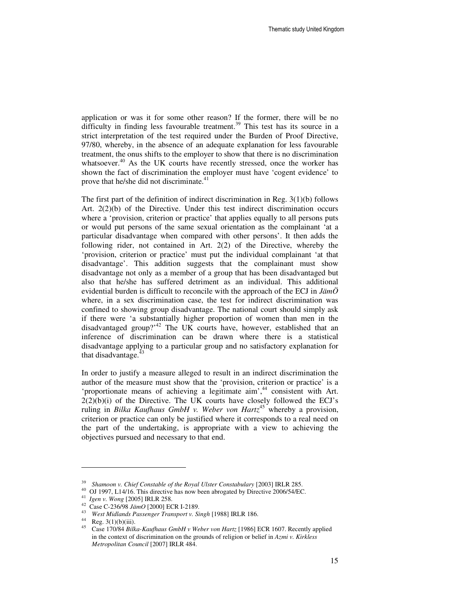application or was it for some other reason? If the former, there will be no difficulty in finding less favourable treatment.<sup>39</sup> This test has its source in a strict interpretation of the test required under the Burden of Proof Directive, 97/80, whereby, in the absence of an adequate explanation for less favourable treatment, the onus shifts to the employer to show that there is no discrimination whatsoever.<sup>40</sup> As the UK courts have recently stressed, once the worker has shown the fact of discrimination the employer must have 'cogent evidence' to prove that he/she did not discriminate.<sup>41</sup>

The first part of the definition of indirect discrimination in Reg. 3(1)(b) follows Art. 2(2)(b) of the Directive. Under this test indirect discrimination occurs where a 'provision, criterion or practice' that applies equally to all persons puts or would put persons of the same sexual orientation as the complainant 'at a particular disadvantage when compared with other persons'. It then adds the following rider, not contained in Art. 2(2) of the Directive, whereby the 'provision, criterion or practice' must put the individual complainant 'at that disadvantage'. This addition suggests that the complainant must show disadvantage not only as a member of a group that has been disadvantaged but also that he/she has suffered detriment as an individual. This additional evidential burden is difficult to reconcile with the approach of the ECJ in *JämÖ* where, in a sex discrimination case, the test for indirect discrimination was confined to showing group disadvantage. The national court should simply ask if there were 'a substantially higher proportion of women than men in the disadvantaged group?<sup>42</sup> The UK courts have, however, established that an inference of discrimination can be drawn where there is a statistical disadvantage applying to a particular group and no satisfactory explanation for that disadvantage. $43$ 

In order to justify a measure alleged to result in an indirect discrimination the author of the measure must show that the 'provision, criterion or practice' is a 'proportionate means of achieving a legitimate aim', <sup>44</sup> consistent with Art.  $2(2)(b)(i)$  of the Directive. The UK courts have closely followed the ECJ's ruling in *Bilka Kaufhaus GmbH v. Weber von Hartz*<sup>45</sup> whereby a provision, criterion or practice can only be justified where it corresponds to a real need on the part of the undertaking, is appropriate with a view to achieving the objectives pursued and necessary to that end.

<sup>39</sup> *Shamoon v. Chief Constable of the Royal Ulster Constabulary* [2003] IRLR 285.

<sup>40</sup> OJ 1997, L14/16. This directive has now been abrogated by Directive 2006/54/EC.

<sup>41</sup> *Igen v. Wong* [2005] IRLR 258.

<sup>42</sup> Case C-236/98 *JämO* [2000] ECR I-2189.

<sup>43</sup> *West Midlands Passenger Transport v. Singh* [1988] IRLR 186.

 $^{44}$  Reg. 3(1)(b)(iii).<br> $^{45}$  Cess 170/84 Bills

<sup>45</sup> Case 170/84 *Bilka-Kaufhaus GmbH v Weber von Hartz* [1986] ECR 1607. Recently applied in the context of discrimination on the grounds of religion or belief in *Azmi v. Kirkless Metropolitan Council* [2007] IRLR 484.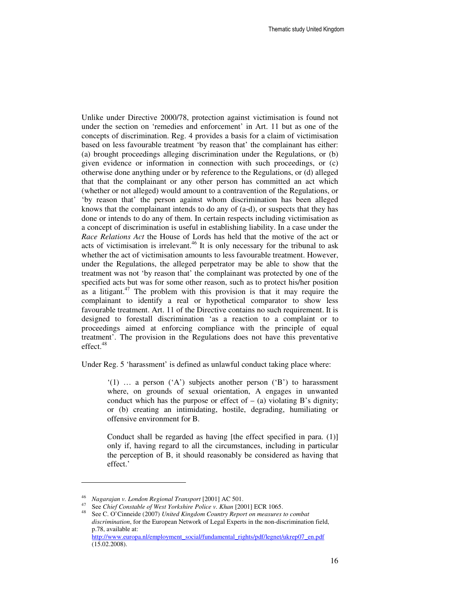Unlike under Directive 2000/78, protection against victimisation is found not under the section on 'remedies and enforcement' in Art. 11 but as one of the concepts of discrimination. Reg. 4 provides a basis for a claim of victimisation based on less favourable treatment 'by reason that' the complainant has either: (a) brought proceedings alleging discrimination under the Regulations, or (b) given evidence or information in connection with such proceedings, or (c) otherwise done anything under or by reference to the Regulations, or (d) alleged that that the complainant or any other person has committed an act which (whether or not alleged) would amount to a contravention of the Regulations, or 'by reason that' the person against whom discrimination has been alleged knows that the complainant intends to do any of (a-d), or suspects that they has done or intends to do any of them. In certain respects including victimisation as a concept of discrimination is useful in establishing liability. In a case under the *Race Relations Act* the House of Lords has held that the motive of the act or acts of victimisation is irrelevant.<sup>46</sup> It is only necessary for the tribunal to ask whether the act of victimisation amounts to less favourable treatment. However, under the Regulations, the alleged perpetrator may be able to show that the treatment was not 'by reason that' the complainant was protected by one of the specified acts but was for some other reason, such as to protect his/her position as a litigant.<sup>47</sup> The problem with this provision is that it may require the complainant to identify a real or hypothetical comparator to show less favourable treatment. Art. 11 of the Directive contains no such requirement. It is designed to forestall discrimination 'as a reaction to a complaint or to proceedings aimed at enforcing compliance with the principle of equal treatment'. The provision in the Regulations does not have this preventative  $effect$ <sup>48</sup>

Under Reg. 5 'harassment' is defined as unlawful conduct taking place where:

 $(1)$  ... a person  $(A')$  subjects another person  $(B')$  to harassment where, on grounds of sexual orientation, A engages in unwanted conduct which has the purpose or effect of  $-$  (a) violating B's dignity; or (b) creating an intimidating, hostile, degrading, humiliating or offensive environment for B.

Conduct shall be regarded as having [the effect specified in para. (1)] only if, having regard to all the circumstances, including in particular the perception of B, it should reasonably be considered as having that effect.'

<sup>46</sup> *Nagarajan v. London Regional Transport* [2001] AC 501.

<sup>47</sup> See *Chief Constable of West Yorkshire Police v. Khan* [2001] ECR 1065.

<sup>48</sup> See C. O'Cinneide (2007) *United Kingdom Country Report on measures to combat discrimination*, for the European Network of Legal Experts in the non-discrimination field, p.78, available at:

http://www.europa.nl/employment\_social/fundamental\_rights/pdf/legnet/ukrep07\_en.pdf (15.02.2008).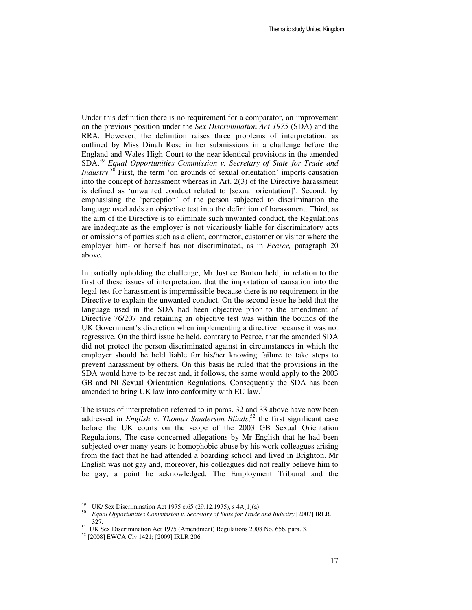Under this definition there is no requirement for a comparator, an improvement on the previous position under the *Sex Discrimination Act 1975* (SDA) and the RRA. However, the definition raises three problems of interpretation, as outlined by Miss Dinah Rose in her submissions in a challenge before the England and Wales High Court to the near identical provisions in the amended SDA,<sup>49</sup> *Equal Opportunities Commission v. Secretary of State for Trade and Industry*. <sup>50</sup> First, the term 'on grounds of sexual orientation' imports causation into the concept of harassment whereas in Art. 2(3) of the Directive harassment is defined as 'unwanted conduct related to [sexual orientation]'. Second, by emphasising the 'perception' of the person subjected to discrimination the language used adds an objective test into the definition of harassment. Third, as the aim of the Directive is to eliminate such unwanted conduct, the Regulations are inadequate as the employer is not vicariously liable for discriminatory acts or omissions of parties such as a client, contractor, customer or visitor where the employer him- or herself has not discriminated, as in *Pearce,* paragraph 20 above.

In partially upholding the challenge, Mr Justice Burton held, in relation to the first of these issues of interpretation, that the importation of causation into the legal test for harassment is impermissible because there is no requirement in the Directive to explain the unwanted conduct. On the second issue he held that the language used in the SDA had been objective prior to the amendment of Directive 76/207 and retaining an objective test was within the bounds of the UK Government's discretion when implementing a directive because it was not regressive. On the third issue he held, contrary to Pearce, that the amended SDA did not protect the person discriminated against in circumstances in which the employer should be held liable for his/her knowing failure to take steps to prevent harassment by others. On this basis he ruled that the provisions in the SDA would have to be recast and, it follows, the same would apply to the 2003 GB and NI Sexual Orientation Regulations. Consequently the SDA has been amended to bring UK law into conformity with EU law.<sup>51</sup>

The issues of interpretation referred to in paras. 32 and 33 above have now been addressed in *English* v. *Thomas Sanderson Blinds*, <sup>52</sup> the first significant case before the UK courts on the scope of the 2003 GB Sexual Orientation Regulations, The case concerned allegations by Mr English that he had been subjected over many years to homophobic abuse by his work colleagues arising from the fact that he had attended a boarding school and lived in Brighton. Mr English was not gay and, moreover, his colleagues did not really believe him to be gay, a point he acknowledged. The Employment Tribunal and the

<sup>&</sup>lt;sup>49</sup> UK/ Sex Discrimination Act 1975 c.65 (29.12.1975), s  $4A(1)(a)$ .

<sup>50</sup> *Equal Opportunities Commission v. Secretary of State for Trade and Industry* [2007] IRLR. 327.

<sup>51</sup> UK Sex Discrimination Act 1975 (Amendment) Regulations 2008 No. 656, para. 3.

<sup>52</sup> [2008] EWCA Civ 1421; [2009] IRLR 206.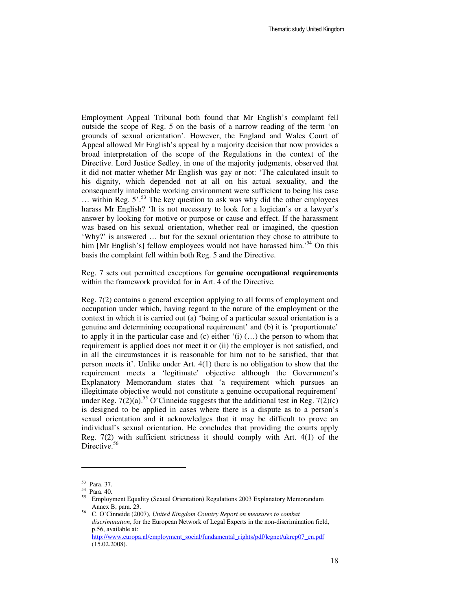Employment Appeal Tribunal both found that Mr English's complaint fell outside the scope of Reg. 5 on the basis of a narrow reading of the term 'on grounds of sexual orientation'. However, the England and Wales Court of Appeal allowed Mr English's appeal by a majority decision that now provides a broad interpretation of the scope of the Regulations in the context of the Directive. Lord Justice Sedley, in one of the majority judgments, observed that it did not matter whether Mr English was gay or not: 'The calculated insult to his dignity, which depended not at all on his actual sexuality, and the consequently intolerable working environment were sufficient to being his case  $\ldots$  within Reg. 5'.<sup>53</sup> The key question to ask was why did the other employees harass Mr English? 'It is not necessary to look for a logician's or a lawyer's answer by looking for motive or purpose or cause and effect. If the harassment was based on his sexual orientation, whether real or imagined, the question 'Why?' is answered … but for the sexual orientation they chose to attribute to him [Mr English's] fellow employees would not have harassed him.<sup>54</sup> On this basis the complaint fell within both Reg. 5 and the Directive.

Reg. 7 sets out permitted exceptions for **genuine occupational requirements** within the framework provided for in Art. 4 of the Directive.

Reg. 7(2) contains a general exception applying to all forms of employment and occupation under which, having regard to the nature of the employment or the context in which it is carried out (a) 'being of a particular sexual orientation is a genuine and determining occupational requirement' and (b) it is 'proportionate' to apply it in the particular case and  $(c)$  either  $(i)$   $(...)$  the person to whom that requirement is applied does not meet it or (ii) the employer is not satisfied, and in all the circumstances it is reasonable for him not to be satisfied, that that person meets it'. Unlike under Art. 4(1) there is no obligation to show that the requirement meets a 'legitimate' objective although the Government's Explanatory Memorandum states that 'a requirement which pursues an illegitimate objective would not constitute a genuine occupational requirement' under Reg.  $7(2)(a)$ <sup>55</sup> O'Cinneide suggests that the additional test in Reg.  $7(2)(c)$ is designed to be applied in cases where there is a dispute as to a person's sexual orientation and it acknowledges that it may be difficult to prove an individual's sexual orientation. He concludes that providing the courts apply Reg.  $7(2)$  with sufficient strictness it should comply with Art.  $4(1)$  of the Directive.<sup>56</sup>

<sup>53</sup> Para. 37.

<sup>54</sup> Para. 40.

<sup>55</sup> Employment Equality (Sexual Orientation) Regulations 2003 Explanatory Memorandum Annex B, para. 23.

<sup>56</sup> C. O'Cinneide (2007), *United Kingdom Country Report on measures to combat discrimination*, for the European Network of Legal Experts in the non-discrimination field, p.56, available at:

http://www.europa.nl/employment\_social/fundamental\_rights/pdf/legnet/ukrep07\_en.pdf (15.02.2008).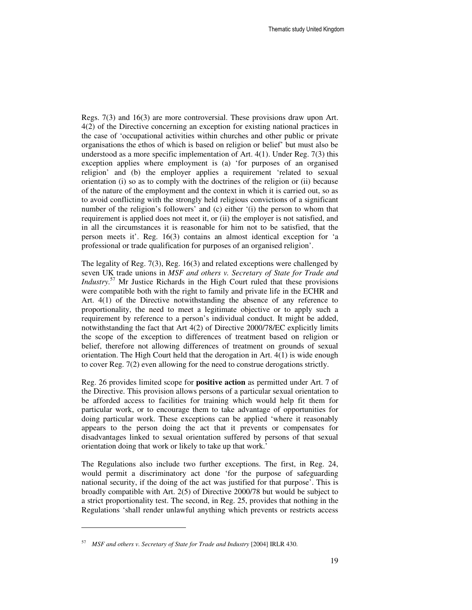Regs. 7(3) and 16(3) are more controversial. These provisions draw upon Art. 4(2) of the Directive concerning an exception for existing national practices in the case of 'occupational activities within churches and other public or private organisations the ethos of which is based on religion or belief' but must also be understood as a more specific implementation of Art. 4(1). Under Reg. 7(3) this exception applies where employment is (a) 'for purposes of an organised religion' and (b) the employer applies a requirement 'related to sexual orientation (i) so as to comply with the doctrines of the religion or (ii) because of the nature of the employment and the context in which it is carried out, so as to avoid conflicting with the strongly held religious convictions of a significant number of the religion's followers' and (c) either '(i) the person to whom that requirement is applied does not meet it, or (ii) the employer is not satisfied, and in all the circumstances it is reasonable for him not to be satisfied, that the person meets it'. Reg. 16(3) contains an almost identical exception for 'a professional or trade qualification for purposes of an organised religion'.

The legality of Reg. 7(3), Reg. 16(3) and related exceptions were challenged by seven UK trade unions in *MSF and others v. Secretary of State for Trade and Industry*. <sup>57</sup> Mr Justice Richards in the High Court ruled that these provisions were compatible both with the right to family and private life in the ECHR and Art. 4(1) of the Directive notwithstanding the absence of any reference to proportionality, the need to meet a legitimate objective or to apply such a requirement by reference to a person's individual conduct. It might be added, notwithstanding the fact that Art 4(2) of Directive 2000/78/EC explicitly limits the scope of the exception to differences of treatment based on religion or belief, therefore not allowing differences of treatment on grounds of sexual orientation. The High Court held that the derogation in Art. 4(1) is wide enough to cover Reg. 7(2) even allowing for the need to construe derogations strictly.

Reg. 26 provides limited scope for **positive action** as permitted under Art. 7 of the Directive. This provision allows persons of a particular sexual orientation to be afforded access to facilities for training which would help fit them for particular work, or to encourage them to take advantage of opportunities for doing particular work. These exceptions can be applied 'where it reasonably appears to the person doing the act that it prevents or compensates for disadvantages linked to sexual orientation suffered by persons of that sexual orientation doing that work or likely to take up that work.'

The Regulations also include two further exceptions. The first, in Reg. 24, would permit a discriminatory act done 'for the purpose of safeguarding national security, if the doing of the act was justified for that purpose'. This is broadly compatible with Art. 2(5) of Directive 2000/78 but would be subject to a strict proportionality test. The second, in Reg. 25, provides that nothing in the Regulations 'shall render unlawful anything which prevents or restricts access

<sup>57</sup> *MSF and others v. Secretary of State for Trade and Industry* [2004] IRLR 430.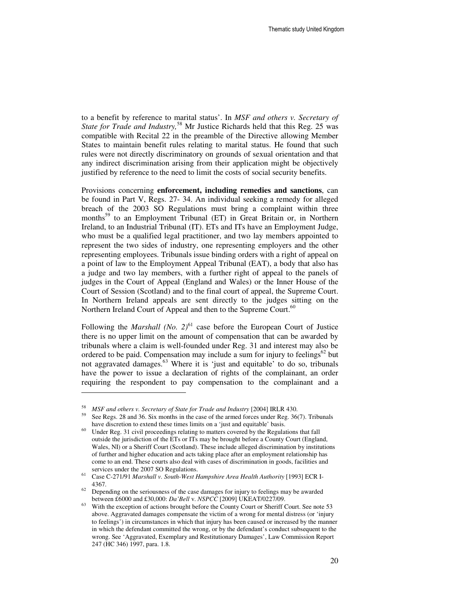to a benefit by reference to marital status'. In *MSF and others v. Secretary of State for Trade and Industry,*<sup>58</sup> Mr Justice Richards held that this Reg. 25 was compatible with Recital 22 in the preamble of the Directive allowing Member States to maintain benefit rules relating to marital status. He found that such rules were not directly discriminatory on grounds of sexual orientation and that any indirect discrimination arising from their application might be objectively justified by reference to the need to limit the costs of social security benefits.

Provisions concerning **enforcement, including remedies and sanctions**, can be found in Part V, Regs. 27- 34. An individual seeking a remedy for alleged breach of the 2003 SO Regulations must bring a complaint within three months<sup>59</sup> to an Employment Tribunal (ET) in Great Britain or, in Northern Ireland, to an Industrial Tribunal (IT). ETs and ITs have an Employment Judge, who must be a qualified legal practitioner, and two lay members appointed to represent the two sides of industry, one representing employers and the other representing employees. Tribunals issue binding orders with a right of appeal on a point of law to the Employment Appeal Tribunal (EAT), a body that also has a judge and two lay members, with a further right of appeal to the panels of judges in the Court of Appeal (England and Wales) or the Inner House of the Court of Session (Scotland) and to the final court of appeal, the Supreme Court. In Northern Ireland appeals are sent directly to the judges sitting on the Northern Ireland Court of Appeal and then to the Supreme Court.<sup>60</sup>

Following the *Marshall* (*No.* 2)<sup>61</sup> case before the European Court of Justice there is no upper limit on the amount of compensation that can be awarded by tribunals where a claim is well-founded under Reg. 31 and interest may also be ordered to be paid. Compensation may include a sum for injury to feelings $62$  but not aggravated damages.<sup>63</sup> Where it is 'just and equitable' to do so, tribunals have the power to issue a declaration of rights of the complainant, an order requiring the respondent to pay compensation to the complainant and a

<sup>58</sup> *MSF and others v. Secretary of State for Trade and Industry* [2004] IRLR 430.

See Regs. 28 and 36. Six months in the case of the armed forces under Reg. 36(7). Tribunals have discretion to extend these times limits on a 'just and equitable' basis.

Under Reg. 31 civil proceedings relating to matters covered by the Regulations that fall outside the jurisdiction of the ETs or ITs may be brought before a County Court (England, Wales, NI) or a Sheriff Court (Scotland). These include alleged discrimination by institutions of further and higher education and acts taking place after an employment relationship has come to an end. These courts also deal with cases of discrimination in goods, facilities and services under the 2007 SO Regulations.

<sup>61</sup> Case C-271/91 *Marshall v. South-West Hampshire Area Health Authority* [1993] ECR I-4367.

 $62$  Depending on the seriousness of the case damages for injury to feelings may be awarded between £6000 and £30,000: *Da'Bell* v. *NSPCC* [2009] UKEAT/0227/09.

<sup>&</sup>lt;sup>63</sup> With the exception of actions brought before the County Court or Sheriff Court. See note 53 above. Aggravated damages compensate the victim of a wrong for mental distress (or 'injury to feelings') in circumstances in which that injury has been caused or increased by the manner in which the defendant committed the wrong, or by the defendant's conduct subsequent to the wrong. See 'Aggravated, Exemplary and Restitutionary Damages', Law Commission Report 247 (HC 346) 1997, para. 1.8.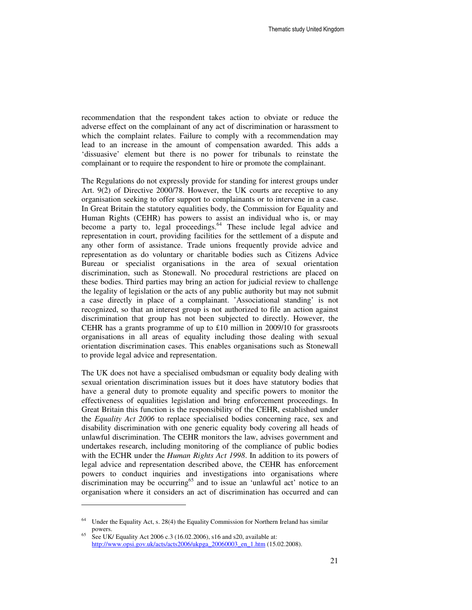recommendation that the respondent takes action to obviate or reduce the adverse effect on the complainant of any act of discrimination or harassment to which the complaint relates. Failure to comply with a recommendation may lead to an increase in the amount of compensation awarded. This adds a 'dissuasive' element but there is no power for tribunals to reinstate the complainant or to require the respondent to hire or promote the complainant.

The Regulations do not expressly provide for standing for interest groups under Art. 9(2) of Directive 2000/78. However, the UK courts are receptive to any organisation seeking to offer support to complainants or to intervene in a case. In Great Britain the statutory equalities body, the Commission for Equality and Human Rights (CEHR) has powers to assist an individual who is, or may become a party to, legal proceedings. $64$  These include legal advice and representation in court, providing facilities for the settlement of a dispute and any other form of assistance. Trade unions frequently provide advice and representation as do voluntary or charitable bodies such as Citizens Advice Bureau or specialist organisations in the area of sexual orientation discrimination, such as Stonewall. No procedural restrictions are placed on these bodies. Third parties may bring an action for judicial review to challenge the legality of legislation or the acts of any public authority but may not submit a case directly in place of a complainant. 'Associational standing' is not recognized, so that an interest group is not authorized to file an action against discrimination that group has not been subjected to directly. However, the CEHR has a grants programme of up to £10 million in 2009/10 for grassroots organisations in all areas of equality including those dealing with sexual orientation discrimination cases. This enables organisations such as Stonewall to provide legal advice and representation.

The UK does not have a specialised ombudsman or equality body dealing with sexual orientation discrimination issues but it does have statutory bodies that have a general duty to promote equality and specific powers to monitor the effectiveness of equalities legislation and bring enforcement proceedings. In Great Britain this function is the responsibility of the CEHR, established under the *Equality Act 2006* to replace specialised bodies concerning race, sex and disability discrimination with one generic equality body covering all heads of unlawful discrimination. The CEHR monitors the law, advises government and undertakes research, including monitoring of the compliance of public bodies with the ECHR under the *Human Rights Act 1998*. In addition to its powers of legal advice and representation described above, the CEHR has enforcement powers to conduct inquiries and investigations into organisations where discrimination may be occurring<sup>65</sup> and to issue an 'unlawful act' notice to an organisation where it considers an act of discrimination has occurred and can

Under the Equality Act, s. 28(4) the Equality Commission for Northern Ireland has similar powers.

See UK/ Equality Act 2006 c.3 (16.02.2006), s16 and s20, available at: http://www.opsi.gov.uk/acts/acts2006/ukpga\_20060003\_en\_1.htm (15.02.2008).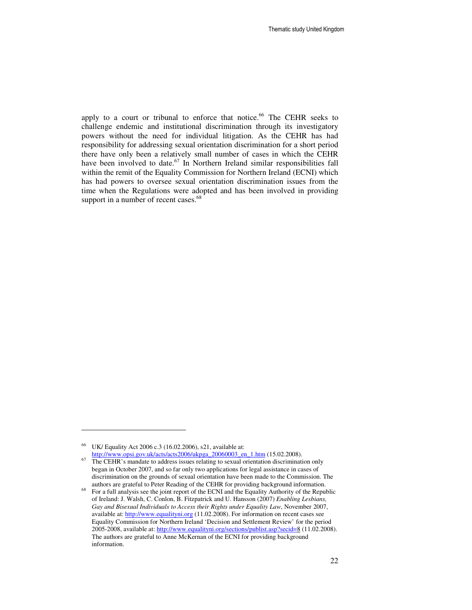apply to a court or tribunal to enforce that notice.<sup>66</sup> The CEHR seeks to challenge endemic and institutional discrimination through its investigatory powers without the need for individual litigation. As the CEHR has had responsibility for addressing sexual orientation discrimination for a short period there have only been a relatively small number of cases in which the CEHR have been involved to date.<sup>67</sup> In Northern Ireland similar responsibilities fall within the remit of the Equality Commission for Northern Ireland (ECNI) which has had powers to oversee sexual orientation discrimination issues from the time when the Regulations were adopted and has been involved in providing support in a number of recent cases. $6$ 

<sup>&</sup>lt;sup>66</sup> UK/ Equality Act 2006 c.3 (16.02.2006), s21, available at:

http://www.opsi.gov.uk/acts/acts2006/ukpga\_20060003\_en\_1.htm (15.02.2008). <sup>67</sup> The CEHR's mandate to address issues relating to sexual orientation discrimination only began in October 2007, and so far only two applications for legal assistance in cases of discrimination on the grounds of sexual orientation have been made to the Commission. The authors are grateful to Peter Reading of the CEHR for providing background information.

<sup>&</sup>lt;sup>68</sup> For a full analysis see the joint report of the ECNI and the Equality Authority of the Republic of Ireland: J. Walsh, C. Conlon, B. Fitzpatrick and U. Hansson (2007) *Enabling Lesbians, Gay and Bisexual Individuals to Access their Rights under Equality Law*, November 2007, available at: http://www.equalityni.org (11.02.2008). For information on recent cases see Equality Commission for Northern Ireland 'Decision and Settlement Review' for the period 2005-2008, available at: http://www.equalityni.org/sections/publist.asp?secid=8 (11.02.2008). The authors are grateful to Anne McKernan of the ECNI for providing background information.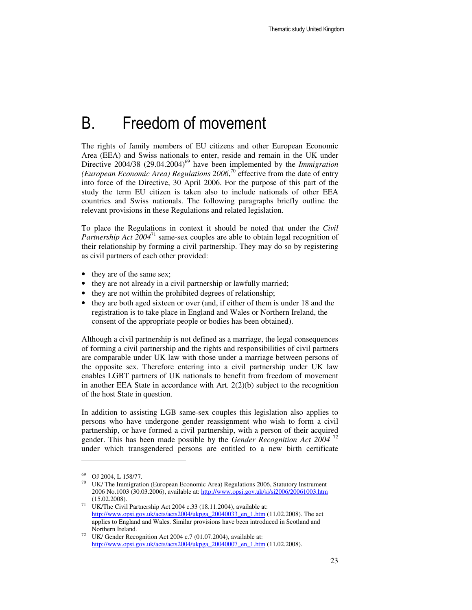## B. Freedom of movement

The rights of family members of EU citizens and other European Economic Area (EEA) and Swiss nationals to enter, reside and remain in the UK under Directive 2004/38 (29.04.2004)<sup>69</sup> have been implemented by the *Immigration (European Economic Area) Regulations 2006*, <sup>70</sup> effective from the date of entry into force of the Directive, 30 April 2006. For the purpose of this part of the study the term EU citizen is taken also to include nationals of other EEA countries and Swiss nationals. The following paragraphs briefly outline the relevant provisions in these Regulations and related legislation.

To place the Regulations in context it should be noted that under the *Civil Partnership Act 2004*<sup>71</sup> same-sex couples are able to obtain legal recognition of their relationship by forming a civil partnership. They may do so by registering as civil partners of each other provided:

- they are of the same sex;
- they are not already in a civil partnership or lawfully married;
- they are not within the prohibited degrees of relationship;
- they are both aged sixteen or over (and, if either of them is under 18 and the registration is to take place in England and Wales or Northern Ireland, the consent of the appropriate people or bodies has been obtained).

Although a civil partnership is not defined as a marriage, the legal consequences of forming a civil partnership and the rights and responsibilities of civil partners are comparable under UK law with those under a marriage between persons of the opposite sex. Therefore entering into a civil partnership under UK law enables LGBT partners of UK nationals to benefit from freedom of movement in another EEA State in accordance with Art. 2(2)(b) subject to the recognition of the host State in question.

In addition to assisting LGB same-sex couples this legislation also applies to persons who have undergone gender reassignment who wish to form a civil partnership, or have formed a civil partnership, with a person of their acquired gender. This has been made possible by the *Gender Recognition Act 2004* <sup>72</sup> under which transgendered persons are entitled to a new birth certificate

 $^{69}$  OJ 2004, L 158/77.

UK/ The Immigration (European Economic Area) Regulations 2006, Statutory Instrument 2006 No.1003 (30.03.2006), available at: http://www.opsi.gov.uk/si/si2006/20061003.htm (15.02.2008).

<sup>&</sup>lt;sup>71</sup> UK/The Civil Partnership Act 2004 c.33 (18.11.2004), available at: http://www.opsi.gov.uk/acts/acts2004/ukpga\_20040033\_en\_1.htm (11.02.2008). The act applies to England and Wales. Similar provisions have been introduced in Scotland and Northern Ireland.

<sup>72</sup> UK/ Gender Recognition Act 2004 c.7 (01.07.2004), available at: http://www.opsi.gov.uk/acts/acts2004/ukpga\_20040007\_en\_1.htm (11.02.2008).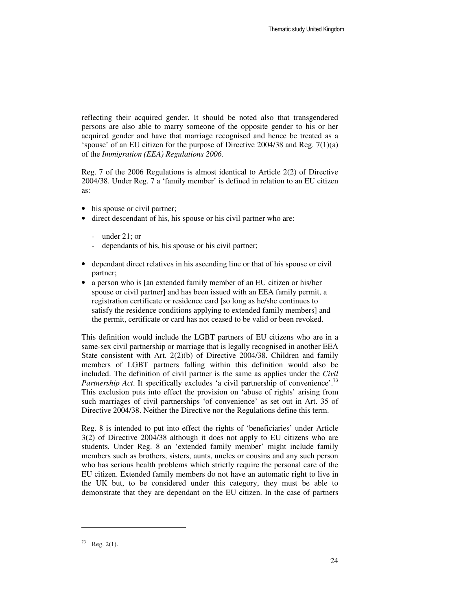reflecting their acquired gender. It should be noted also that transgendered persons are also able to marry someone of the opposite gender to his or her acquired gender and have that marriage recognised and hence be treated as a 'spouse' of an EU citizen for the purpose of Directive 2004/38 and Reg. 7(1)(a) of the *Immigration (EEA) Regulations 2006.*

Reg. 7 of the 2006 Regulations is almost identical to Article 2(2) of Directive 2004/38. Under Reg. 7 a 'family member' is defined in relation to an EU citizen as:

- his spouse or civil partner;
- direct descendant of his, his spouse or his civil partner who are:
	- under 21; or
	- dependants of his, his spouse or his civil partner;
- dependant direct relatives in his ascending line or that of his spouse or civil partner;
- a person who is [an extended family member of an EU citizen or his/her spouse or civil partner] and has been issued with an EEA family permit, a registration certificate or residence card [so long as he/she continues to satisfy the residence conditions applying to extended family members] and the permit, certificate or card has not ceased to be valid or been revoked.

This definition would include the LGBT partners of EU citizens who are in a same-sex civil partnership or marriage that is legally recognised in another EEA State consistent with Art. 2(2)(b) of Directive 2004/38. Children and family members of LGBT partners falling within this definition would also be included. The definition of civil partner is the same as applies under the *Civil Partnership Act*. It specifically excludes 'a civil partnership of convenience'.<sup>73</sup> This exclusion puts into effect the provision on 'abuse of rights' arising from such marriages of civil partnerships 'of convenience' as set out in Art. 35 of Directive 2004/38. Neither the Directive nor the Regulations define this term.

Reg. 8 is intended to put into effect the rights of 'beneficiaries' under Article 3(2) of Directive 2004/38 although it does not apply to EU citizens who are students. Under Reg. 8 an 'extended family member' might include family members such as brothers, sisters, aunts, uncles or cousins and any such person who has serious health problems which strictly require the personal care of the EU citizen. Extended family members do not have an automatic right to live in the UK but, to be considered under this category, they must be able to demonstrate that they are dependant on the EU citizen. In the case of partners

 $73$  Reg. 2(1).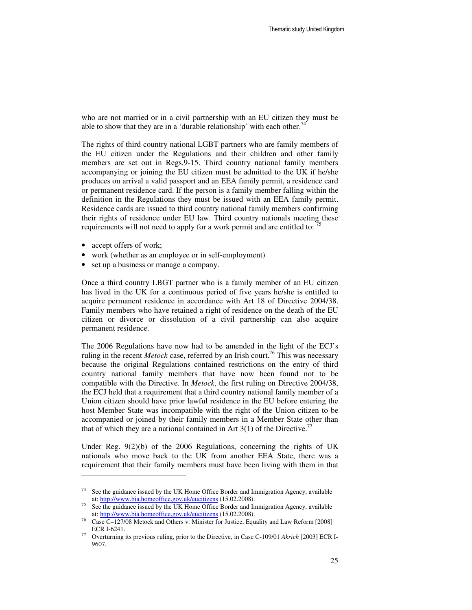who are not married or in a civil partnership with an EU citizen they must be able to show that they are in a 'durable relationship' with each other.<sup>7</sup>

The rights of third country national LGBT partners who are family members of the EU citizen under the Regulations and their children and other family members are set out in Regs.9-15. Third country national family members accompanying or joining the EU citizen must be admitted to the UK if he/she produces on arrival a valid passport and an EEA family permit, a residence card or permanent residence card. If the person is a family member falling within the definition in the Regulations they must be issued with an EEA family permit. Residence cards are issued to third country national family members confirming their rights of residence under EU law. Third country nationals meeting these requirements will not need to apply for a work permit and are entitled to:

• accept offers of work;

-

- work (whether as an employee or in self-employment)
- set up a business or manage a company.

Once a third country LBGT partner who is a family member of an EU citizen has lived in the UK for a continuous period of five years he/she is entitled to acquire permanent residence in accordance with Art 18 of Directive 2004/38. Family members who have retained a right of residence on the death of the EU citizen or divorce or dissolution of a civil partnership can also acquire permanent residence.

The 2006 Regulations have now had to be amended in the light of the ECJ's ruling in the recent *Metock* case, referred by an Irish court.<sup>76</sup> This was necessary because the original Regulations contained restrictions on the entry of third country national family members that have now been found not to be compatible with the Directive. In *Metock*, the first ruling on Directive 2004/38, the ECJ held that a requirement that a third country national family member of a Union citizen should have prior lawful residence in the EU before entering the host Member State was incompatible with the right of the Union citizen to be accompanied or joined by their family members in a Member State other than that of which they are a national contained in Art  $3(1)$  of the Directive.<sup>77</sup>

Under Reg. 9(2)(b) of the 2006 Regulations, concerning the rights of UK nationals who move back to the UK from another EEA State, there was a requirement that their family members must have been living with them in that

 $74$  See the guidance issued by the UK Home Office Border and Immigration Agency, available at: http://www.bia.homeoffice.gov.uk/eucitizens (15.02.2008).

<sup>&</sup>lt;sup>75</sup> See the guidance issued by the UK Home Office Border and Immigration Agency, available at: http://www.bia.homeoffice.gov.uk/eucitizens (15.02.2008).

<sup>76</sup> Case C–127/08 Metock and Others v. Minister for Justice, Equality and Law Reform [2008] ECR I-6241.

<sup>77</sup> Overturning its previous ruling, prior to the Directive, in Case C-109/01 *Akrich* [2003] ECR I-9607.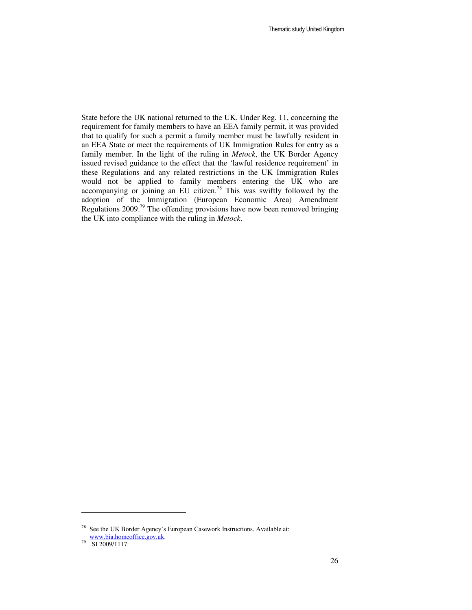State before the UK national returned to the UK. Under Reg. 11, concerning the requirement for family members to have an EEA family permit, it was provided that to qualify for such a permit a family member must be lawfully resident in an EEA State or meet the requirements of UK Immigration Rules for entry as a family member. In the light of the ruling in *Metock*, the UK Border Agency issued revised guidance to the effect that the 'lawful residence requirement' in these Regulations and any related restrictions in the UK Immigration Rules would not be applied to family members entering the UK who are accompanying or joining an EU citizen.<sup>78</sup> This was swiftly followed by the adoption of the Immigration (European Economic Area) Amendment Regulations 2009.<sup>79</sup> The offending provisions have now been removed bringing the UK into compliance with the ruling in *Metock*.

<sup>78</sup> See the UK Border Agency's European Casework Instructions. Available at: www.bia.homeoffice.gov.uk.

<sup>79</sup> SI 2009/1117.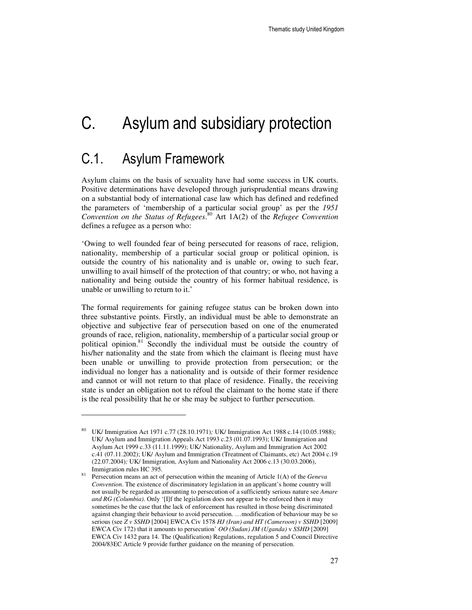# C. Asylum and subsidiary protection

## C.1. Asylum Framework

 $\ddot{ }$ 

Asylum claims on the basis of sexuality have had some success in UK courts. Positive determinations have developed through jurisprudential means drawing on a substantial body of international case law which has defined and redefined the parameters of 'membership of a particular social group' as per the *1951 Convention on the Status of Refugees*. <sup>80</sup> Art 1A(2) of the *Refugee Convention*  defines a refugee as a person who:

'Owing to well founded fear of being persecuted for reasons of race, religion, nationality, membership of a particular social group or political opinion, is outside the country of his nationality and is unable or, owing to such fear, unwilling to avail himself of the protection of that country; or who, not having a nationality and being outside the country of his former habitual residence, is unable or unwilling to return to it.'

The formal requirements for gaining refugee status can be broken down into three substantive points. Firstly, an individual must be able to demonstrate an objective and subjective fear of persecution based on one of the enumerated grounds of race, religion, nationality, membership of a particular social group or political opinion.<sup>81</sup> Secondly the individual must be outside the country of his/her nationality and the state from which the claimant is fleeing must have been unable or unwilling to provide protection from persecution; or the individual no longer has a nationality and is outside of their former residence and cannot or will not return to that place of residence. Finally, the receiving state is under an obligation not to réfoul the claimant to the home state if there is the real possibility that he or she may be subject to further persecution.

<sup>80</sup> UK/ Immigration Act 1971 c.77 (28.10.1971)*;* UK/ Immigration Act 1988 c.14 (10.05.1988); UK/ Asylum and Immigration Appeals Act 1993 c.23 (01.07.1993); UK/ Immigration and Asylum Act 1999 c.33 (11.11.1999); UK/ Nationality, Asylum and Immigration Act 2002 c.41 (07.11.2002); UK/ Asylum and Immigration (Treatment of Claimants, etc) Act 2004 c.19 (22.07.2004)*;* UK/ Immigration, Asylum and Nationality Act 2006 c.13 (30.03.2006), Immigration rules HC 395.

<sup>81</sup> Persecution means an act of persecution within the meaning of Article 1(A) of the *Geneva Convention*. The existence of discriminatory legislation in an applicant's home country will not usually be regarded as amounting to persecution of a sufficiently serious nature see *Amare and RG (Columbia)*. Only '[I]f the legislation does not appear to be enforced then it may sometimes be the case that the lack of enforcement has resulted in those being discriminated against changing their behaviour to avoid persecution. …modification of behaviour may be so serious (see *Z v SSHD* [2004] EWCA Civ 1578 *HJ (Iran) and HT (Cameroon) v SSHD* [2009] EWCA Civ 172) that it amounts to persecution' *OO (Sudan) JM (Uganda)* v *SSHD* [2009] EWCA Civ 1432 para 14. The (Qualification) Regulations, regulation 5 and Council Directive 2004/83EC Article 9 provide further guidance on the meaning of persecution.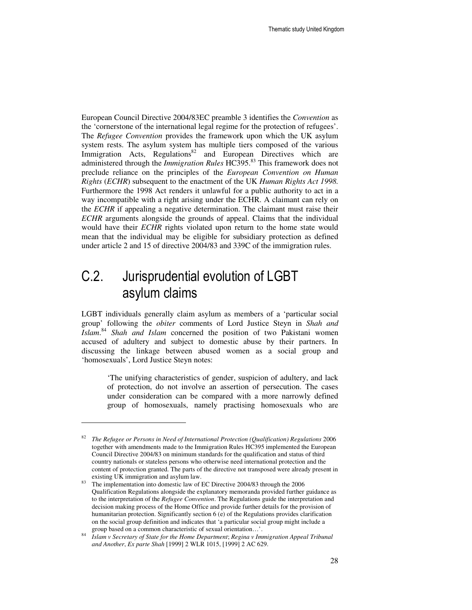European Council Directive 2004/83EC preamble 3 identifies the *Convention* as the 'cornerstone of the international legal regime for the protection of refugees'. The *Refugee Convention* provides the framework upon which the UK asylum system rests. The asylum system has multiple tiers composed of the various Immigration Acts,  $Regulations<sup>82</sup>$  and European Directives which are administered through the *Immigration Rules* HC395.<sup>83</sup> This framework does not preclude reliance on the principles of the *European Convention on Human Rights* (*ECHR*) subsequent to the enactment of the UK *Human Rights Act 1998.*  Furthermore the 1998 Act renders it unlawful for a public authority to act in a way incompatible with a right arising under the ECHR. A claimant can rely on the *ECHR* if appealing a negative determination. The claimant must raise their *ECHR* arguments alongside the grounds of appeal. Claims that the individual would have their *ECHR* rights violated upon return to the home state would mean that the individual may be eligible for subsidiary protection as defined under article 2 and 15 of directive 2004/83 and 339C of the immigration rules.

### C.2. Jurisprudential evolution of LGBT asylum claims

LGBT individuals generally claim asylum as members of a 'particular social group' following the *obiter* comments of Lord Justice Steyn in *Shah and Islam*. <sup>84</sup> *Shah and Islam* concerned the position of two Pakistani women accused of adultery and subject to domestic abuse by their partners. In discussing the linkage between abused women as a social group and 'homosexuals', Lord Justice Steyn notes:

> 'The unifying characteristics of gender, suspicion of adultery, and lack of protection, do not involve an assertion of persecution. The cases under consideration can be compared with a more narrowly defined group of homosexuals, namely practising homosexuals who are

<sup>82</sup> *The Refugee or Persons in Need of International Protection (Qualification) Regulations* 2006 together with amendments made to the Immigration Rules HC395 implemented the European Council Directive 2004/83 on minimum standards for the qualification and status of third country nationals or stateless persons who otherwise need international protection and the content of protection granted. The parts of the directive not transposed were already present in existing UK immigration and asylum law.

<sup>83</sup> The implementation into domestic law of EC Directive 2004/83 through the 2006 Qualification Regulations alongside the explanatory memoranda provided further guidance as to the interpretation of the *Refugee Convention*. The Regulations guide the interpretation and decision making process of the Home Office and provide further details for the provision of humanitarian protection. Significantly section 6 (e) of the Regulations provides clarification on the social group definition and indicates that 'a particular social group might include a group based on a common characteristic of sexual orientation…'.

<sup>84</sup> *Islam v Secretary of State for the Home Department*; *Regina v Immigration Appeal Tribunal and Another*, *Ex parte Shah* [1999] 2 WLR 1015, [1999] 2 AC 629.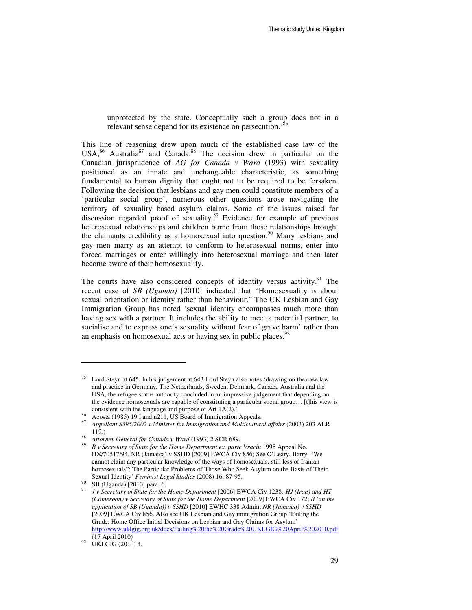unprotected by the state. Conceptually such a group does not in a relevant sense depend for its existence on persecution.'

This line of reasoning drew upon much of the established case law of the USA,<sup>86</sup> Australia<sup>87</sup> and Canada.<sup>88</sup> The decision drew in particular on the Canadian jurisprudence of *AG for Canada v Ward* (1993) with sexuality positioned as an innate and unchangeable characteristic, as something fundamental to human dignity that ought not to be required to be forsaken. Following the decision that lesbians and gay men could constitute members of a 'particular social group', numerous other questions arose navigating the territory of sexuality based asylum claims. Some of the issues raised for discussion regarded proof of sexuality.<sup>89</sup> Evidence for example of previous heterosexual relationships and children borne from those relationships brought the claimants credibility as a homosexual into question.<sup>90</sup> Many lesbians and gay men marry as an attempt to conform to heterosexual norms, enter into forced marriages or enter willingly into heterosexual marriage and then later become aware of their homosexuality.

The courts have also considered concepts of identity versus activity.<sup>91</sup> The recent case of *SB (Uganda)* [2010] indicated that "Homosexuality is about sexual orientation or identity rather than behaviour." The UK Lesbian and Gay Immigration Group has noted 'sexual identity encompasses much more than having sex with a partner. It includes the ability to meet a potential partner, to socialise and to express one's sexuality without fear of grave harm' rather than an emphasis on homosexual acts or having sex in public places.  $92$ 

Lord Steyn at 645. In his judgement at 643 Lord Steyn also notes 'drawing on the case law and practice in Germany, The Netherlands, Sweden, Denmark, Canada, Australia and the USA, the refugee status authority concluded in an impressive judgement that depending on the evidence homosexuals are capable of constituting a particular social group… [t]his view is consistent with the language and purpose of Art 1A(2).'

<sup>86</sup> Acosta (1985) 19 I and n211, US Board of Immigration Appeals.

<sup>87</sup> *Appellant S395/2002 v Minister for Immigration and Multicultural affairs* (2003) 203 ALR 112.)

<sup>88</sup> *Attorney General for Canada v Ward* (1993) 2 SCR 689.

<sup>89</sup> *R v Secretary of State for the Home Department ex. parte Vraciu* 1995 Appeal No. HX/70517/94. NR (Jamaica) v SSHD [2009] EWCA Civ 856; See O'Leary, Barry; "We cannot claim any particular knowledge of the ways of homosexuals, still less of Iranian homosexuals": The Particular Problems of Those Who Seek Asylum on the Basis of Their Sexual Identity' *Feminist Legal Studies* (2008) 16: 87-95.

<sup>90</sup> SB (Uganda) [2010] para. 6.

<sup>91</sup> *J v Secretary of State for the Home Department* [2006] EWCA Civ 1238*; HJ (Iran) and HT (Cameroon) v Secretary of State for the Home Department* [2009] EWCA Civ 172; *R (on the application of SB (Uganda)) v SSHD* [2010] EWHC 338 Admin; *NR (Jamaica) v SSHD* [2009] EWCA Civ 856. Also see UK Lesbian and Gay immigration Group 'Failing the Grade: Home Office Initial Decisions on Lesbian and Gay Claims for Asylum' http://www.uklgig.org.uk/docs/Failing%20the%20Grade%20UKLGIG%20April%202010.pdf (17 April 2010)

 $92$  UKLGIG (2010) 4.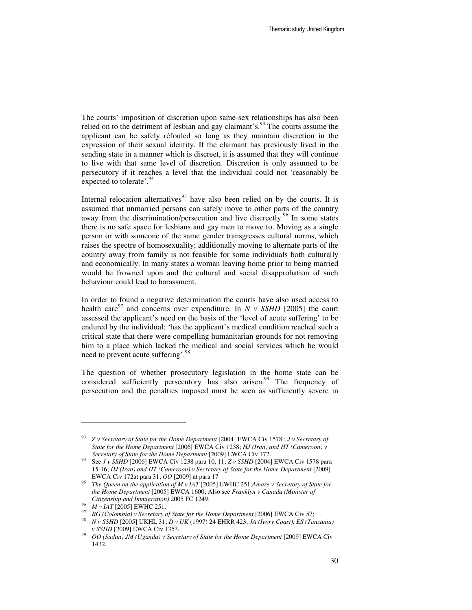The courts' imposition of discretion upon same-sex relationships has also been relied on to the detriment of lesbian and gay claimant's.<sup>93</sup> The courts assume the applicant can be safely réfouled so long as they maintain discretion in the expression of their sexual identity. If the claimant has previously lived in the sending state in a manner which is discreet, it is assumed that they will continue to live with that same level of discretion. Discretion is only assumed to be persecutory if it reaches a level that the individual could not 'reasonably be expected to tolerate'.<sup>94</sup>

Internal relocation alternatives<sup>95</sup> have also been relied on by the courts. It is assumed that unmarried persons can safely move to other parts of the country away from the discrimination/persecution and live discreetly.<sup>96</sup> In some states there is no safe space for lesbians and gay men to move to. Moving as a single person or with someone of the same gender transgresses cultural norms, which raises the spectre of homosexuality; additionally moving to alternate parts of the country away from family is not feasible for some individuals both culturally and economically. In many states a woman leaving home prior to being married would be frowned upon and the cultural and social disapprobation of such behaviour could lead to harassment.

In order to found a negative determination the courts have also used access to health care<sup>97</sup> and concerns over expenditure. In *N v SSHD* [2005] the court assessed the applicant's need on the basis of the 'level of acute suffering' to be endured by the individual; 'has the applicant's medical condition reached such a critical state that there were compelling humanitarian grounds for not removing him to a place which lacked the medical and social services which he would need to prevent acute suffering'.<sup>98</sup>

The question of whether prosecutory legislation in the home state can be considered sufficiently persecutory has also arisen.<sup>99</sup> The frequency of persecution and the penalties imposed must be seen as sufficiently severe in

l

<sup>93</sup> *Z v Secretary of State for the Home Department* [2004] EWCA Civ 1578 ; *J v Secretary of State for the Home Department* [2006] EWCA Civ 1238; *HJ (Iran) and HT (Cameroon) v Secretary of State for the Home Department* [2009] EWCA Civ 172.

<sup>94</sup> See *J v SSHD* [2006] EWCA Civ 1238 para 10, 11; *Z v SSHD* [2004] EWCA Civ 1578 para 15-16; *HJ (Iran) and HT (Cameroon) v Secretary of State for the Home Department* [2009] EWCA Civ 172at para 31; *OO* [2009] at para 17

<sup>95</sup> *The Queen on the application of M v IAT* [2005] EWHC 251;*Amare v Secretary of State for the Home Department* [2005] EWCA 1600; Also see *Franklyn v Canada (Minister of Citizenship and Immigration)* 2005 FC 1249.

*<sup>96</sup> M v IAT* [2005] EWHC 251.

<sup>97</sup> *RG (Colombia) v Secretary of State for the Home Department* [2006] EWCA Civ 57;

<sup>98</sup> *N v SSHD* [2005] UKHL 31; *D v UK* (1997) 24 EHRR 423; *JA (Ivory Coast), ES (Tanzania) v SSHD* [2009] EWCA Civ 1353.

<sup>99</sup> *OO (Sudan) JM (Uganda) v Secretary of State for the Home Department* [2009] EWCA Civ 1432.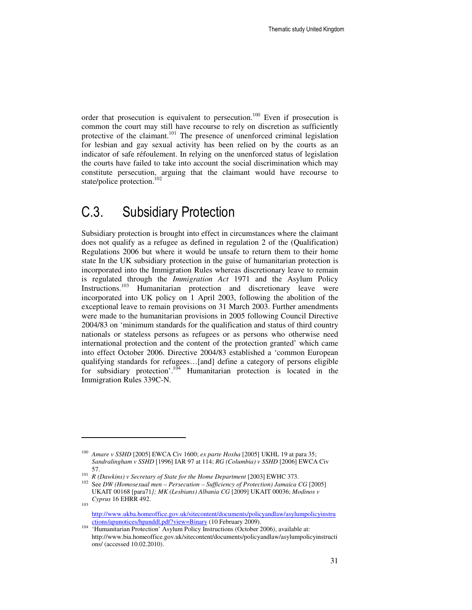order that prosecution is equivalent to persecution.<sup>100</sup> Even if prosecution is common the court may still have recourse to rely on discretion as sufficiently protective of the claimant.<sup>101</sup> The presence of unenforced criminal legislation for lesbian and gay sexual activity has been relied on by the courts as an indicator of safe réfoulement. In relying on the unenforced status of legislation the courts have failed to take into account the social discrimination which may constitute persecution, arguing that the claimant would have recourse to state/police protection.<sup>102</sup>

### C.3. Subsidiary Protection

Subsidiary protection is brought into effect in circumstances where the claimant does not qualify as a refugee as defined in regulation 2 of the (Qualification) Regulations 2006 but where it would be unsafe to return them to their home state In the UK subsidiary protection in the guise of humanitarian protection is incorporated into the Immigration Rules whereas discretionary leave to remain is regulated through the *Immigration Act* 1971 and the Asylum Policy Instructions.<sup>103</sup> Humanitarian protection and discretionary leave were incorporated into UK policy on 1 April 2003, following the abolition of the exceptional leave to remain provisions on 31 March 2003. Further amendments were made to the humanitarian provisions in 2005 following Council Directive 2004/83 on 'minimum standards for the qualification and status of third country nationals or stateless persons as refugees or as persons who otherwise need international protection and the content of the protection granted' which came into effect October 2006. Directive 2004/83 established a 'common European qualifying standards for refugees…[and] define a category of persons eligible for subsidiary protection'.<sup>104</sup> Humanitarian protection is located in the Immigration Rules 339C-N.

l

<sup>100</sup> *Amare v SSHD* [2005] EWCA Civ 1600; *ex parte Hoxha* [2005] UKHL 19 at para 35; *Sandralingham v SSHD* [1996] IAR 97 at 114; *RG (Columbia) v SSHD* [2006] EWCA Civ 57.

<sup>101</sup> <sup>101</sup> *R (Dawkins) v Secretary of State for the Home Department* [2003] EWHC 373.

<sup>102</sup> See *DW (Homosexual men – Persecution – Sufficiency of Protection) Jamaica CG* [2005] UKAIT 00168 [para71*]; MK (Lesbians) Albania CG* [2009] UKAIT 00036; *Modinos v Cyprus* 16 EHRR 492. 103

http://www.ukba.homeoffice.gov.uk/sitecontent/documents/policyandlaw/asylumpolicyinstru ctions/apunotices/hpanddl.pdf?view=Binary (10 February 2009).

<sup>&</sup>lt;sup>104</sup> 'Humanitarian Protection' Asylum Policy Instructions (October 2006), available at: http://www.bia.homeoffice.gov.uk/sitecontent/documents/policyandlaw/asylumpolicyinstructi ons/ (accessed 10.02.2010).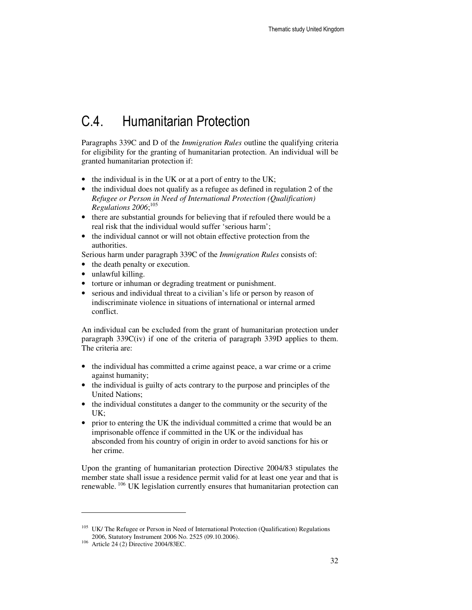## C.4. Humanitarian Protection

Paragraphs 339C and D of the *Immigration Rules* outline the qualifying criteria for eligibility for the granting of humanitarian protection. An individual will be granted humanitarian protection if:

- the individual is in the UK or at a port of entry to the UK;
- the individual does not qualify as a refugee as defined in regulation 2 of the *Refugee or Person in Need of International Protection (Qualification) Regulations 2006*; 105
- there are substantial grounds for believing that if refouled there would be a real risk that the individual would suffer 'serious harm';
- the individual cannot or will not obtain effective protection from the authorities.

Serious harm under paragraph 339C of the *Immigration Rules* consists of:

- the death penalty or execution.
- unlawful killing.
- torture or inhuman or degrading treatment or punishment.
- serious and individual threat to a civilian's life or person by reason of indiscriminate violence in situations of international or internal armed conflict.

An individual can be excluded from the grant of humanitarian protection under paragraph 339C(iv) if one of the criteria of paragraph 339D applies to them. The criteria are:

- the individual has committed a crime against peace, a war crime or a crime against humanity;
- the individual is guilty of acts contrary to the purpose and principles of the United Nations;
- the individual constitutes a danger to the community or the security of the UK;
- prior to entering the UK the individual committed a crime that would be an imprisonable offence if committed in the UK or the individual has absconded from his country of origin in order to avoid sanctions for his or her crime.

Upon the granting of humanitarian protection Directive 2004/83 stipulates the member state shall issue a residence permit valid for at least one year and that is renewable.<sup>106</sup> UK legislation currently ensures that humanitarian protection can

<sup>&</sup>lt;sup>105</sup> UK/ The Refugee or Person in Need of International Protection (Qualification) Regulations 2006, Statutory Instrument 2006 No. 2525 (09.10.2006).

<sup>106</sup> Article 24 (2) Directive 2004/83EC.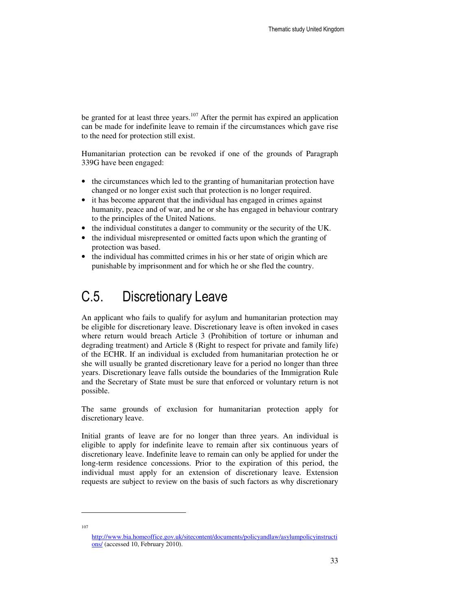be granted for at least three years.<sup>107</sup> After the permit has expired an application can be made for indefinite leave to remain if the circumstances which gave rise to the need for protection still exist.

Humanitarian protection can be revoked if one of the grounds of Paragraph 339G have been engaged:

- the circumstances which led to the granting of humanitarian protection have changed or no longer exist such that protection is no longer required.
- it has become apparent that the individual has engaged in crimes against humanity, peace and of war, and he or she has engaged in behaviour contrary to the principles of the United Nations.
- the individual constitutes a danger to community or the security of the UK.
- the individual misrepresented or omitted facts upon which the granting of protection was based.
- the individual has committed crimes in his or her state of origin which are punishable by imprisonment and for which he or she fled the country.

### C.5. Discretionary Leave

An applicant who fails to qualify for asylum and humanitarian protection may be eligible for discretionary leave. Discretionary leave is often invoked in cases where return would breach Article 3 (Prohibition of torture or inhuman and degrading treatment) and Article 8 (Right to respect for private and family life) of the ECHR. If an individual is excluded from humanitarian protection he or she will usually be granted discretionary leave for a period no longer than three years. Discretionary leave falls outside the boundaries of the Immigration Rule and the Secretary of State must be sure that enforced or voluntary return is not possible.

The same grounds of exclusion for humanitarian protection apply for discretionary leave.

Initial grants of leave are for no longer than three years. An individual is eligible to apply for indefinite leave to remain after six continuous years of discretionary leave. Indefinite leave to remain can only be applied for under the long-term residence concessions. Prior to the expiration of this period, the individual must apply for an extension of discretionary leave. Extension requests are subject to review on the basis of such factors as why discretionary

<sup>107</sup>

http://www.bia.homeoffice.gov.uk/sitecontent/documents/policyandlaw/asylumpolicyinstructi ons/ (accessed 10, February 2010).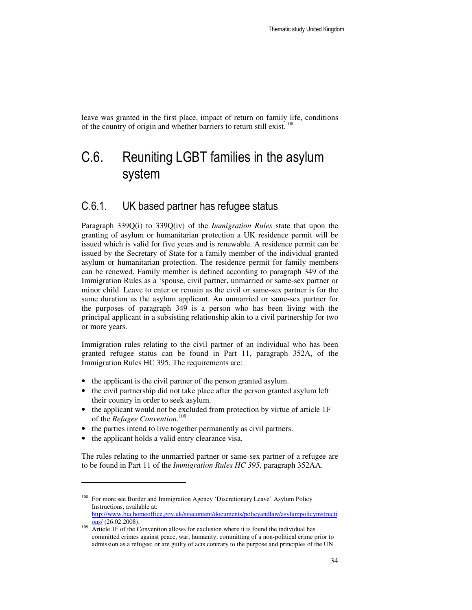leave was granted in the first place, impact of return on family life, conditions of the country of origin and whether barriers to return still exist.<sup>108</sup>

## C.6. Reuniting LGBT families in the asylum system

#### C.6.1. UK based partner has refugee status

Paragraph 339Q(i) to 339Q(iv) of the *Immigration Rules* state that upon the granting of asylum or humanitarian protection a UK residence permit will be issued which is valid for five years and is renewable. A residence permit can be issued by the Secretary of State for a family member of the individual granted asylum or humanitarian protection. The residence permit for family members can be renewed. Family member is defined according to paragraph 349 of the Immigration Rules as a 'spouse, civil partner, unmarried or same-sex partner or minor child. Leave to enter or remain as the civil or same-sex partner is for the same duration as the asylum applicant. An unmarried or same-sex partner for the purposes of paragraph 349 is a person who has been living with the principal applicant in a subsisting relationship akin to a civil partnership for two or more years.

Immigration rules relating to the civil partner of an individual who has been granted refugee status can be found in Part 11, paragraph 352A, of the Immigration Rules HC 395. The requirements are:

- the applicant is the civil partner of the person granted asylum.
- the civil partnership did not take place after the person granted asylum left their country in order to seek asylum.
- the applicant would not be excluded from protection by virtue of article 1F of the *Refugee Convention*. 109
- the parties intend to live together permanently as civil partners.
- the applicant holds a valid entry clearance visa.

-

The rules relating to the unmarried partner or same-sex partner of a refugee are to be found in Part 11 of the *Immigration Rules HC 395*, paragraph 352AA.

<sup>&</sup>lt;sup>108</sup> For more see Border and Immigration Agency 'Discretionary Leave' Asylum Policy Instructions, available at: http://www.bia.homeoffice.gov.uk/sitecontent/documents/policyandlaw/asylumpolicyinstructi

ons/ (26.02.2008).  $\frac{\mu_{\text{max}}}{\text{Article 1F of the Convention allows for exclusion where it is found the individual has}}$ 

committed crimes against peace, war, humanity; committing of a non-political crime prior to admission as a refugee; or are guilty of acts contrary to the purpose and principles of the UN.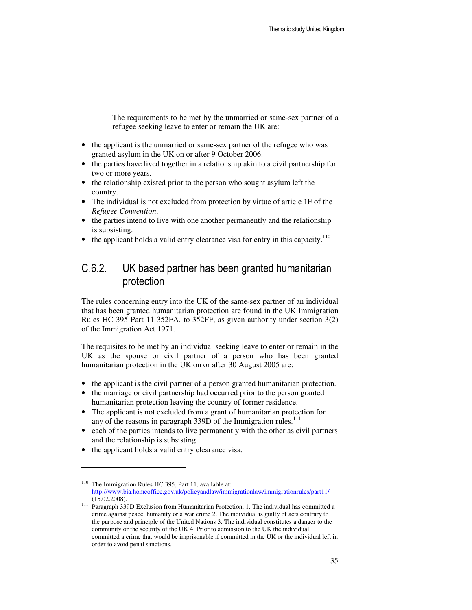The requirements to be met by the unmarried or same-sex partner of a refugee seeking leave to enter or remain the UK are:

- the applicant is the unmarried or same-sex partner of the refugee who was granted asylum in the UK on or after 9 October 2006.
- the parties have lived together in a relationship akin to a civil partnership for two or more years.
- the relationship existed prior to the person who sought asylum left the country.
- The individual is not excluded from protection by virtue of article 1F of the *Refugee Convention*.
- the parties intend to live with one another permanently and the relationship is subsisting.
- $\bullet$  the applicant holds a valid entry clearance visa for entry in this capacity.<sup>110</sup>

#### C.6.2. UK based partner has been granted humanitarian protection

The rules concerning entry into the UK of the same-sex partner of an individual that has been granted humanitarian protection are found in the UK Immigration Rules HC 395 Part 11 352FA. to 352FF, as given authority under section 3(2) of the Immigration Act 1971.

The requisites to be met by an individual seeking leave to enter or remain in the UK as the spouse or civil partner of a person who has been granted humanitarian protection in the UK on or after 30 August 2005 are:

- the applicant is the civil partner of a person granted humanitarian protection.
- the marriage or civil partnership had occurred prior to the person granted humanitarian protection leaving the country of former residence.
- The applicant is not excluded from a grant of humanitarian protection for any of the reasons in paragraph 339D of the Immigration rules.<sup>111</sup>
- each of the parties intends to live permanently with the other as civil partners and the relationship is subsisting.
- the applicant holds a valid entry clearance visa.

<sup>&</sup>lt;sup>110</sup> The Immigration Rules HC 395, Part 11, available at: http://www.bia.homeoffice.gov.uk/policyandlaw/immigrationlaw/immigrationrules/part11/ (15.02.2008).

<sup>&</sup>lt;sup>111</sup> Paragraph 339D Exclusion from Humanitarian Protection. 1. The individual has committed a crime against peace, humanity or a war crime 2. The individual is guilty of acts contrary to the purpose and principle of the United Nations 3. The individual constitutes a danger to the community or the security of the UK 4. Prior to admission to the UK the individual committed a crime that would be imprisonable if committed in the UK or the individual left in order to avoid penal sanctions.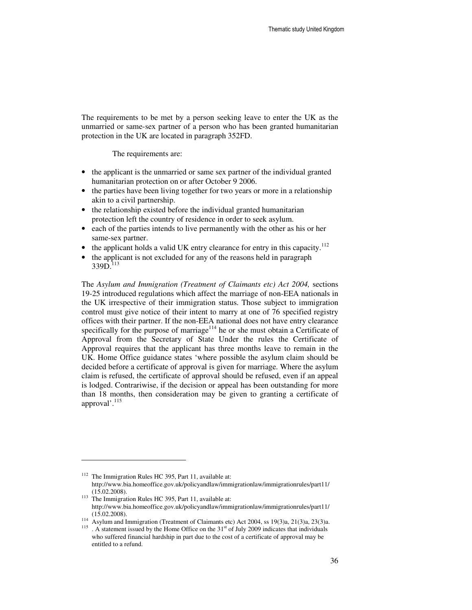The requirements to be met by a person seeking leave to enter the UK as the unmarried or same-sex partner of a person who has been granted humanitarian protection in the UK are located in paragraph 352FD.

The requirements are:

l

- the applicant is the unmarried or same sex partner of the individual granted humanitarian protection on or after October 9 2006.
- the parties have been living together for two years or more in a relationship akin to a civil partnership.
- the relationship existed before the individual granted humanitarian protection left the country of residence in order to seek asylum.
- each of the parties intends to live permanently with the other as his or her same-sex partner.
- $\bullet$  the applicant holds a valid UK entry clearance for entry in this capacity.<sup>112</sup>
- the applicant is not excluded for any of the reasons held in paragraph  $339D.<sup>113</sup>$

The *Asylum and Immigration (Treatment of Claimants etc) Act 2004,* sections 19-25 introduced regulations which affect the marriage of non-EEA nationals in the UK irrespective of their immigration status. Those subject to immigration control must give notice of their intent to marry at one of 76 specified registry offices with their partner. If the non-EEA national does not have entry clearance specifically for the purpose of marriage $114$  he or she must obtain a Certificate of Approval from the Secretary of State Under the rules the Certificate of Approval requires that the applicant has three months leave to remain in the UK. Home Office guidance states 'where possible the asylum claim should be decided before a certificate of approval is given for marriage. Where the asylum claim is refused, the certificate of approval should be refused, even if an appeal is lodged. Contrariwise, if the decision or appeal has been outstanding for more than 18 months, then consideration may be given to granting a certificate of approval'.<sup>115</sup>

<sup>&</sup>lt;sup>112</sup> The Immigration Rules HC 395, Part 11, available at: http://www.bia.homeoffice.gov.uk/policyandlaw/immigrationlaw/immigrationrules/part11/ (15.02.2008).

<sup>&</sup>lt;sup>113</sup> The Immigration Rules HC 395, Part 11, available at: http://www.bia.homeoffice.gov.uk/policyandlaw/immigrationlaw/immigrationrules/part11/ (15.02.2008).

<sup>114</sup> Asylum and Immigration (Treatment of Claimants etc) Act 2004, ss 19(3)a, 21(3)a, 23(3)a.

<sup>&</sup>lt;sup>115</sup> . A statement issued by the Home Office on the  $31<sup>st</sup>$  of July 2009 indicates that individuals who suffered financial hardship in part due to the cost of a certificate of approval may be entitled to a refund.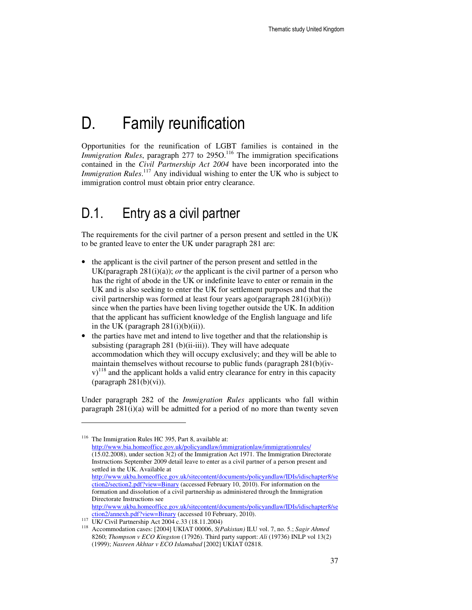# D. Family reunification

Opportunities for the reunification of LGBT families is contained in the *Immigration Rules*, paragraph 277 to 2950.<sup>116</sup> The immigration specifications contained in the *Civil Partnership Act 2004* have been incorporated into the *Immigration Rules*.<sup>117</sup> Any individual wishing to enter the UK who is subject to immigration control must obtain prior entry clearance.

#### D.1. Entry as a civil partner

 $\ddot{ }$ 

The requirements for the civil partner of a person present and settled in the UK to be granted leave to enter the UK under paragraph 281 are:

- the applicant is the civil partner of the person present and settled in the UK(paragraph  $281(i)(a)$ ); *or* the applicant is the civil partner of a person who has the right of abode in the UK or indefinite leave to enter or remain in the UK and is also seeking to enter the UK for settlement purposes and that the civil partnership was formed at least four years ago(paragraph  $281(i)(b)(i)$ ) since when the parties have been living together outside the UK. In addition that the applicant has sufficient knowledge of the English language and life in the UK (paragraph  $281(i)(b)(ii)$ ).
- the parties have met and intend to live together and that the relationship is subsisting (paragraph  $281$  (b)(ii-iii)). They will have adequate accommodation which they will occupy exclusively; and they will be able to maintain themselves without recourse to public funds (paragraph 281(b)(iv $v$ <sup>118</sup> and the applicant holds a valid entry clearance for entry in this capacity (paragraph 281(b)(vi)).

Under paragraph 282 of the *Immigration Rules* applicants who fall within paragraph  $281(i)(a)$  will be admitted for a period of no more than twenty seven

<sup>&</sup>lt;sup>116</sup> The Immigration Rules HC 395, Part 8, available at: http://www.bia.homeoffice.gov.uk/policyandlaw/immigrationlaw/immigrationrules/ (15.02.2008), under section 3(2) of the Immigration Act 1971. The Immigration Directorate Instructions September 2009 detail leave to enter as a civil partner of a person present and settled in the UK. Available at http://www.ukba.homeoffice.gov.uk/sitecontent/documents/policyandlaw/IDIs/idischapter8/se ction2/section2.pdf?view=Binary (accessed February 10, 2010). For information on the formation and dissolution of a civil partnership as administered through the Immigration Directorate Instructions see http://www.ukba.homeoffice.gov.uk/sitecontent/documents/policyandlaw/IDIs/idischapter8/se

ction2/annexh.pdf?view=Binary (accessed 10 February, 2010). <sup>117</sup> UK/ Civil Partnership Act 2004 c.33 (18.11.2004)

<sup>118</sup> Accommodation cases: [2004] UKIAT 00006, *S(Pakistan)* ILU vol. 7, no. 5.; *Sagir Ahmed* 8260; *Thompson v ECO Kingston* (17926). Third party support: *Ali* (19736) INLP vol 13(2) (1999); *Nasreen Akhtar v ECO Islamabad* [2002] UKIAT 02818.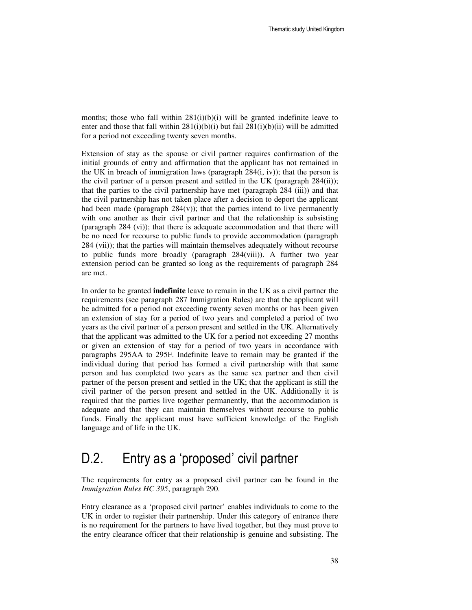months; those who fall within  $281(i)(b)(i)$  will be granted indefinite leave to enter and those that fall within  $281(i)(b)(i)$  but fail  $281(i)(b)(ii)$  will be admitted for a period not exceeding twenty seven months.

Extension of stay as the spouse or civil partner requires confirmation of the initial grounds of entry and affirmation that the applicant has not remained in the UK in breach of immigration laws (paragraph 284(i, iv)); that the person is the civil partner of a person present and settled in the UK (paragraph 284(ii)); that the parties to the civil partnership have met (paragraph 284 (iii)) and that the civil partnership has not taken place after a decision to deport the applicant had been made (paragraph  $284(v)$ ); that the parties intend to live permanently with one another as their civil partner and that the relationship is subsisting (paragraph 284 (vi)); that there is adequate accommodation and that there will be no need for recourse to public funds to provide accommodation (paragraph 284 (vii)); that the parties will maintain themselves adequately without recourse to public funds more broadly (paragraph 284(viii)). A further two year extension period can be granted so long as the requirements of paragraph 284 are met.

In order to be granted **indefinite** leave to remain in the UK as a civil partner the requirements (see paragraph 287 Immigration Rules) are that the applicant will be admitted for a period not exceeding twenty seven months or has been given an extension of stay for a period of two years and completed a period of two years as the civil partner of a person present and settled in the UK. Alternatively that the applicant was admitted to the UK for a period not exceeding 27 months or given an extension of stay for a period of two years in accordance with paragraphs 295AA to 295F. Indefinite leave to remain may be granted if the individual during that period has formed a civil partnership with that same person and has completed two years as the same sex partner and then civil partner of the person present and settled in the UK; that the applicant is still the civil partner of the person present and settled in the UK. Additionally it is required that the parties live together permanently, that the accommodation is adequate and that they can maintain themselves without recourse to public funds. Finally the applicant must have sufficient knowledge of the English language and of life in the UK.

### D.2. Entry as a 'proposed' civil partner

The requirements for entry as a proposed civil partner can be found in the *Immigration Rules HC 395*, paragraph 290.

Entry clearance as a 'proposed civil partner' enables individuals to come to the UK in order to register their partnership. Under this category of entrance there is no requirement for the partners to have lived together, but they must prove to the entry clearance officer that their relationship is genuine and subsisting. The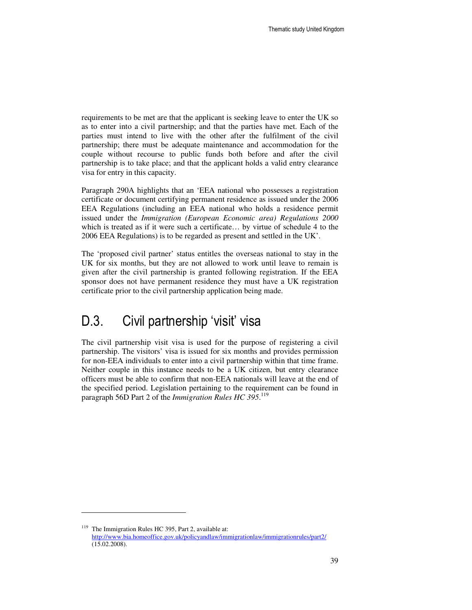requirements to be met are that the applicant is seeking leave to enter the UK so as to enter into a civil partnership; and that the parties have met. Each of the parties must intend to live with the other after the fulfilment of the civil partnership; there must be adequate maintenance and accommodation for the couple without recourse to public funds both before and after the civil partnership is to take place; and that the applicant holds a valid entry clearance visa for entry in this capacity.

Paragraph 290A highlights that an 'EEA national who possesses a registration certificate or document certifying permanent residence as issued under the 2006 EEA Regulations (including an EEA national who holds a residence permit issued under the *Immigration (European Economic area) Regulations 2000* which is treated as if it were such a certificate… by virtue of schedule 4 to the 2006 EEA Regulations) is to be regarded as present and settled in the UK'.

The 'proposed civil partner' status entitles the overseas national to stay in the UK for six months, but they are not allowed to work until leave to remain is given after the civil partnership is granted following registration. If the EEA sponsor does not have permanent residence they must have a UK registration certificate prior to the civil partnership application being made.

#### D.3. Civil partnership 'visit' visa

The civil partnership visit visa is used for the purpose of registering a civil partnership. The visitors' visa is issued for six months and provides permission for non-EEA individuals to enter into a civil partnership within that time frame. Neither couple in this instance needs to be a UK citizen, but entry clearance officers must be able to confirm that non-EEA nationals will leave at the end of the specified period. Legislation pertaining to the requirement can be found in paragraph 56D Part 2 of the *Immigration Rules HC 395*. 119

<sup>&</sup>lt;sup>119</sup> The Immigration Rules HC 395, Part 2, available at: http://www.bia.homeoffice.gov.uk/policyandlaw/immigrationlaw/immigrationrules/part2/ (15.02.2008).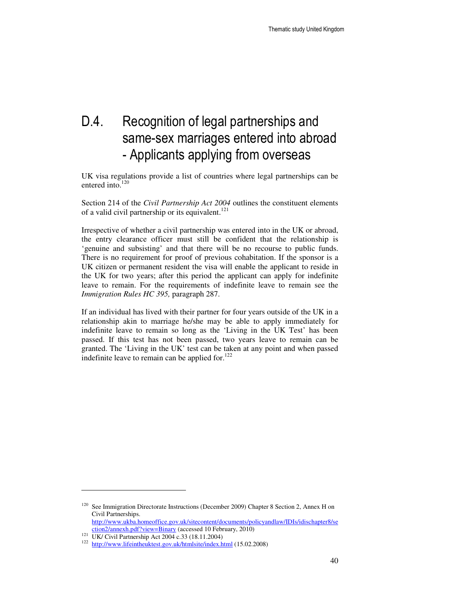## D.4. Recognition of legal partnerships and same-sex marriages entered into abroad - Applicants applying from overseas

UK visa regulations provide a list of countries where legal partnerships can be entered into. $120$ 

Section 214 of the *Civil Partnership Act 2004* outlines the constituent elements of a valid civil partnership or its equivalent.<sup>121</sup>

Irrespective of whether a civil partnership was entered into in the UK or abroad, the entry clearance officer must still be confident that the relationship is 'genuine and subsisting' and that there will be no recourse to public funds. There is no requirement for proof of previous cohabitation. If the sponsor is a UK citizen or permanent resident the visa will enable the applicant to reside in the UK for two years; after this period the applicant can apply for indefinite leave to remain. For the requirements of indefinite leave to remain see the *Immigration Rules HC 395,* paragraph 287.

If an individual has lived with their partner for four years outside of the UK in a relationship akin to marriage he/she may be able to apply immediately for indefinite leave to remain so long as the 'Living in the UK Test' has been passed. If this test has not been passed, two years leave to remain can be granted. The 'Living in the UK' test can be taken at any point and when passed indefinite leave to remain can be applied for. $122$ 

<sup>&</sup>lt;sup>120</sup> See Immigration Directorate Instructions (December 2009) Chapter 8 Section 2, Annex H on Civil Partnerships.

http://www.ukba.homeoffice.gov.uk/sitecontent/documents/policyandlaw/IDIs/idischapter8/se ction2/annexh.pdf?view=Binary (accessed 10 February, 2010)

<sup>121</sup> UK/ Civil Partnership Act 2004 c.33 (18.11.2004)

<sup>&</sup>lt;sup>122</sup> http://www.lifeintheuktest.gov.uk/htmlsite/index.html (15.02.2008)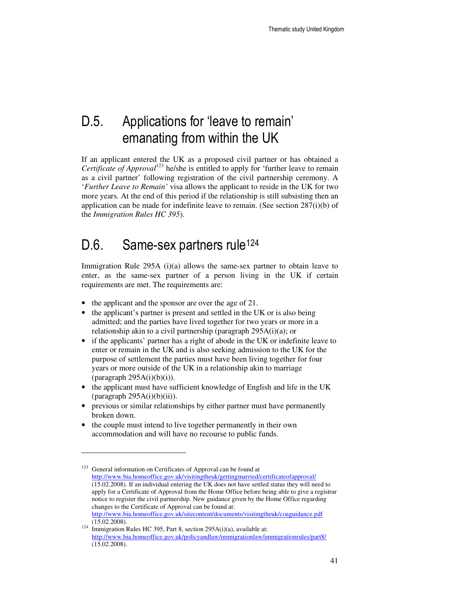## D.5. Applications for 'leave to remain' emanating from within the UK

If an applicant entered the UK as a proposed civil partner or has obtained a *Certificate of Approval*<sup>123</sup> he/she is entitled to apply for 'further leave to remain as a civil partner' following registration of the civil partnership ceremony. A '*Further Leave to Remain'* visa allows the applicant to reside in the UK for two more years. At the end of this period if the relationship is still subsisting then an application can be made for indefinite leave to remain. (See section 287(i)(b) of the *Immigration Rules HC 395*).

#### D.6. Same-sex partners rule<sup>124</sup>

Immigration Rule 295A  $(i)(a)$  allows the same-sex partner to obtain leave to enter, as the same-sex partner of a person living in the UK if certain requirements are met. The requirements are:

- the applicant and the sponsor are over the age of 21.
- the applicant's partner is present and settled in the UK or is also being admitted; and the parties have lived together for two years or more in a relationship akin to a civil partnership (paragraph 295A(i)(a); or
- if the applicants' partner has a right of abode in the UK or indefinite leave to enter or remain in the UK and is also seeking admission to the UK for the purpose of settlement the parties must have been living together for four years or more outside of the UK in a relationship akin to marriage  ${\rm (pargraph~295A(i)(b)(i))}.$
- the applicant must have sufficient knowledge of English and life in the UK  $(\text{pargraph } 295A(i)(b)(ii)).$
- previous or similar relationships by either partner must have permanently broken down.
- the couple must intend to live together permanently in their own accommodation and will have no recourse to public funds.

<sup>&</sup>lt;sup>123</sup> General information on Certificates of Approval can be found at http://www.bia.homeoffice.gov.uk/visitingtheuk/gettingmarried/certificateofapproval/ (15.02.2008). If an individual entering the UK does not have settled status they will need to apply for a Certificate of Approval from the Home Office before being able to give a registrar notice to register the civil partnership. New guidance given by the Home Office regarding changes to the Certificate of Approval can be found at: http://www.bia.homeoffice.gov.uk/sitecontent/documents/visitingtheuk/coaguidance.pdf (15.02.2008).

 $124$  Immigration Rules HC 395, Part 8, section 295A(i)(a), available at: http://www.bia.homeoffice.gov.uk/policyandlaw/immigrationlaw/immigrationrules/part8/ (15.02.2008).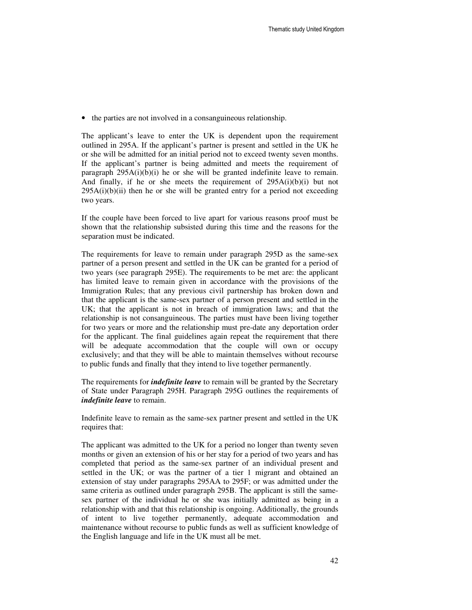• the parties are not involved in a consanguineous relationship.

The applicant's leave to enter the UK is dependent upon the requirement outlined in 295A. If the applicant's partner is present and settled in the UK he or she will be admitted for an initial period not to exceed twenty seven months. If the applicant's partner is being admitted and meets the requirement of paragraph  $295A(i)(b)(i)$  he or she will be granted indefinite leave to remain. And finally, if he or she meets the requirement of  $295A(i)(b)(i)$  but not  $295A(i)(b)(ii)$  then he or she will be granted entry for a period not exceeding two years.

If the couple have been forced to live apart for various reasons proof must be shown that the relationship subsisted during this time and the reasons for the separation must be indicated.

The requirements for leave to remain under paragraph 295D as the same-sex partner of a person present and settled in the UK can be granted for a period of two years (see paragraph 295E). The requirements to be met are: the applicant has limited leave to remain given in accordance with the provisions of the Immigration Rules; that any previous civil partnership has broken down and that the applicant is the same-sex partner of a person present and settled in the UK; that the applicant is not in breach of immigration laws; and that the relationship is not consanguineous. The parties must have been living together for two years or more and the relationship must pre-date any deportation order for the applicant. The final guidelines again repeat the requirement that there will be adequate accommodation that the couple will own or occupy exclusively; and that they will be able to maintain themselves without recourse to public funds and finally that they intend to live together permanently.

The requirements for *indefinite leave* to remain will be granted by the Secretary of State under Paragraph 295H. Paragraph 295G outlines the requirements of *indefinite leave* to remain.

Indefinite leave to remain as the same-sex partner present and settled in the UK requires that:

The applicant was admitted to the UK for a period no longer than twenty seven months or given an extension of his or her stay for a period of two years and has completed that period as the same-sex partner of an individual present and settled in the UK; or was the partner of a tier 1 migrant and obtained an extension of stay under paragraphs 295AA to 295F; or was admitted under the same criteria as outlined under paragraph 295B. The applicant is still the samesex partner of the individual he or she was initially admitted as being in a relationship with and that this relationship is ongoing. Additionally, the grounds of intent to live together permanently, adequate accommodation and maintenance without recourse to public funds as well as sufficient knowledge of the English language and life in the UK must all be met.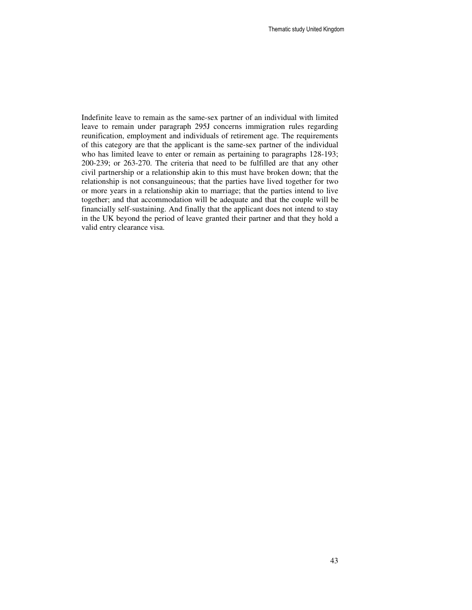Indefinite leave to remain as the same-sex partner of an individual with limited leave to remain under paragraph 295J concerns immigration rules regarding reunification, employment and individuals of retirement age. The requirements of this category are that the applicant is the same-sex partner of the individual who has limited leave to enter or remain as pertaining to paragraphs 128-193; 200-239; or 263-270. The criteria that need to be fulfilled are that any other civil partnership or a relationship akin to this must have broken down; that the relationship is not consanguineous; that the parties have lived together for two or more years in a relationship akin to marriage; that the parties intend to live together; and that accommodation will be adequate and that the couple will be financially self-sustaining. And finally that the applicant does not intend to stay in the UK beyond the period of leave granted their partner and that they hold a valid entry clearance visa.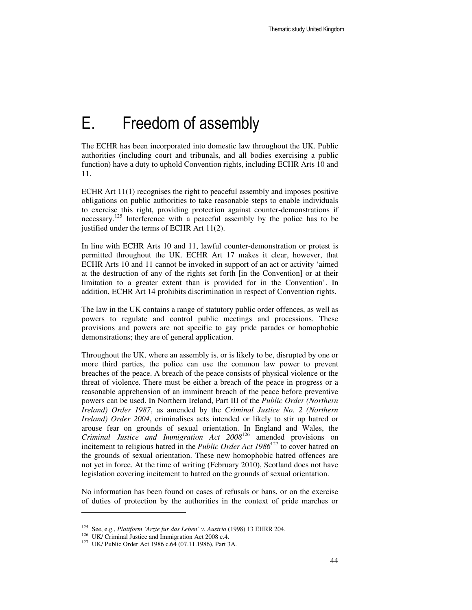# E. Freedom of assembly

The ECHR has been incorporated into domestic law throughout the UK. Public authorities (including court and tribunals, and all bodies exercising a public function) have a duty to uphold Convention rights, including ECHR Arts 10 and 11.

ECHR Art 11(1) recognises the right to peaceful assembly and imposes positive obligations on public authorities to take reasonable steps to enable individuals to exercise this right, providing protection against counter-demonstrations if necessary.<sup>125</sup> Interference with a peaceful assembly by the police has to be justified under the terms of ECHR Art 11(2).

In line with ECHR Arts 10 and 11, lawful counter-demonstration or protest is permitted throughout the UK. ECHR Art 17 makes it clear, however, that ECHR Arts 10 and 11 cannot be invoked in support of an act or activity 'aimed at the destruction of any of the rights set forth [in the Convention] or at their limitation to a greater extent than is provided for in the Convention'. In addition, ECHR Art 14 prohibits discrimination in respect of Convention rights.

The law in the UK contains a range of statutory public order offences, as well as powers to regulate and control public meetings and processions. These provisions and powers are not specific to gay pride parades or homophobic demonstrations; they are of general application.

Throughout the UK, where an assembly is, or is likely to be, disrupted by one or more third parties, the police can use the common law power to prevent breaches of the peace. A breach of the peace consists of physical violence or the threat of violence. There must be either a breach of the peace in progress or a reasonable apprehension of an imminent breach of the peace before preventive powers can be used. In Northern Ireland, Part III of the *Public Order (Northern Ireland) Order 1987*, as amended by the *Criminal Justice No. 2 (Northern Ireland) Order 2004*, criminalises acts intended or likely to stir up hatred or arouse fear on grounds of sexual orientation. In England and Wales, the *Criminal Justice and Immigration Act 2008*<sup>126</sup> amended provisions on incitement to religious hatred in the *Public Order Act 1986*<sup>127</sup> to cover hatred on the grounds of sexual orientation. These new homophobic hatred offences are not yet in force. At the time of writing (February 2010), Scotland does not have legislation covering incitement to hatred on the grounds of sexual orientation.

No information has been found on cases of refusals or bans, or on the exercise of duties of protection by the authorities in the context of pride marches or

<sup>125</sup> See, e.g., *Plattform 'Arzte fur das Leben' v. Austria* (1998) 13 EHRR 204.

<sup>&</sup>lt;sup>126</sup> UK/ Criminal Justice and Immigration Act 2008 c.4.

<sup>127</sup> UK/ Public Order Act 1986 c.64 (07.11.1986), Part 3A.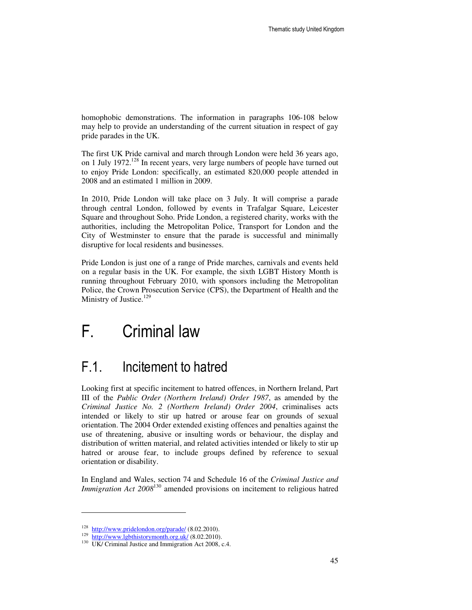homophobic demonstrations. The information in paragraphs 106-108 below may help to provide an understanding of the current situation in respect of gay pride parades in the UK.

The first UK Pride carnival and march through London were held 36 years ago, on 1 July 1972.<sup>128</sup> In recent years, very large numbers of people have turned out to enjoy Pride London: specifically, an estimated 820,000 people attended in 2008 and an estimated 1 million in 2009.

In 2010, Pride London will take place on 3 July. It will comprise a parade through central London, followed by events in Trafalgar Square, Leicester Square and throughout Soho. Pride London, a registered charity, works with the authorities, including the Metropolitan Police, Transport for London and the City of Westminster to ensure that the parade is successful and minimally disruptive for local residents and businesses.

Pride London is just one of a range of Pride marches, carnivals and events held on a regular basis in the UK. For example, the sixth LGBT History Month is running throughout February 2010, with sponsors including the Metropolitan Police, the Crown Prosecution Service (CPS), the Department of Health and the Ministry of Justice.<sup>129</sup>

## F. Criminal law

### F.1. Incitement to hatred

Looking first at specific incitement to hatred offences, in Northern Ireland, Part III of the *Public Order (Northern Ireland) Order 1987*, as amended by the *Criminal Justice No. 2 (Northern Ireland) Order 2004*, criminalises acts intended or likely to stir up hatred or arouse fear on grounds of sexual orientation. The 2004 Order extended existing offences and penalties against the use of threatening, abusive or insulting words or behaviour, the display and distribution of written material, and related activities intended or likely to stir up hatred or arouse fear, to include groups defined by reference to sexual orientation or disability.

In England and Wales, section 74 and Schedule 16 of the *Criminal Justice and Immigration Act 2008*<sup>130</sup> amended provisions on incitement to religious hatred

<sup>&</sup>lt;sup>128</sup> http://www.pridelondon.org/parade/ (8.02.2010).

<sup>&</sup>lt;sup>129</sup> http://www.lgbthistorymonth.org.uk/ (8.02.2010).

<sup>&</sup>lt;sup>130</sup> UK/ Criminal Justice and Immigration Act 2008, c.4.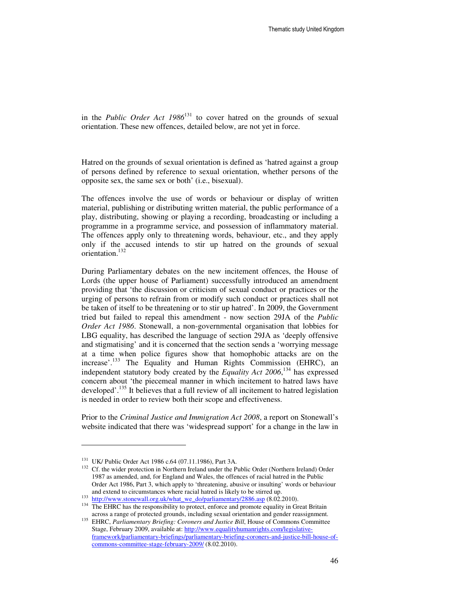in the *Public Order Act 1986*<sup>131</sup> to cover hatred on the grounds of sexual orientation. These new offences, detailed below, are not yet in force.

Hatred on the grounds of sexual orientation is defined as 'hatred against a group of persons defined by reference to sexual orientation, whether persons of the opposite sex, the same sex or both' (i.e., bisexual).

The offences involve the use of words or behaviour or display of written material, publishing or distributing written material, the public performance of a play, distributing, showing or playing a recording, broadcasting or including a programme in a programme service, and possession of inflammatory material. The offences apply only to threatening words, behaviour, etc., and they apply only if the accused intends to stir up hatred on the grounds of sexual orientation.<sup>132</sup>

During Parliamentary debates on the new incitement offences, the House of Lords (the upper house of Parliament) successfully introduced an amendment providing that 'the discussion or criticism of sexual conduct or practices or the urging of persons to refrain from or modify such conduct or practices shall not be taken of itself to be threatening or to stir up hatred'. In 2009, the Government tried but failed to repeal this amendment - now section 29JA of the *Public Order Act 1986*. Stonewall, a non-governmental organisation that lobbies for LBG equality, has described the language of section 29JA as 'deeply offensive and stigmatising' and it is concerned that the section sends a 'worrying message at a time when police figures show that homophobic attacks are on the increase'.<sup>133</sup> The Equality and Human Rights Commission (EHRC), an independent statutory body created by the *Equality Act 2006*, <sup>134</sup> has expressed concern about 'the piecemeal manner in which incitement to hatred laws have developed'.<sup>135</sup> It believes that a full review of all incitement to hatred legislation is needed in order to review both their scope and effectiveness.

Prior to the *Criminal Justice and Immigration Act 2008*, a report on Stonewall's website indicated that there was 'widespread support' for a change in the law in

<sup>131</sup> UK/ Public Order Act 1986 c.64 (07.11.1986), Part 3A.

<sup>&</sup>lt;sup>132</sup> Cf. the wider protection in Northern Ireland under the Public Order (Northern Ireland) Order 1987 as amended, and, for England and Wales, the offences of racial hatred in the Public Order Act 1986, Part 3, which apply to 'threatening, abusive or insulting' words or behaviour and extend to circumstances where racial hatred is likely to be stirred up.

<sup>&</sup>lt;sup>133</sup> http://www.stonewall.org.uk/what\_we\_do/parliamentary/2886.asp (8.02.2010).

<sup>&</sup>lt;sup>134</sup> The EHRC has the responsibility to protect, enforce and promote equality in Great Britain across a range of protected grounds, including sexual orientation and gender reassignment.

<sup>&</sup>lt;sup>135</sup> EHRC, *Parliamentary Briefing: Coroners and Justice Bill*, House of Commons Committee Stage, February 2009, available at: http://www.equalityhumanrights.com/legislativeframework/parliamentary-briefings/parliamentary-briefing-coroners-and-justice-bill-house-ofcommons-committee-stage-february-2009/ (8.02.2010).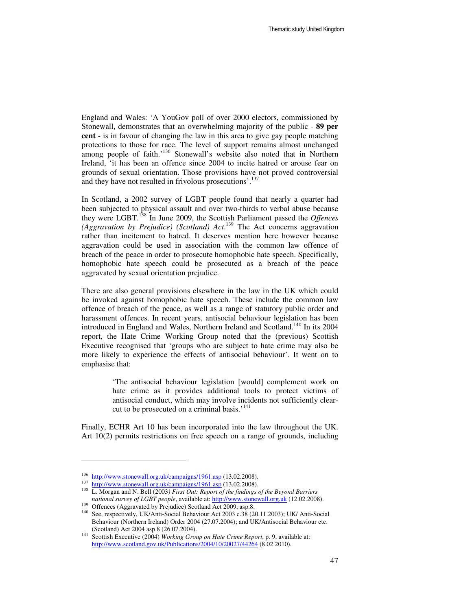England and Wales: 'A YouGov poll of over 2000 electors, commissioned by Stonewall, demonstrates that an overwhelming majority of the public - **89 per cent** - is in favour of changing the law in this area to give gay people matching protections to those for race. The level of support remains almost unchanged among people of faith.<sup>'136</sup> Stonewall's website also noted that in Northern Ireland, 'it has been an offence since 2004 to incite hatred or arouse fear on grounds of sexual orientation. Those provisions have not proved controversial and they have not resulted in frivolous prosecutions'.<sup>137</sup>

In Scotland, a 2002 survey of LGBT people found that nearly a quarter had been subjected to physical assault and over two-thirds to verbal abuse because they were LGBT.<sup>138</sup> In June 2009, the Scottish Parliament passed the *Offences (Aggravation by Prejudice) (Scotland) Act*. <sup>139</sup> The Act concerns aggravation rather than incitement to hatred. It deserves mention here however because aggravation could be used in association with the common law offence of breach of the peace in order to prosecute homophobic hate speech. Specifically, homophobic hate speech could be prosecuted as a breach of the peace aggravated by sexual orientation prejudice.

There are also general provisions elsewhere in the law in the UK which could be invoked against homophobic hate speech. These include the common law offence of breach of the peace, as well as a range of statutory public order and harassment offences. In recent years, antisocial behaviour legislation has been introduced in England and Wales, Northern Ireland and Scotland.<sup>140</sup> In its 2004 report, the Hate Crime Working Group noted that the (previous) Scottish Executive recognised that 'groups who are subject to hate crime may also be more likely to experience the effects of antisocial behaviour'. It went on to emphasise that:

> 'The antisocial behaviour legislation [would] complement work on hate crime as it provides additional tools to protect victims of antisocial conduct, which may involve incidents not sufficiently clearcut to be prosecuted on a criminal basis.<sup>'141</sup>

Finally, ECHR Art 10 has been incorporated into the law throughout the UK. Art 10(2) permits restrictions on free speech on a range of grounds, including

<sup>&</sup>lt;sup>136</sup> http://www.stonewall.org.uk/campaigns/1961.asp (13.02.2008).

<sup>&</sup>lt;sup>137</sup> http://www.stonewall.org.uk/campaigns/1961.asp (13.02.2008).

<sup>138</sup> L. Morgan and N. Bell (2003*) First Out: Report of the findings of the Beyond Barriers national survey of LGBT people*, available at: http://www.stonewall.org.uk (12.02.2008).

<sup>139</sup> Offences (Aggravated by Prejudice) Scotland Act 2009, asp.8.

<sup>140</sup> See, respectively, UK/Anti-Social Behaviour Act 2003 c.38 (20.11.2003); UK/ Anti-Social Behaviour (Northern Ireland) Order 2004 (27.07.2004); and UK/Antisocial Behaviour etc. (Scotland) Act 2004 asp.8 (26.07.2004).

<sup>141</sup> Scottish Executive (2004) *Working Group on Hate Crime Report*, p. 9, available at: http://www.scotland.gov.uk/Publications/2004/10/20027/44264 (8.02.2010).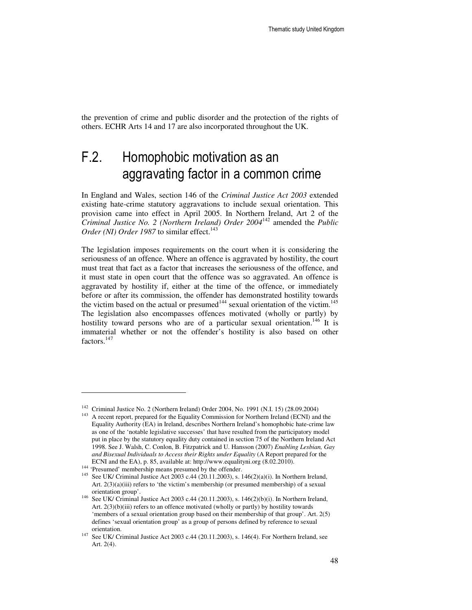the prevention of crime and public disorder and the protection of the rights of others. ECHR Arts 14 and 17 are also incorporated throughout the UK.

## F.2. Homophobic motivation as an aggravating factor in a common crime

In England and Wales, section 146 of the *Criminal Justice Act 2003* extended existing hate-crime statutory aggravations to include sexual orientation. This provision came into effect in April 2005. In Northern Ireland, Art 2 of the *Criminal Justice No. 2 (Northern Ireland) Order 2004* <sup>142</sup> amended the *Public Order (NI) Order 1987* to similar effect.<sup>143</sup>

The legislation imposes requirements on the court when it is considering the seriousness of an offence. Where an offence is aggravated by hostility, the court must treat that fact as a factor that increases the seriousness of the offence, and it must state in open court that the offence was so aggravated. An offence is aggravated by hostility if, either at the time of the offence, or immediately before or after its commission, the offender has demonstrated hostility towards the victim based on the actual or presumed $144$  sexual orientation of the victim.<sup>145</sup> The legislation also encompasses offences motivated (wholly or partly) by hostility toward persons who are of a particular sexual orientation.<sup>146</sup> It is immaterial whether or not the offender's hostility is also based on other factors.<sup>147</sup>

<sup>142</sup> Criminal Justice No. 2 (Northern Ireland) Order 2004, No. 1991 (N.I. 15) (28.09.2004)

<sup>&</sup>lt;sup>143</sup> A recent report, prepared for the Equality Commission for Northern Ireland (ECNI) and the Equality Authority (EA) in Ireland, describes Northern Ireland's homophobic hate-crime law as one of the 'notable legislative successes' that have resulted from the participatory model put in place by the statutory equality duty contained in section 75 of the Northern Ireland Act 1998. See J. Walsh, C. Conlon, B. Fitzpatrick and U. Hansson (2007) *Enabling Lesbian, Gay and Bisexual Individuals to Access their Rights under Equality* (A Report prepared for the ECNI and the EA), p. 85, available at: http://www.equalityni.org (8.02.2010).

<sup>144</sup> 'Presumed' membership means presumed by the offender.

<sup>145</sup> See UK/ Criminal Justice Act 2003 c.44 (20.11.2003), s. 146(2)(a)(i). In Northern Ireland, Art.  $2(3)(a)(iii)$  refers to 'the victim's membership (or presumed membership) of a sexual orientation group'.

<sup>146</sup> See UK/ Criminal Justice Act 2003 c.44 (20.11.2003), s. 146(2)(b)(i). In Northern Ireland, Art. 2(3)(b)(iii) refers to an offence motivated (wholly or partly) by hostility towards 'members of a sexual orientation group based on their membership of that group'. Art. 2(5) defines 'sexual orientation group' as a group of persons defined by reference to sexual orientation.

 $147$  See UK/ Criminal Justice Act 2003 c.44 (20.11.2003), s. 146(4). For Northern Ireland, see Art. 2(4).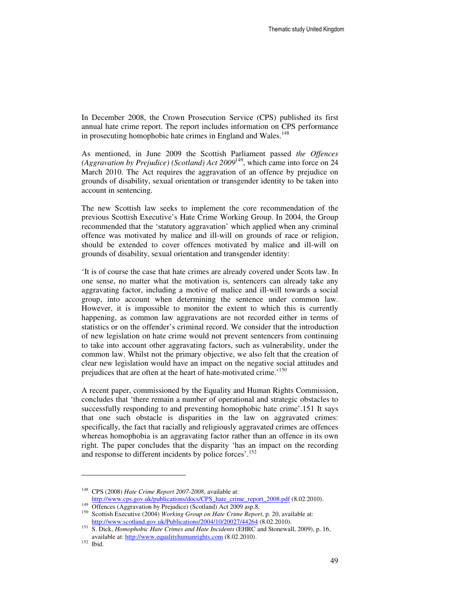In December 2008, the Crown Prosecution Service (CPS) published its first annual hate crime report. The report includes information on CPS performance in prosecuting homophobic hate crimes in England and Wales.<sup>148</sup>

As mentioned, in June 2009 the Scottish Parliament passed *the Offences (Aggravation by Prejudice) (Scotland) Act 2009*<sup>149</sup>, which came into force on 24 March 2010. The Act requires the aggravation of an offence by prejudice on grounds of disability, sexual orientation or transgender identity to be taken into account in sentencing.

The new Scottish law seeks to implement the core recommendation of the previous Scottish Executive's Hate Crime Working Group. In 2004, the Group recommended that the 'statutory aggravation' which applied when any criminal offence was motivated by malice and ill-will on grounds of race or religion, should be extended to cover offences motivated by malice and ill-will on grounds of disability, sexual orientation and transgender identity:

'It is of course the case that hate crimes are already covered under Scots law. In one sense, no matter what the motivation is, sentencers can already take any aggravating factor, including a motive of malice and ill-will towards a social group, into account when determining the sentence under common law. However, it is impossible to monitor the extent to which this is currently happening, as common law aggravations are not recorded either in terms of statistics or on the offender's criminal record. We consider that the introduction of new legislation on hate crime would not prevent sentencers from continuing to take into account other aggravating factors, such as vulnerability, under the common law. Whilst not the primary objective, we also felt that the creation of clear new legislation would have an impact on the negative social attitudes and prejudices that are often at the heart of hate-motivated crime.<sup>150</sup>

A recent paper, commissioned by the Equality and Human Rights Commission, concludes that 'there remain a number of operational and strategic obstacles to successfully responding to and preventing homophobic hate crime'.151 It says that one such obstacle is disparities in the law on aggravated crimes: specifically, the fact that racially and religiously aggravated crimes are offences whereas homophobia is an aggravating factor rather than an offence in its own right. The paper concludes that the disparity 'has an impact on the recording and response to different incidents by police forces'.<sup>152</sup>

<sup>148</sup> CPS (2008) *Hate Crime Report 2007-2008*, available at: http://www.cps.gov.uk/publications/docs/CPS\_hate\_crime\_report\_2008.pdf (8.02.2010).

<sup>149</sup> Offences (Aggravation by Prejudice) (Scotland) Act 2009 asp.8.

<sup>150</sup> Scottish Executive (2004) *Working Group on Hate Crime Report*, p. 20, available at: http://www.scotland.gov.uk/Publications/2004/10/20027/44264 (8.02.2010).

<sup>151</sup> S. Dick, *Homophobic Hate Crimes and Hate Incidents* (EHRC and Stonewall, 2009), p. 16, available at: http://www.equalityhumanrights.com (8.02.2010).

<sup>152</sup> Ibid.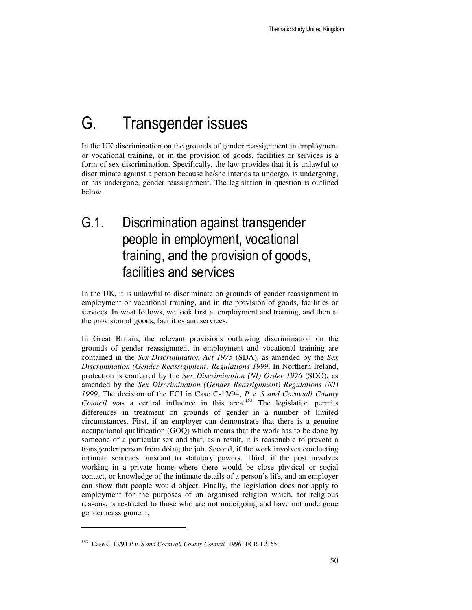# G. Transgender issues

In the UK discrimination on the grounds of gender reassignment in employment or vocational training, or in the provision of goods, facilities or services is a form of sex discrimination. Specifically, the law provides that it is unlawful to discriminate against a person because he/she intends to undergo, is undergoing, or has undergone, gender reassignment. The legislation in question is outlined below.

## G.1. Discrimination against transgender people in employment, vocational training, and the provision of goods, facilities and services

In the UK, it is unlawful to discriminate on grounds of gender reassignment in employment or vocational training, and in the provision of goods, facilities or services. In what follows, we look first at employment and training, and then at the provision of goods, facilities and services.

In Great Britain, the relevant provisions outlawing discrimination on the grounds of gender reassignment in employment and vocational training are contained in the *Sex Discrimination Act 1975* (SDA), as amended by the *Sex Discrimination (Gender Reassignment) Regulations 1999*. In Northern Ireland, protection is conferred by the *Sex Discrimination (NI) Order 1976* (SDO), as amended by the *Sex Discrimination (Gender Reassignment) Regulations (NI) 1999*. The decision of the ECJ in Case C-13/94, *P v. S and Cornwall County Council* was a central influence in this area.<sup>153</sup> The legislation permits differences in treatment on grounds of gender in a number of limited circumstances. First, if an employer can demonstrate that there is a genuine occupational qualification (GOQ) which means that the work has to be done by someone of a particular sex and that, as a result, it is reasonable to prevent a transgender person from doing the job. Second, if the work involves conducting intimate searches pursuant to statutory powers. Third, if the post involves working in a private home where there would be close physical or social contact, or knowledge of the intimate details of a person's life, and an employer can show that people would object. Finally, the legislation does not apply to employment for the purposes of an organised religion which, for religious reasons, is restricted to those who are not undergoing and have not undergone gender reassignment.

<sup>153</sup> Case C-13/94 *P v. S and Cornwall County Council* [1996] ECR-I 2165.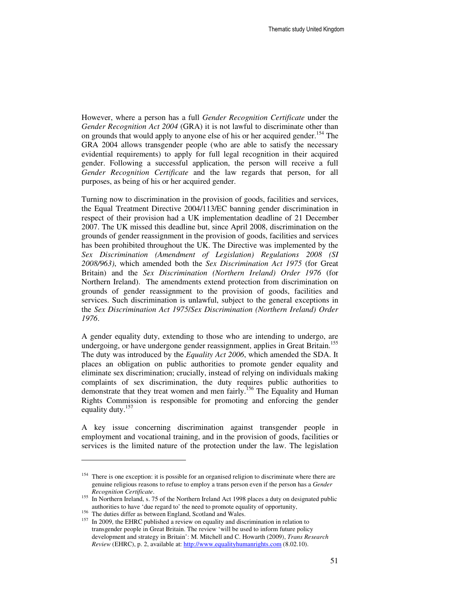However, where a person has a full *Gender Recognition Certificate* under the *Gender Recognition Act 2004* (GRA) it is not lawful to discriminate other than on grounds that would apply to anyone else of his or her acquired gender.<sup>154</sup> The GRA 2004 allows transgender people (who are able to satisfy the necessary evidential requirements) to apply for full legal recognition in their acquired gender. Following a successful application, the person will receive a full *Gender Recognition Certificate* and the law regards that person, for all purposes, as being of his or her acquired gender.

Turning now to discrimination in the provision of goods, facilities and services, the Equal Treatment Directive 2004/113/EC banning gender discrimination in respect of their provision had a UK implementation deadline of 21 December 2007. The UK missed this deadline but, since April 2008, discrimination on the grounds of gender reassignment in the provision of goods, facilities and services has been prohibited throughout the UK. The Directive was implemented by the *Sex Discrimination (Amendment of Legislation) Regulations 2008 (SI 2008/963)*, which amended both the *Sex Discrimination Act 1975* (for Great Britain) and the *Sex Discrimination (Northern Ireland) Order 1976* (for Northern Ireland). The amendments extend protection from discrimination on grounds of gender reassignment to the provision of goods, facilities and services. Such discrimination is unlawful, subject to the general exceptions in the *Sex Discrimination Act 1975*/*Sex Discrimination (Northern Ireland) Order 1976*.

A gender equality duty, extending to those who are intending to undergo, are undergoing, or have undergone gender reassignment, applies in Great Britain.<sup>155</sup> The duty was introduced by the *Equality Act 2006*, which amended the SDA. It places an obligation on public authorities to promote gender equality and eliminate sex discrimination; crucially, instead of relying on individuals making complaints of sex discrimination, the duty requires public authorities to demonstrate that they treat women and men fairly.<sup>156</sup> The Equality and Human Rights Commission is responsible for promoting and enforcing the gender equality duty.<sup>157</sup>

A key issue concerning discrimination against transgender people in employment and vocational training, and in the provision of goods, facilities or services is the limited nature of the protection under the law. The legislation

<sup>&</sup>lt;sup>154</sup> There is one exception: it is possible for an organised religion to discriminate where there are genuine religious reasons to refuse to employ a trans person even if the person has a *Gender Recognition Certificate*.

<sup>&</sup>lt;sup>155</sup> In Northern Ireland, s. 75 of the Northern Ireland Act 1998 places a duty on designated public authorities to have 'due regard to' the need to promote equality of opportunity,

<sup>&</sup>lt;sup>156</sup> The duties differ as between England, Scotland and Wales.

<sup>&</sup>lt;sup>157</sup> In 2009, the EHRC published a review on equality and discrimination in relation to transgender people in Great Britain. The review 'will be used to inform future policy development and strategy in Britain': M. Mitchell and C. Howarth (2009), *Trans Research Review* (EHRC), p. 2, available at: http://www.equalityhumanrights.com (8.02.10).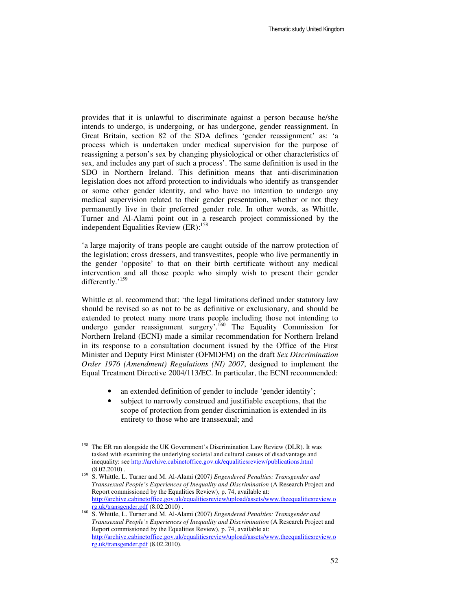provides that it is unlawful to discriminate against a person because he/she intends to undergo, is undergoing, or has undergone, gender reassignment. In Great Britain, section 82 of the SDA defines 'gender reassignment' as: 'a process which is undertaken under medical supervision for the purpose of reassigning a person's sex by changing physiological or other characteristics of sex, and includes any part of such a process'. The same definition is used in the SDO in Northern Ireland. This definition means that anti-discrimination legislation does not afford protection to individuals who identify as transgender or some other gender identity, and who have no intention to undergo any medical supervision related to their gender presentation, whether or not they permanently live in their preferred gender role. In other words, as Whittle, Turner and Al-Alami point out in a research project commissioned by the independent Equalities Review (ER):<sup>158</sup>

'a large majority of trans people are caught outside of the narrow protection of the legislation; cross dressers, and transvestites, people who live permanently in the gender 'opposite' to that on their birth certificate without any medical intervention and all those people who simply wish to present their gender differently.'<sup>159</sup>

Whittle et al. recommend that: 'the legal limitations defined under statutory law should be revised so as not to be as definitive or exclusionary, and should be extended to protect many more trans people including those not intending to undergo gender reassignment surgery'.<sup>160</sup> The Equality Commission for Northern Ireland (ECNI) made a similar recommendation for Northern Ireland in its response to a consultation document issued by the Office of the First Minister and Deputy First Minister (OFMDFM) on the draft *Sex Discrimination Order 1976 (Amendment) Regulations (NI) 2007*, designed to implement the Equal Treatment Directive 2004/113/EC. In particular, the ECNI recommended:

- an extended definition of gender to include 'gender identity';
- subject to narrowly construed and justifiable exceptions, that the scope of protection from gender discrimination is extended in its entirety to those who are transsexual; and

<sup>&</sup>lt;sup>158</sup> The ER ran alongside the UK Government's Discrimination Law Review (DLR). It was tasked with examining the underlying societal and cultural causes of disadvantage and inequality: see http://archive.cabinetoffice.gov.uk/equalitiesreview/publications.html  $(8.02.2010)$ .

<sup>159</sup> S. Whittle, L. Turner and M. Al-Alami (2007*) Engendered Penalties: Transgender and Transsexual People's Experiences of Inequality and Discrimination* (A Research Project and Report commissioned by the Equalities Review), p. 74, available at: http://archive.cabinetoffice.gov.uk/equalitiesreview/upload/assets/www.theequalitiesreview.o rg.uk/transgender.pdf (8.02.2010).

<sup>160</sup> S. Whittle, L. Turner and M. Al-Alami (2007) *Engendered Penalties: Transgender and Transsexual People's Experiences of Inequality and Discrimination* (A Research Project and Report commissioned by the Equalities Review), p. 74, available at: http://archive.cabinetoffice.gov.uk/equalitiesreview/upload/assets/www.theequalitiesreview.o rg.uk/transgender.pdf (8.02.2010).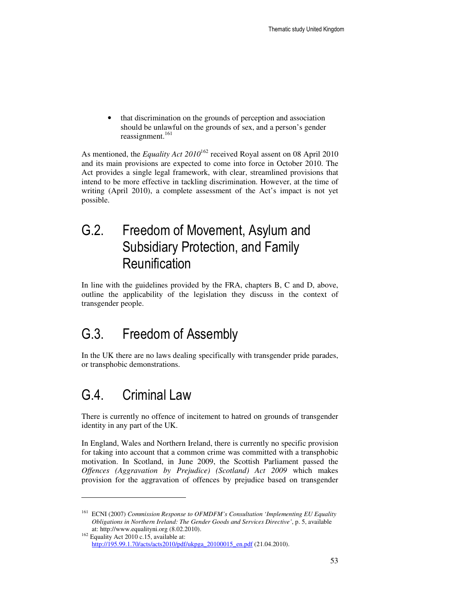that discrimination on the grounds of perception and association should be unlawful on the grounds of sex, and a person's gender reassignment.<sup>161</sup>

As mentioned, the *Equality Act 2010*<sup>162</sup> received Royal assent on 08 April 2010 and its main provisions are expected to come into force in October 2010. The Act provides a single legal framework, with clear, streamlined provisions that intend to be more effective in tackling discrimination. However, at the time of writing (April 2010), a complete assessment of the Act's impact is not yet possible.

### G.2. Freedom of Movement, Asylum and Subsidiary Protection, and Family **Reunification**

In line with the guidelines provided by the FRA, chapters B, C and D, above, outline the applicability of the legislation they discuss in the context of transgender people.

#### G.3. Freedom of Assembly

In the UK there are no laws dealing specifically with transgender pride parades, or transphobic demonstrations.

## G.4. Criminal Law

 $\overline{a}$ 

There is currently no offence of incitement to hatred on grounds of transgender identity in any part of the UK.

In England, Wales and Northern Ireland, there is currently no specific provision for taking into account that a common crime was committed with a transphobic motivation. In Scotland, in June 2009, the Scottish Parliament passed the *Offences (Aggravation by Prejudice) (Scotland) Act 2009* which makes provision for the aggravation of offences by prejudice based on transgender

<sup>161</sup> ECNI (2007) *Commission Response to OFMDFM's Consultation 'Implementing EU Equality Obligations in Northern Ireland: The Gender Goods and Services Directive'*, p. 5, available at: http://www.equalityni.org (8.02.2010).

<sup>&</sup>lt;sup>162</sup> Equality Act 2010 c.15, available at: http://195.99.1.70/acts/acts2010/pdf/ukpga\_20100015\_en.pdf (21.04.2010).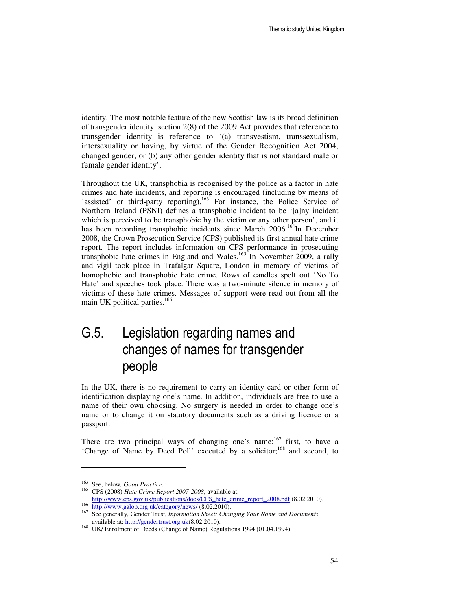identity. The most notable feature of the new Scottish law is its broad definition of transgender identity: section 2(8) of the 2009 Act provides that reference to transgender identity is reference to '(a) transvestism, transsexualism, intersexuality or having, by virtue of the Gender Recognition Act 2004, changed gender, or (b) any other gender identity that is not standard male or female gender identity'.

Throughout the UK, transphobia is recognised by the police as a factor in hate crimes and hate incidents, and reporting is encouraged (including by means of 'assisted' or third-party reporting).<sup>163</sup> For instance, the Police Service of Northern Ireland (PSNI) defines a transphobic incident to be '[a]ny incident which is perceived to be transphobic by the victim or any other person', and it has been recording transphobic incidents since March 2006.<sup>164</sup>In December 2008, the Crown Prosecution Service (CPS) published its first annual hate crime report. The report includes information on CPS performance in prosecuting transphobic hate crimes in England and Wales.<sup>165</sup> In November 2009, a rally and vigil took place in Trafalgar Square, London in memory of victims of homophobic and transphobic hate crime. Rows of candles spelt out 'No To Hate' and speeches took place. There was a two-minute silence in memory of victims of these hate crimes. Messages of support were read out from all the main UK political parties.<sup>166</sup>

### G.5. Legislation regarding names and changes of names for transgender people

In the UK, there is no requirement to carry an identity card or other form of identification displaying one's name. In addition, individuals are free to use a name of their own choosing. No surgery is needed in order to change one's name or to change it on statutory documents such as a driving licence or a passport.

There are two principal ways of changing one's name:<sup>167</sup> first, to have a 'Change of Name by Deed Poll' executed by a solicitor;<sup>168</sup> and second, to

<sup>163</sup> See, below*, Good Practice*.

<sup>165</sup> CPS (2008) *Hate Crime Report 2007-2008*, available at:

http://www.cps.gov.uk/publications/docs/CPS\_hate\_crime\_report\_2008.pdf (8.02.2010). <sup>166</sup> http://www.galop.org.uk/category/news/ (8.02.2010).

<sup>167</sup> See generally, Gender Trust, *Information Sheet: Changing Your Name and Documents*, available at: http://gendertrust.org.uk(8.02.2010).

<sup>&</sup>lt;sup>168</sup> UK/ Enrolment of Deeds (Change of Name) Regulations 1994 (01.04.1994).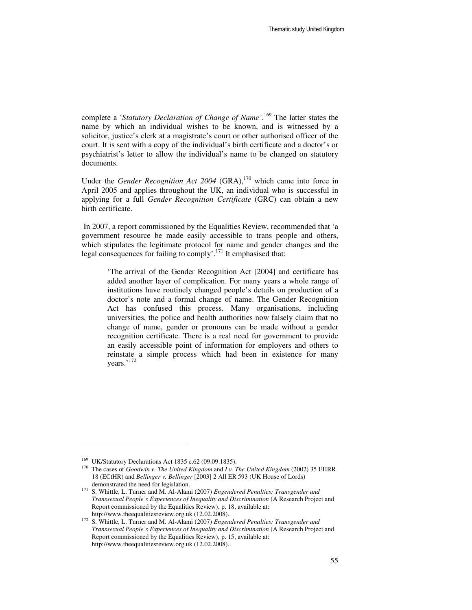complete a '*Statutory Declaration of Change of Name'*. <sup>169</sup> The latter states the name by which an individual wishes to be known, and is witnessed by a solicitor, justice's clerk at a magistrate's court or other authorised officer of the court. It is sent with a copy of the individual's birth certificate and a doctor's or psychiatrist's letter to allow the individual's name to be changed on statutory documents.

Under the *Gender Recognition Act 2004* (GRA),<sup>170</sup> which came into force in April 2005 and applies throughout the UK, an individual who is successful in applying for a full *Gender Recognition Certificate* (GRC) can obtain a new birth certificate.

 In 2007, a report commissioned by the Equalities Review, recommended that 'a government resource be made easily accessible to trans people and others, which stipulates the legitimate protocol for name and gender changes and the legal consequences for failing to comply'.<sup>171</sup> It emphasised that:

'The arrival of the Gender Recognition Act [2004] and certificate has added another layer of complication. For many years a whole range of institutions have routinely changed people's details on production of a doctor's note and a formal change of name. The Gender Recognition Act has confused this process. Many organisations, including universities, the police and health authorities now falsely claim that no change of name, gender or pronouns can be made without a gender recognition certificate. There is a real need for government to provide an easily accessible point of information for employers and others to reinstate a simple process which had been in existence for many years.'<sup>172</sup>

<sup>&</sup>lt;sup>169</sup> UK/Statutory Declarations Act 1835 c.62 (09.09.1835).

<sup>170</sup> The cases of *Goodwin v. The United Kingdom* and *I v. The United Kingdom* (2002) 35 EHRR 18 (ECtHR) and *Bellinger v. Bellinger* [2003] 2 All ER 593 (UK House of Lords) demonstrated the need for legislation.

<sup>171</sup> S. Whittle, L. Turner and M. Al-Alami (2007) *Engendered Penalties: Transgender and Transsexual People's Experiences of Inequality and Discrimination* (A Research Project and Report commissioned by the Equalities Review), p. 18, available at: http://www.theequalitiesreview.org.uk (12.02.2008).

<sup>172</sup> S. Whittle, L. Turner and M. Al-Alami (2007) *Engendered Penalties: Transgender and Transsexual People's Experiences of Inequality and Discrimination* (A Research Project and Report commissioned by the Equalities Review), p. 15, available at: http://www.theequalitiesreview.org.uk (12.02.2008).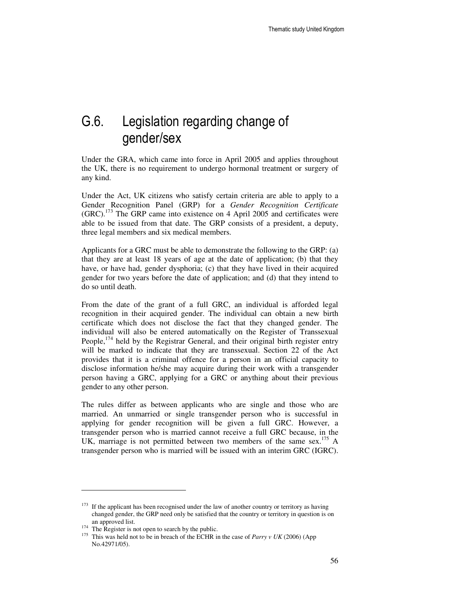### G.6. Legislation regarding change of gender/sex

Under the GRA, which came into force in April 2005 and applies throughout the UK, there is no requirement to undergo hormonal treatment or surgery of any kind.

Under the Act, UK citizens who satisfy certain criteria are able to apply to a Gender Recognition Panel (GRP) for a *Gender Recognition Certificate* (GRC).<sup>173</sup> The GRP came into existence on 4 April 2005 and certificates were able to be issued from that date. The GRP consists of a president, a deputy, three legal members and six medical members.

Applicants for a GRC must be able to demonstrate the following to the GRP: (a) that they are at least 18 years of age at the date of application; (b) that they have, or have had, gender dysphoria; (c) that they have lived in their acquired gender for two years before the date of application; and (d) that they intend to do so until death.

From the date of the grant of a full GRC, an individual is afforded legal recognition in their acquired gender. The individual can obtain a new birth certificate which does not disclose the fact that they changed gender. The individual will also be entered automatically on the Register of Transsexual People,<sup>174</sup> held by the Registrar General, and their original birth register entry will be marked to indicate that they are transsexual. Section 22 of the Act provides that it is a criminal offence for a person in an official capacity to disclose information he/she may acquire during their work with a transgender person having a GRC, applying for a GRC or anything about their previous gender to any other person.

The rules differ as between applicants who are single and those who are married. An unmarried or single transgender person who is successful in applying for gender recognition will be given a full GRC. However, a transgender person who is married cannot receive a full GRC because, in the UK, marriage is not permitted between two members of the same sex.<sup>175</sup> A transgender person who is married will be issued with an interim GRC (IGRC).

 $173$  If the applicant has been recognised under the law of another country or territory as having changed gender, the GRP need only be satisfied that the country or territory in question is on an approved list.

 $174$  The Register is not open to search by the public.

<sup>175</sup> This was held not to be in breach of the ECHR in the case of *Parry v UK* (2006) (App No.42971/05).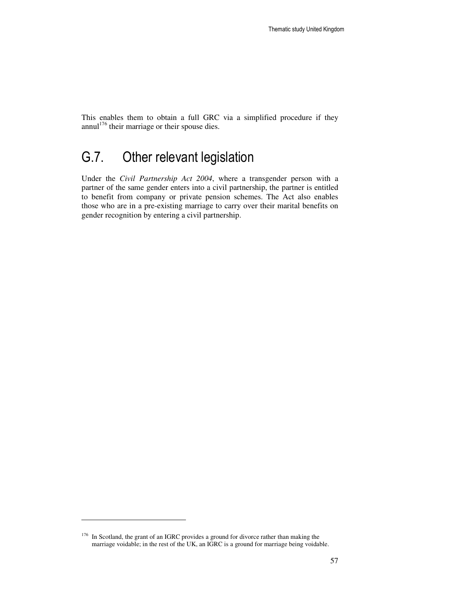This enables them to obtain a full GRC via a simplified procedure if they  $\frac{176}{176}$  their marriage or their spouse dies.

## G.7. Other relevant legislation

Under the *Civil Partnership Act 2004*, where a transgender person with a partner of the same gender enters into a civil partnership, the partner is entitled to benefit from company or private pension schemes. The Act also enables those who are in a pre-existing marriage to carry over their marital benefits on gender recognition by entering a civil partnership.

<sup>&</sup>lt;sup>176</sup> In Scotland, the grant of an IGRC provides a ground for divorce rather than making the marriage voidable; in the rest of the UK, an IGRC is a ground for marriage being voidable.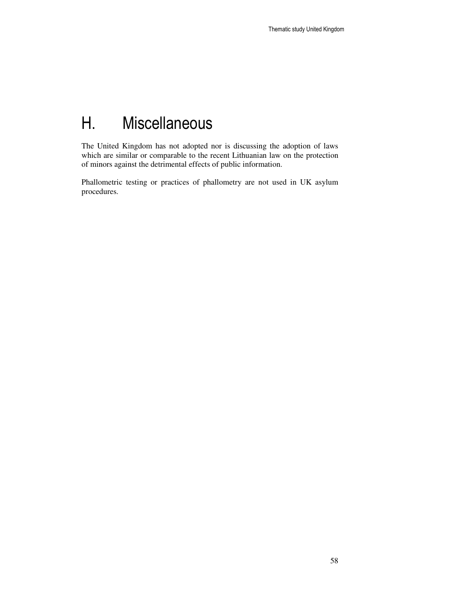# H. Miscellaneous

The United Kingdom has not adopted nor is discussing the adoption of laws which are similar or comparable to the recent Lithuanian law on the protection of minors against the detrimental effects of public information.

Phallometric testing or practices of phallometry are not used in UK asylum procedures.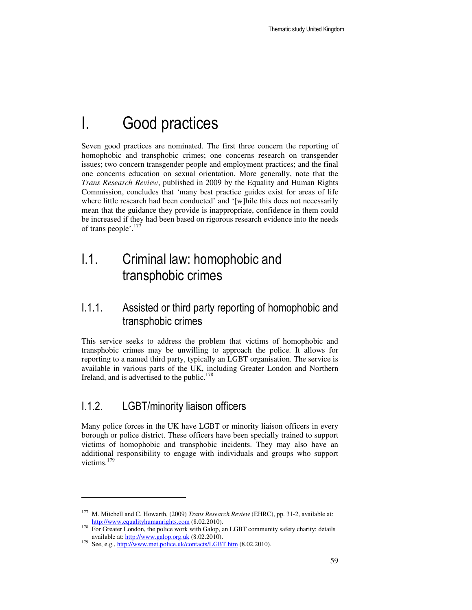# I. Good practices

Seven good practices are nominated. The first three concern the reporting of homophobic and transphobic crimes; one concerns research on transgender issues; two concern transgender people and employment practices; and the final one concerns education on sexual orientation. More generally, note that the *Trans Research Review*, published in 2009 by the Equality and Human Rights Commission, concludes that 'many best practice guides exist for areas of life where little research had been conducted' and '[w]hile this does not necessarily mean that the guidance they provide is inappropriate, confidence in them could be increased if they had been based on rigorous research evidence into the needs of trans people'.<sup>177</sup>

### I.1. Criminal law: homophobic and transphobic crimes

#### I.1.1. Assisted or third party reporting of homophobic and transphobic crimes

This service seeks to address the problem that victims of homophobic and transphobic crimes may be unwilling to approach the police. It allows for reporting to a named third party, typically an LGBT organisation. The service is available in various parts of the UK, including Greater London and Northern Ireland, and is advertised to the public.<sup>178</sup>

#### I.1.2. LGBT/minority liaison officers

 $\overline{a}$ 

Many police forces in the UK have LGBT or minority liaison officers in every borough or police district. These officers have been specially trained to support victims of homophobic and transphobic incidents. They may also have an additional responsibility to engage with individuals and groups who support victims.<sup>179</sup>

<sup>177</sup> M. Mitchell and C. Howarth, (2009) *Trans Research Review* (EHRC), pp. 31-2, available at: http://www.equalityhumanrights.com (8.02.2010).

<sup>&</sup>lt;sup>178</sup> For Greater London, the police work with Galop, an LGBT community safety charity: details available at: http://www.galop.org.uk (8.02.2010).

<sup>&</sup>lt;sup>179</sup> See, e.g., http://www.met.police.uk/contacts/LGBT.htm (8.02.2010).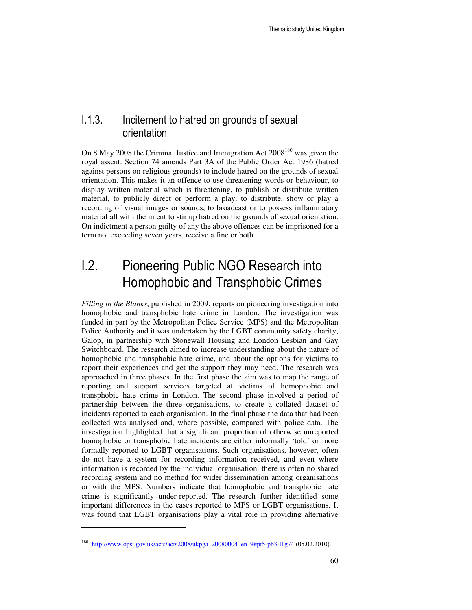#### I.1.3. Incitement to hatred on grounds of sexual orientation

On 8 May 2008 the Criminal Justice and Immigration Act  $2008^{180}$  was given the royal assent. Section 74 amends Part 3A of the Public Order Act 1986 (hatred against persons on religious grounds) to include hatred on the grounds of sexual orientation. This makes it an offence to use threatening words or behaviour, to display written material which is threatening, to publish or distribute written material, to publicly direct or perform a play, to distribute, show or play a recording of visual images or sounds, to broadcast or to possess inflammatory material all with the intent to stir up hatred on the grounds of sexual orientation. On indictment a person guilty of any the above offences can be imprisoned for a term not exceeding seven years, receive a fine or both.

## I.2. Pioneering Public NGO Research into Homophobic and Transphobic Crimes

*Filling in the Blanks*, published in 2009, reports on pioneering investigation into homophobic and transphobic hate crime in London. The investigation was funded in part by the Metropolitan Police Service (MPS) and the Metropolitan Police Authority and it was undertaken by the LGBT community safety charity, Galop, in partnership with Stonewall Housing and London Lesbian and Gay Switchboard. The research aimed to increase understanding about the nature of homophobic and transphobic hate crime, and about the options for victims to report their experiences and get the support they may need. The research was approached in three phases. In the first phase the aim was to map the range of reporting and support services targeted at victims of homophobic and transphobic hate crime in London. The second phase involved a period of partnership between the three organisations, to create a collated dataset of incidents reported to each organisation. In the final phase the data that had been collected was analysed and, where possible, compared with police data. The investigation highlighted that a significant proportion of otherwise unreported homophobic or transphobic hate incidents are either informally 'told' or more formally reported to LGBT organisations. Such organisations, however, often do not have a system for recording information received, and even where information is recorded by the individual organisation, there is often no shared recording system and no method for wider dissemination among organisations or with the MPS. Numbers indicate that homophobic and transphobic hate crime is significantly under-reported. The research further identified some important differences in the cases reported to MPS or LGBT organisations. It was found that LGBT organisations play a vital role in providing alternative

l

<sup>&</sup>lt;sup>180</sup> http://www.opsi.gov.uk/acts/acts2008/ukpga\_20080004\_en\_9#pt5-pb3-11g74 (05.02.2010).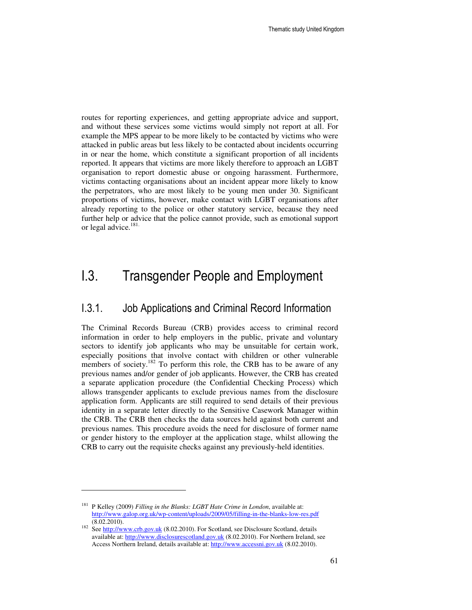routes for reporting experiences, and getting appropriate advice and support, and without these services some victims would simply not report at all. For example the MPS appear to be more likely to be contacted by victims who were attacked in public areas but less likely to be contacted about incidents occurring in or near the home, which constitute a significant proportion of all incidents reported. It appears that victims are more likely therefore to approach an LGBT organisation to report domestic abuse or ongoing harassment. Furthermore, victims contacting organisations about an incident appear more likely to know the perpetrators, who are most likely to be young men under 30. Significant proportions of victims, however, make contact with LGBT organisations after already reporting to the police or other statutory service, because they need further help or advice that the police cannot provide, such as emotional support or legal advice.<sup>181.</sup>

### I.3. Transgender People and Employment

#### I.3.1. Job Applications and Criminal Record Information

The Criminal Records Bureau (CRB) provides access to criminal record information in order to help employers in the public, private and voluntary sectors to identify job applicants who may be unsuitable for certain work, especially positions that involve contact with children or other vulnerable members of society.<sup>182</sup> To perform this role, the CRB has to be aware of any previous names and/or gender of job applicants. However, the CRB has created a separate application procedure (the Confidential Checking Process) which allows transgender applicants to exclude previous names from the disclosure application form. Applicants are still required to send details of their previous identity in a separate letter directly to the Sensitive Casework Manager within the CRB. The CRB then checks the data sources held against both current and previous names. This procedure avoids the need for disclosure of former name or gender history to the employer at the application stage, whilst allowing the CRB to carry out the requisite checks against any previously-held identities.

<sup>181</sup> P Kelley (2009) *Filling in the Blanks: LGBT Hate Crime in London*, available at: http://www.galop.org.uk/wp-content/uploads/2009/05/filling-in-the-blanks-low-res.pdf  $(8.02.2010).$ 

<sup>182</sup> See http://www.crb.gov.uk (8.02.2010). For Scotland, see Disclosure Scotland, details available at: http://www.disclosurescotland.gov.uk (8.02.2010). For Northern Ireland, see Access Northern Ireland, details available at: http://www.accessni.gov.uk (8.02.2010).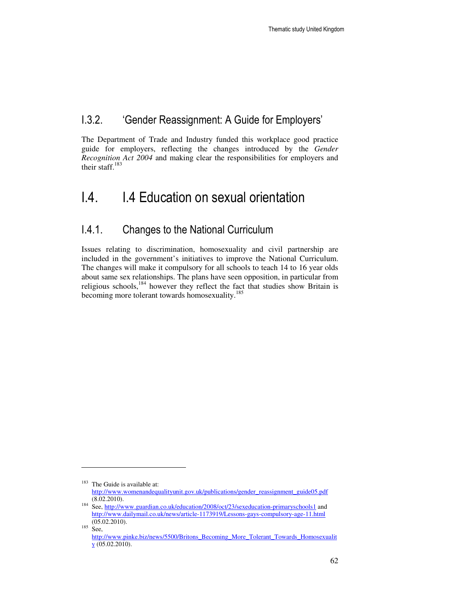#### I.3.2. 'Gender Reassignment: A Guide for Employers'

The Department of Trade and Industry funded this workplace good practice guide for employers, reflecting the changes introduced by the *Gender Recognition Act 2004* and making clear the responsibilities for employers and their staff.<sup>183</sup>

### I.4. I.4 Education on sexual orientation

#### I.4.1. Changes to the National Curriculum

Issues relating to discrimination, homosexuality and civil partnership are included in the government's initiatives to improve the National Curriculum. The changes will make it compulsory for all schools to teach 14 to 16 year olds about same sex relationships. The plans have seen opposition, in particular from religious schools, $184$  however they reflect the fact that studies show Britain is becoming more tolerant towards homosexuality.<sup>185</sup>

<sup>&</sup>lt;sup>183</sup> The Guide is available at: http://www.womenandequalityunit.gov.uk/publications/gender\_reassignment\_guide05.pdf (8.02.2010).

<sup>184</sup> See, http://www.guardian.co.uk/education/2008/oct/23/sexeducation-primaryschools1 and http://www.dailymail.co.uk/news/article-1173919/Lessons-gays-compulsory-age-11.html (05.02.2010).

 $185$  See, http://www.pinke.biz/news/5500/Britons\_Becoming\_More\_Tolerant\_Towards\_Homosexualit  $\underline{v}$  (05.02.2010).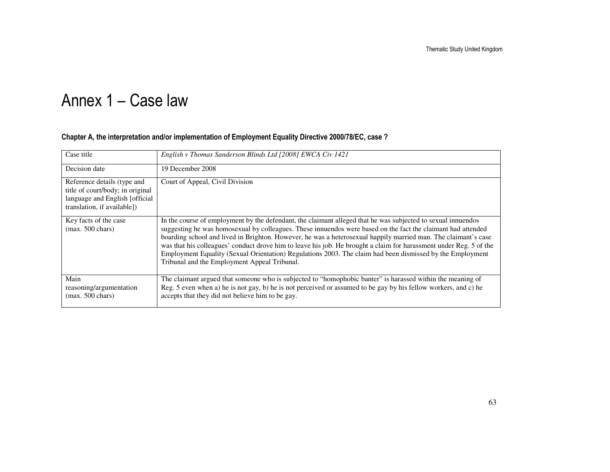# Annex 1 – Case law

#### Chapter A, the interpretation and/or implementation of Employment Equality Directive 2000/78/EC, case ?

| Case title                                                                                                                       | English v Thomas Sanderson Blinds Ltd [2008] EWCA Civ 1421                                                                                                                                                                                                                                                                                                                                                                                                                                                                                                                                                                        |
|----------------------------------------------------------------------------------------------------------------------------------|-----------------------------------------------------------------------------------------------------------------------------------------------------------------------------------------------------------------------------------------------------------------------------------------------------------------------------------------------------------------------------------------------------------------------------------------------------------------------------------------------------------------------------------------------------------------------------------------------------------------------------------|
| Decision date                                                                                                                    | 19 December 2008                                                                                                                                                                                                                                                                                                                                                                                                                                                                                                                                                                                                                  |
| Reference details (type and<br>title of court/body; in original<br>language and English [official<br>translation, if available]) | Court of Appeal, Civil Division                                                                                                                                                                                                                                                                                                                                                                                                                                                                                                                                                                                                   |
| Key facts of the case<br>$(max. 500 \text{ chars})$                                                                              | In the course of employment by the defendant, the claimant alleged that he was subjected to sexual innuendos<br>suggesting he was homosexual by colleagues. These innuendos were based on the fact the claimant had attended<br>boarding school and lived in Brighton. However, he was a heterosexual happily married man. The claimant's case<br>was that his colleagues' conduct drove him to leave his job. He brought a claim for harassment under Reg. 5 of the<br>Employment Equality (Sexual Orientation) Regulations 2003. The claim had been dismissed by the Employment<br>Tribunal and the Employment Appeal Tribunal. |
| Main<br>reasoning/argumentation<br>$(max. 500 \text{ chars})$                                                                    | The claimant argued that someone who is subjected to "homophobic banter" is harassed within the meaning of<br>Reg. 5 even when a) he is not gay, b) he is not perceived or assumed to be gay by his fellow workers, and c) he<br>accepts that they did not believe him to be gay.                                                                                                                                                                                                                                                                                                                                                 |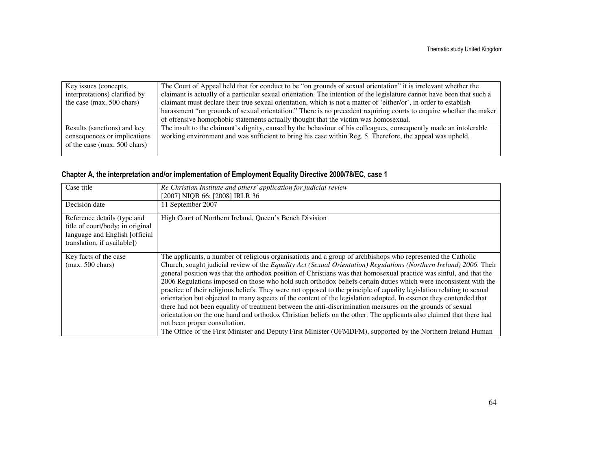| Key issues (concepts,         | The Court of Appeal held that for conduct to be "on grounds of sexual orientation" it is irrelevant whether the        |
|-------------------------------|------------------------------------------------------------------------------------------------------------------------|
| interpretations) clarified by | claimant is actually of a particular sexual orientation. The intention of the legislature cannot have been that such a |
| the case (max. $500$ chars)   | claimant must declare their true sexual orientation, which is not a matter of 'either/or', in order to establish       |
|                               | harassment "on grounds of sexual orientation." There is no precedent requiring courts to enquire whether the maker     |
|                               | of offensive homophobic statements actually thought that the victim was homosexual.                                    |
| Results (sanctions) and key   | The insult to the claimant's dignity, caused by the behaviour of his colleagues, consequently made an intolerable      |
| consequences or implications  | working environment and was sufficient to bring his case within Reg. 5. Therefore, the appeal was upheld.              |
| of the case (max. 500 chars)  |                                                                                                                        |
|                               |                                                                                                                        |

#### Chapter A, the interpretation and/or implementation of Employment Equality Directive 2000/78/EC, case 1

| Case title                                                                                                                       | Re Christian Institute and others' application for judicial review<br>[2007] NIQB 66; [2008] IRLR 36                                                                                                                                                                                                                                                                                                                                                                                                                                                                                                                                                                                                                                                                                                                                                                                                                                                                                                                                                                                                               |
|----------------------------------------------------------------------------------------------------------------------------------|--------------------------------------------------------------------------------------------------------------------------------------------------------------------------------------------------------------------------------------------------------------------------------------------------------------------------------------------------------------------------------------------------------------------------------------------------------------------------------------------------------------------------------------------------------------------------------------------------------------------------------------------------------------------------------------------------------------------------------------------------------------------------------------------------------------------------------------------------------------------------------------------------------------------------------------------------------------------------------------------------------------------------------------------------------------------------------------------------------------------|
| Decision date                                                                                                                    | 11 September 2007                                                                                                                                                                                                                                                                                                                                                                                                                                                                                                                                                                                                                                                                                                                                                                                                                                                                                                                                                                                                                                                                                                  |
| Reference details (type and<br>title of court/body; in original<br>language and English [official<br>translation, if available]) | High Court of Northern Ireland, Queen's Bench Division                                                                                                                                                                                                                                                                                                                                                                                                                                                                                                                                                                                                                                                                                                                                                                                                                                                                                                                                                                                                                                                             |
| Key facts of the case<br>$(max. 500 \text{ chars})$                                                                              | The applicants, a number of religious organisations and a group of archbishops who represented the Catholic<br>Church, sought judicial review of the Equality Act (Sexual Orientation) Regulations (Northern Ireland) 2006. Their<br>general position was that the orthodox position of Christians was that homosexual practice was sinful, and that the<br>2006 Regulations imposed on those who hold such orthodox beliefs certain duties which were inconsistent with the<br>practice of their religious beliefs. They were not opposed to the principle of equality legislation relating to sexual<br>orientation but objected to many aspects of the content of the legislation adopted. In essence they contended that<br>there had not been equality of treatment between the anti-discrimination measures on the grounds of sexual<br>orientation on the one hand and orthodox Christian beliefs on the other. The applicants also claimed that there had<br>not been proper consultation.<br>The Office of the First Minister and Deputy First Minister (OFMDFM), supported by the Northern Ireland Human |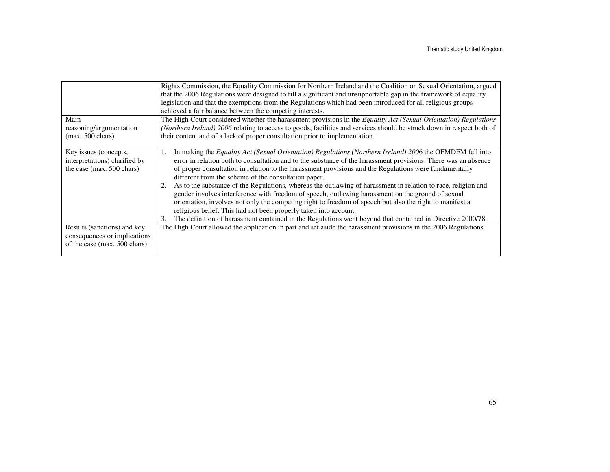|                                                                                     | Rights Commission, the Equality Commission for Northern Ireland and the Coalition on Sexual Orientation, argued<br>that the 2006 Regulations were designed to fill a significant and unsupportable gap in the framework of equality<br>legislation and that the exemptions from the Regulations which had been introduced for all religious groups<br>achieved a fair balance between the competing interests.                                                                                                                                                                                                                                                                                                                                                                                                                                                                                                         |
|-------------------------------------------------------------------------------------|------------------------------------------------------------------------------------------------------------------------------------------------------------------------------------------------------------------------------------------------------------------------------------------------------------------------------------------------------------------------------------------------------------------------------------------------------------------------------------------------------------------------------------------------------------------------------------------------------------------------------------------------------------------------------------------------------------------------------------------------------------------------------------------------------------------------------------------------------------------------------------------------------------------------|
| Main                                                                                | The High Court considered whether the harassment provisions in the Equality Act (Sexual Orientation) Regulations                                                                                                                                                                                                                                                                                                                                                                                                                                                                                                                                                                                                                                                                                                                                                                                                       |
| reasoning/argumentation                                                             | (Northern Ireland) 2006 relating to access to goods, facilities and services should be struck down in respect both of                                                                                                                                                                                                                                                                                                                                                                                                                                                                                                                                                                                                                                                                                                                                                                                                  |
| $(max. 500 \text{ chars})$                                                          | their content and of a lack of proper consultation prior to implementation.                                                                                                                                                                                                                                                                                                                                                                                                                                                                                                                                                                                                                                                                                                                                                                                                                                            |
| Key issues (concepts,<br>interpretations) clarified by<br>the case (max. 500 chars) | In making the Equality Act (Sexual Orientation) Regulations (Northern Ireland) 2006 the OFMDFM fell into<br>error in relation both to consultation and to the substance of the harassment provisions. There was an absence<br>of proper consultation in relation to the harassment provisions and the Regulations were fundamentally<br>different from the scheme of the consultation paper.<br>As to the substance of the Regulations, whereas the outlawing of harassment in relation to race, religion and<br>gender involves interference with freedom of speech, outlawing harassment on the ground of sexual<br>orientation, involves not only the competing right to freedom of speech but also the right to manifest a<br>religious belief. This had not been properly taken into account.<br>The definition of harassment contained in the Regulations went beyond that contained in Directive 2000/78.<br>3. |
| Results (sanctions) and key<br>consequences or implications                         | The High Court allowed the application in part and set aside the harassment provisions in the 2006 Regulations.                                                                                                                                                                                                                                                                                                                                                                                                                                                                                                                                                                                                                                                                                                                                                                                                        |
| of the case (max. 500 chars)                                                        |                                                                                                                                                                                                                                                                                                                                                                                                                                                                                                                                                                                                                                                                                                                                                                                                                                                                                                                        |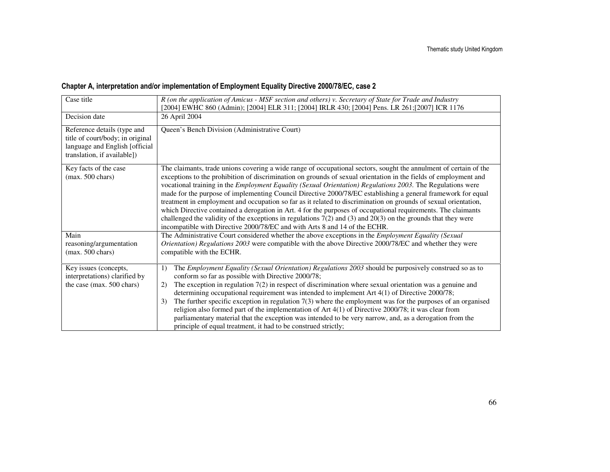#### Chapter A, interpretation and/or implementation of Employment Equality Directive 2000/78/EC, case 2

| Case title                                                                                                                       | R (on the application of Amicus - MSF section and others) v. Secretary of State for Trade and Industry<br>[2004] EWHC 860 (Admin); [2004] ELR 311; [2004] IRLR 430; [2004] Pens. LR 261; [2007] ICR 1176                                                                                                                                                                                                                                                                                                                                                                                                                                                                                                                                                                                                                                                                                                             |  |  |  |  |  |  |  |
|----------------------------------------------------------------------------------------------------------------------------------|----------------------------------------------------------------------------------------------------------------------------------------------------------------------------------------------------------------------------------------------------------------------------------------------------------------------------------------------------------------------------------------------------------------------------------------------------------------------------------------------------------------------------------------------------------------------------------------------------------------------------------------------------------------------------------------------------------------------------------------------------------------------------------------------------------------------------------------------------------------------------------------------------------------------|--|--|--|--|--|--|--|
| Decision date                                                                                                                    | 26 April 2004                                                                                                                                                                                                                                                                                                                                                                                                                                                                                                                                                                                                                                                                                                                                                                                                                                                                                                        |  |  |  |  |  |  |  |
| Reference details (type and<br>title of court/body; in original<br>language and English [official<br>translation, if available]) | Queen's Bench Division (Administrative Court)                                                                                                                                                                                                                                                                                                                                                                                                                                                                                                                                                                                                                                                                                                                                                                                                                                                                        |  |  |  |  |  |  |  |
| Key facts of the case<br>$(max. 500 \text{ chars})$                                                                              | The claimants, trade unions covering a wide range of occupational sectors, sought the annulment of certain of the<br>exceptions to the prohibition of discrimination on grounds of sexual orientation in the fields of employment and<br>vocational training in the <i>Employment Equality (Sexual Orientation) Regulations 2003</i> . The Regulations were<br>made for the purpose of implementing Council Directive 2000/78/EC establishing a general framework for equal<br>treatment in employment and occupation so far as it related to discrimination on grounds of sexual orientation,<br>which Directive contained a derogation in Art. 4 for the purposes of occupational requirements. The claimants<br>challenged the validity of the exceptions in regulations $7(2)$ and $(3)$ and $20(3)$ on the grounds that they were<br>incompatible with Directive 2000/78/EC and with Arts 8 and 14 of the ECHR. |  |  |  |  |  |  |  |
| Main                                                                                                                             | The Administrative Court considered whether the above exceptions in the <i>Employment Equality (Sexual</i> )                                                                                                                                                                                                                                                                                                                                                                                                                                                                                                                                                                                                                                                                                                                                                                                                         |  |  |  |  |  |  |  |
| reasoning/argumentation<br>$(max. 500 \text{ chars})$                                                                            | Orientation) Regulations 2003 were compatible with the above Directive 2000/78/EC and whether they were<br>compatible with the ECHR.                                                                                                                                                                                                                                                                                                                                                                                                                                                                                                                                                                                                                                                                                                                                                                                 |  |  |  |  |  |  |  |
| Key issues (concepts,<br>interpretations) clarified by                                                                           | The Employment Equality (Sexual Orientation) Regulations 2003 should be purposively construed so as to<br>$\left( \right)$<br>conform so far as possible with Directive 2000/78;                                                                                                                                                                                                                                                                                                                                                                                                                                                                                                                                                                                                                                                                                                                                     |  |  |  |  |  |  |  |
| the case (max. 500 chars)                                                                                                        | The exception in regulation $7(2)$ in respect of discrimination where sexual orientation was a genuine and<br>2)<br>determining occupational requirement was intended to implement Art 4(1) of Directive 2000/78;                                                                                                                                                                                                                                                                                                                                                                                                                                                                                                                                                                                                                                                                                                    |  |  |  |  |  |  |  |
|                                                                                                                                  | The further specific exception in regulation $7(3)$ where the employment was for the purposes of an organised<br>3)<br>religion also formed part of the implementation of Art 4(1) of Directive 2000/78; it was clear from                                                                                                                                                                                                                                                                                                                                                                                                                                                                                                                                                                                                                                                                                           |  |  |  |  |  |  |  |
|                                                                                                                                  | parliamentary material that the exception was intended to be very narrow, and, as a derogation from the<br>principle of equal treatment, it had to be construed strictly;                                                                                                                                                                                                                                                                                                                                                                                                                                                                                                                                                                                                                                                                                                                                            |  |  |  |  |  |  |  |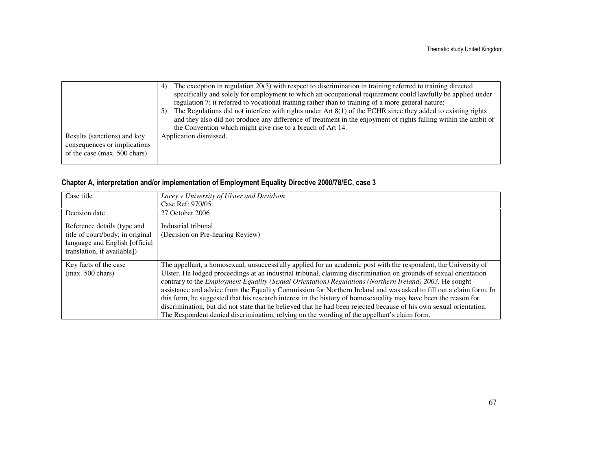|                              | The exception in regulation $20(3)$ with respect to discrimination in training referred to training directed<br>4)   |
|------------------------------|----------------------------------------------------------------------------------------------------------------------|
|                              | specifically and solely for employment to which an occupational requirement could lawfully be applied under          |
|                              | regulation 7; it referred to vocational training rather than to training of a more general nature;                   |
|                              | The Regulations did not interfere with rights under Art $8(1)$ of the ECHR since they added to existing rights<br>5) |
|                              | and they also did not produce any difference of treatment in the enjoyment of rights falling within the ambit of     |
|                              | the Convention which might give rise to a breach of Art 14.                                                          |
| Results (sanctions) and key  | Application dismissed.                                                                                               |
| consequences or implications |                                                                                                                      |
| of the case (max. 500 chars) |                                                                                                                      |
|                              |                                                                                                                      |

#### Chapter A, interpretation and/or implementation of Employment Equality Directive 2000/78/EC, case 3

| Case title                       | Lacey v University of Ulster and Davidson                                                                           |
|----------------------------------|---------------------------------------------------------------------------------------------------------------------|
|                                  | Case Ref: 970/05                                                                                                    |
| Decision date                    | 27 October 2006                                                                                                     |
| Reference details (type and      | Industrial tribunal                                                                                                 |
| title of court/body; in original | (Decision on Pre-hearing Review)                                                                                    |
| language and English [official]  |                                                                                                                     |
| translation, if available])      |                                                                                                                     |
|                                  |                                                                                                                     |
| Key facts of the case            | The appellant, a homosexual, unsuccessfully applied for an academic post with the respondent, the University of     |
| $(max. 500 \text{ chars})$       | Ulster. He lodged proceedings at an industrial tribunal, claiming discrimination on grounds of sexual orientation   |
|                                  | contrary to the <i>Employment Equality (Sexual Orientation) Regulations (Northern Ireland)</i> 2003. He sought      |
|                                  | assistance and advice from the Equality Commission for Northern Ireland and was asked to fill out a claim form. In  |
|                                  | this form, he suggested that his research interest in the history of homosexuality may have been the reason for     |
|                                  | discrimination, but did not state that he believed that he had been rejected because of his own sexual orientation. |
|                                  | The Respondent denied discrimination, relying on the wording of the appellant's claim form.                         |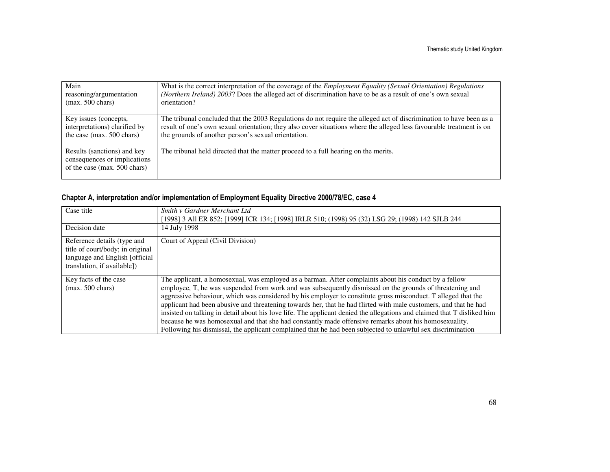| Main                                                                                        | What is the correct interpretation of the coverage of the <i>Employment Equality (Sexual Orientation) Regulations</i> |
|---------------------------------------------------------------------------------------------|-----------------------------------------------------------------------------------------------------------------------|
| reasoning/argumentation                                                                     | (Northern Ireland) 2003? Does the alleged act of discrimination have to be as a result of one's own sexual            |
| $(max. 500 \text{ chars})$                                                                  | orientation?                                                                                                          |
| Key issues (concepts,                                                                       | The tribunal concluded that the 2003 Regulations do not require the alleged act of discrimination to have been as a   |
| interpretations) clarified by                                                               | result of one's own sexual orientation; they also cover situations where the alleged less favourable treatment is on  |
| the case (max. 500 chars)                                                                   | the grounds of another person's sexual orientation.                                                                   |
| Results (sanctions) and key<br>consequences or implications<br>of the case (max. 500 chars) | The tribunal held directed that the matter proceed to a full hearing on the merits.                                   |

#### Chapter A, interpretation and/or implementation of Employment Equality Directive 2000/78/EC, case 4

| Case title                       | Smith v Gardner Merchant Ltd                                                                                            |
|----------------------------------|-------------------------------------------------------------------------------------------------------------------------|
|                                  | [1998] 3 All ER 852; [1999] ICR 134; [1998] IRLR 510; (1998) 95 (32) LSG 29; (1998) 142 SJLB 244                        |
| Decision date                    | 14 July 1998                                                                                                            |
| Reference details (type and      | Court of Appeal (Civil Division)                                                                                        |
| title of court/body; in original |                                                                                                                         |
| language and English [official]  |                                                                                                                         |
| translation, if available])      |                                                                                                                         |
|                                  |                                                                                                                         |
| Key facts of the case            | The applicant, a homosexual, was employed as a barman. After complaints about his conduct by a fellow                   |
| $(max. 500 \text{ chars})$       | employee, T, he was suspended from work and was subsequently dismissed on the grounds of threatening and                |
|                                  | aggressive behaviour, which was considered by his employer to constitute gross misconduct. T alleged that the           |
|                                  | applicant had been abusive and threatening towards her, that he had flirted with male customers, and that he had        |
|                                  | insisted on talking in detail about his love life. The applicant denied the allegations and claimed that T disliked him |
|                                  | because he was homosexual and that she had constantly made offensive remarks about his homosexuality.                   |
|                                  | Following his dismissal, the applicant complained that he had been subjected to unlawful sex discrimination             |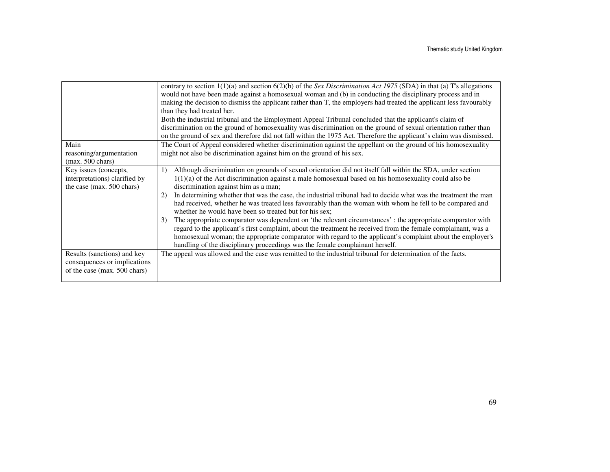|                                                            | contrary to section $1(1)(a)$ and section $6(2)(b)$ of the <i>Sex Discrimination Act 1975</i> (SDA) in that (a) T's allegations<br>would not have been made against a homosexual woman and (b) in conducting the disciplinary process and in<br>making the decision to dismiss the applicant rather than T, the employers had treated the applicant less favourably<br>than they had treated her.<br>Both the industrial tribunal and the Employment Appeal Tribunal concluded that the applicant's claim of<br>discrimination on the ground of homosexuality was discrimination on the ground of sexual orientation rather than<br>on the ground of sex and therefore did not fall within the 1975 Act. Therefore the applicant's claim was dismissed. |
|------------------------------------------------------------|---------------------------------------------------------------------------------------------------------------------------------------------------------------------------------------------------------------------------------------------------------------------------------------------------------------------------------------------------------------------------------------------------------------------------------------------------------------------------------------------------------------------------------------------------------------------------------------------------------------------------------------------------------------------------------------------------------------------------------------------------------|
| Main                                                       | The Court of Appeal considered whether discrimination against the appellant on the ground of his homosexuality                                                                                                                                                                                                                                                                                                                                                                                                                                                                                                                                                                                                                                          |
| reasoning/argumentation                                    | might not also be discrimination against him on the ground of his sex.                                                                                                                                                                                                                                                                                                                                                                                                                                                                                                                                                                                                                                                                                  |
| $(max. 500 \text{ chars})$                                 |                                                                                                                                                                                                                                                                                                                                                                                                                                                                                                                                                                                                                                                                                                                                                         |
| Key issues (concepts,                                      | Although discrimination on grounds of sexual orientation did not itself fall within the SDA, under section<br>1)                                                                                                                                                                                                                                                                                                                                                                                                                                                                                                                                                                                                                                        |
| interpretations) clarified by<br>the case (max. 500 chars) | $1(1)(a)$ of the Act discrimination against a male homosexual based on his homosexuality could also be<br>discrimination against him as a man;                                                                                                                                                                                                                                                                                                                                                                                                                                                                                                                                                                                                          |
|                                                            | In determining whether that was the case, the industrial tribunal had to decide what was the treatment the man<br>2)<br>had received, whether he was treated less favourably than the woman with whom he fell to be compared and<br>whether he would have been so treated but for his sex;                                                                                                                                                                                                                                                                                                                                                                                                                                                              |
|                                                            | The appropriate comparator was dependent on 'the relevant circumstances' : the appropriate comparator with<br>3)<br>regard to the applicant's first complaint, about the treatment he received from the female complainant, was a<br>homosexual woman; the appropriate comparator with regard to the applicant's complaint about the employer's<br>handling of the disciplinary proceedings was the female complainant herself.                                                                                                                                                                                                                                                                                                                         |
| Results (sanctions) and key                                | The appeal was allowed and the case was remitted to the industrial tribunal for determination of the facts.                                                                                                                                                                                                                                                                                                                                                                                                                                                                                                                                                                                                                                             |
| consequences or implications                               |                                                                                                                                                                                                                                                                                                                                                                                                                                                                                                                                                                                                                                                                                                                                                         |
| of the case (max. 500 chars)                               |                                                                                                                                                                                                                                                                                                                                                                                                                                                                                                                                                                                                                                                                                                                                                         |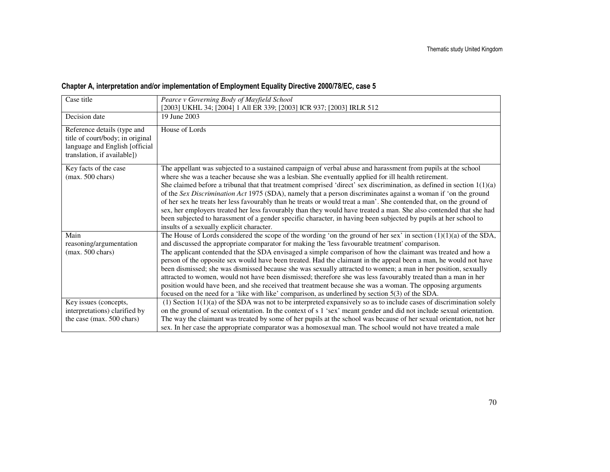|  |  |  |  |  |  | 6 Chapter A, interpretation and/or implementation of Employment Equality Directive 2000/78/EC, case |  |
|--|--|--|--|--|--|-----------------------------------------------------------------------------------------------------|--|
|  |  |  |  |  |  |                                                                                                     |  |

| Case title                                                                                                                       | Pearce v Governing Body of Mayfield School<br>[2003] UKHL 34; [2004] 1 All ER 339; [2003] ICR 937; [2003] IRLR 512                                                                                                                                                                                                                                                                                                                                                                                                                                                                                                                                                                                                                                                                                                                                                                                               |
|----------------------------------------------------------------------------------------------------------------------------------|------------------------------------------------------------------------------------------------------------------------------------------------------------------------------------------------------------------------------------------------------------------------------------------------------------------------------------------------------------------------------------------------------------------------------------------------------------------------------------------------------------------------------------------------------------------------------------------------------------------------------------------------------------------------------------------------------------------------------------------------------------------------------------------------------------------------------------------------------------------------------------------------------------------|
| Decision date                                                                                                                    | 19 June 2003                                                                                                                                                                                                                                                                                                                                                                                                                                                                                                                                                                                                                                                                                                                                                                                                                                                                                                     |
| Reference details (type and<br>title of court/body; in original<br>language and English [official<br>translation, if available]) | House of Lords                                                                                                                                                                                                                                                                                                                                                                                                                                                                                                                                                                                                                                                                                                                                                                                                                                                                                                   |
| Key facts of the case<br>$(max. 500 \text{ chars})$                                                                              | The appellant was subjected to a sustained campaign of verbal abuse and harassment from pupils at the school<br>where she was a teacher because she was a lesbian. She eventually applied for ill health retirement.<br>She claimed before a tribunal that that treatment comprised 'direct' sex discrimination, as defined in section $1(1)(a)$<br>of the Sex Discrimination Act 1975 (SDA), namely that a person discriminates against a woman if 'on the ground<br>of her sex he treats her less favourably than he treats or would treat a man'. She contended that, on the ground of<br>sex, her employers treated her less favourably than they would have treated a man. She also contended that she had<br>been subjected to harassment of a gender specific character, in having been subjected by pupils at her school to<br>insults of a sexually explicit character.                                 |
| Main<br>reasoning/argumentation<br>$(max. 500 \text{ chars})$                                                                    | The House of Lords considered the scope of the wording 'on the ground of her sex' in section $(1)(1)(a)$ of the SDA,<br>and discussed the appropriate comparator for making the 'less favourable treatment' comparison.<br>The applicant contended that the SDA envisaged a simple comparison of how the claimant was treated and how a<br>person of the opposite sex would have been treated. Had the claimant in the appeal been a man, he would not have<br>been dismissed; she was dismissed because she was sexually attracted to women; a man in her position, sexually<br>attracted to women, would not have been dismissed; therefore she was less favourably treated than a man in her<br>position would have been, and she received that treatment because she was a woman. The opposing arguments<br>focused on the need for a 'like with like' comparison, as underlined by section 5(3) of the SDA. |
| Key issues (concepts,<br>interpretations) clarified by<br>the case (max. 500 chars)                                              | $(1)$ Section $1(1)(a)$ of the SDA was not to be interpreted expansively so as to include cases of discrimination solely<br>on the ground of sexual orientation. In the context of s 1 'sex' meant gender and did not include sexual orientation.<br>The way the claimant was treated by some of her pupils at the school was because of her sexual orientation, not her<br>sex. In her case the appropriate comparator was a homosexual man. The school would not have treated a male                                                                                                                                                                                                                                                                                                                                                                                                                           |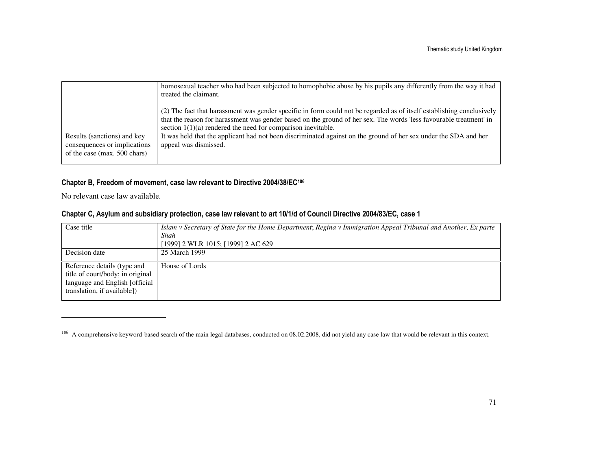|                                                                                             | homosexual teacher who had been subjected to homophobic abuse by his pupils any differently from the way it had<br>treated the claimant.                                                                                                                                                                      |
|---------------------------------------------------------------------------------------------|---------------------------------------------------------------------------------------------------------------------------------------------------------------------------------------------------------------------------------------------------------------------------------------------------------------|
|                                                                                             | (2) The fact that harassment was gender specific in form could not be regarded as of itself establishing conclusively<br>that the reason for harassment was gender based on the ground of her sex. The words 'less favourable treatment' in<br>section $1(1)(a)$ rendered the need for comparison inevitable. |
| Results (sanctions) and key<br>consequences or implications<br>of the case (max. 500 chars) | It was held that the applicant had not been discriminated against on the ground of her sex under the SDA and her<br>appeal was dismissed.                                                                                                                                                                     |

#### Chapter B, Freedom of movement, case law relevant to Directive 2004/38/EC<sup>186</sup>

No relevant case law available.

#### Chapter C, Asylum and subsidiary protection, case law relevant to art 10/1/d of Council Directive 2004/83/EC, case 1

| Case title                       | Islam v Secretary of State for the Home Department; Regina v Immigration Appeal Tribunal and Another, Ex parte |
|----------------------------------|----------------------------------------------------------------------------------------------------------------|
|                                  | Shah                                                                                                           |
|                                  | [1999] 2 WLR 1015; [1999] 2 AC 629                                                                             |
| Decision date                    | 25 March 1999                                                                                                  |
| Reference details (type and      | House of Lords                                                                                                 |
| title of court/body; in original |                                                                                                                |
| language and English [official   |                                                                                                                |
| translation, if available])      |                                                                                                                |
|                                  |                                                                                                                |

<sup>&</sup>lt;sup>186</sup> A comprehensive keyword-based search of the main legal databases, conducted on 08.02.2008, did not yield any case law that would be relevant in this context.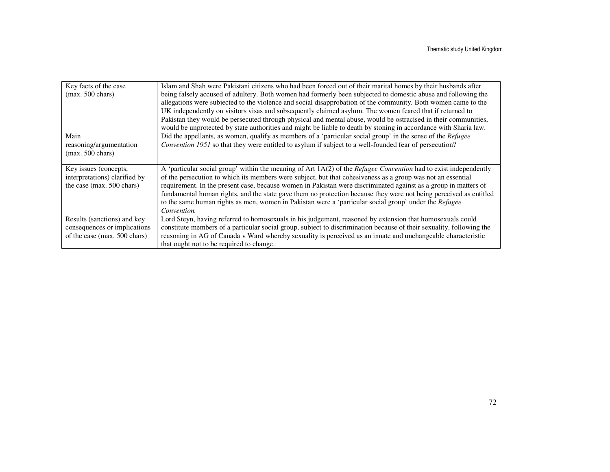| Key facts of the case<br>$(max. 500 \text{ chars})$                                         | Islam and Shah were Pakistani citizens who had been forced out of their marital homes by their husbands after<br>being falsely accused of adultery. Both women had formerly been subjected to domestic abuse and following the<br>allegations were subjected to the violence and social disapprobation of the community. Both women came to the<br>UK independently on visitors visas and subsequently claimed asylum. The women feared that if returned to<br>Pakistan they would be persecuted through physical and mental abuse, would be ostracised in their communities,<br>would be unprotected by state authorities and might be liable to death by stoning in accordance with Sharia law. |
|---------------------------------------------------------------------------------------------|---------------------------------------------------------------------------------------------------------------------------------------------------------------------------------------------------------------------------------------------------------------------------------------------------------------------------------------------------------------------------------------------------------------------------------------------------------------------------------------------------------------------------------------------------------------------------------------------------------------------------------------------------------------------------------------------------|
| Main<br>reasoning/argumentation<br>$(max. 500 \text{ chars})$                               | Did the appellants, as women, qualify as members of a 'particular social group' in the sense of the Refugee<br>Convention 1951 so that they were entitled to asylum if subject to a well-founded fear of persecution?                                                                                                                                                                                                                                                                                                                                                                                                                                                                             |
| Key issues (concepts,<br>interpretations) clarified by<br>the case (max. 500 chars)         | A 'particular social group' within the meaning of Art 1A(2) of the Refugee Convention had to exist independently<br>of the persecution to which its members were subject, but that cohesiveness as a group was not an essential<br>requirement. In the present case, because women in Pakistan were discriminated against as a group in matters of<br>fundamental human rights, and the state gave them no protection because they were not being perceived as entitled<br>to the same human rights as men, women in Pakistan were a 'particular social group' under the Refugee<br>Convention.                                                                                                   |
| Results (sanctions) and key<br>consequences or implications<br>of the case (max. 500 chars) | Lord Steyn, having referred to homosexuals in his judgement, reasoned by extension that homosexuals could<br>constitute members of a particular social group, subject to discrimination because of their sexuality, following the<br>reasoning in AG of Canada v Ward whereby sexuality is perceived as an innate and unchangeable characteristic<br>that ought not to be required to change.                                                                                                                                                                                                                                                                                                     |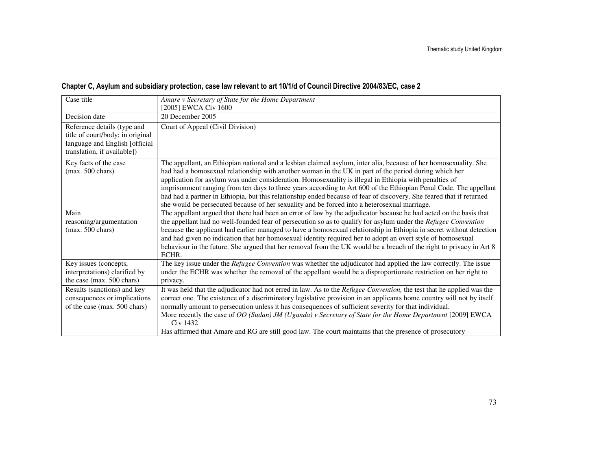# Chapter C, Asylum and subsidiary protection, case law relevant to art 10/1/d of Council Directive 2004/83/EC, case 2

| Case title                                                                                                                       | Amare v Secretary of State for the Home Department<br>[2005] EWCA Civ 1600                                                                                                                                                                                                                                                                                                                                                                                                                                                                                                                                                                                                       |
|----------------------------------------------------------------------------------------------------------------------------------|----------------------------------------------------------------------------------------------------------------------------------------------------------------------------------------------------------------------------------------------------------------------------------------------------------------------------------------------------------------------------------------------------------------------------------------------------------------------------------------------------------------------------------------------------------------------------------------------------------------------------------------------------------------------------------|
| Decision date                                                                                                                    | 20 December 2005                                                                                                                                                                                                                                                                                                                                                                                                                                                                                                                                                                                                                                                                 |
| Reference details (type and<br>title of court/body; in original<br>language and English [official<br>translation, if available]) | Court of Appeal (Civil Division)                                                                                                                                                                                                                                                                                                                                                                                                                                                                                                                                                                                                                                                 |
| Key facts of the case<br>$(max. 500 \text{ chars})$                                                                              | The appellant, an Ethiopian national and a lesbian claimed asylum, inter alia, because of her homosexuality. She<br>had had a homosexual relationship with another woman in the UK in part of the period during which her<br>application for asylum was under consideration. Homosexuality is illegal in Ethiopia with penalties of<br>imprisonment ranging from ten days to three years according to Art 600 of the Ethiopian Penal Code. The appellant<br>had had a partner in Ethiopia, but this relationship ended because of fear of discovery. She feared that if returned<br>she would be persecuted because of her sexuality and be forced into a heterosexual marriage. |
| Main<br>reasoning/argumentation<br>$(max. 500 \text{ chars})$                                                                    | The appellant argued that there had been an error of law by the adjudicator because he had acted on the basis that<br>the appellant had no well-founded fear of persecution so as to qualify for asylum under the Refugee Convention<br>because the applicant had earlier managed to have a homosexual relationship in Ethiopia in secret without detection<br>and had given no indication that her homosexual identity required her to adopt an overt style of homosexual<br>behaviour in the future. She argued that her removal from the UK would be a breach of the right to privacy in Art 8<br>ECHR.                                                                       |
| Key issues (concepts,<br>interpretations) clarified by<br>the case (max. 500 chars)                                              | The key issue under the <i>Refugee Convention</i> was whether the adjudicator had applied the law correctly. The issue<br>under the ECHR was whether the removal of the appellant would be a disproportionate restriction on her right to<br>privacy.                                                                                                                                                                                                                                                                                                                                                                                                                            |
| Results (sanctions) and key<br>consequences or implications<br>of the case (max. 500 chars)                                      | It was held that the adjudicator had not erred in law. As to the Refugee Convention, the test that he applied was the<br>correct one. The existence of a discriminatory legislative provision in an applicants home country will not by itself<br>normally amount to persecution unless it has consequences of sufficient severity for that individual.<br>More recently the case of OO (Sudan) JM (Uganda) v Secretary of State for the Home Department [2009] EWCA<br>Civ 1432<br>Has affirmed that Amare and RG are still good law. The court maintains that the presence of prosecutory                                                                                      |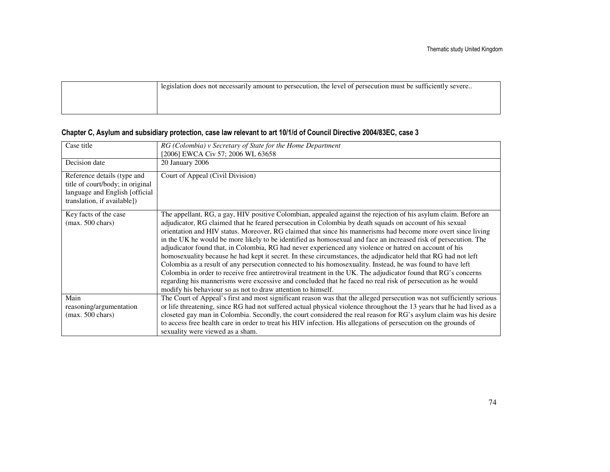| legislation does not necessarily amount to persecution, the level of persecution must be sufficiently severe |
|--------------------------------------------------------------------------------------------------------------|
|                                                                                                              |
|                                                                                                              |

| Case title                                                                                                                        | RG (Colombia) v Secretary of State for the Home Department<br>[2006] EWCA Civ 57; 2006 WL 63658                                                                                                                                                                                                                                                                                                                                                                                                                                                                                                                                                                                                                                                                                                                                                                                                                                                                                                                                                                                                           |
|-----------------------------------------------------------------------------------------------------------------------------------|-----------------------------------------------------------------------------------------------------------------------------------------------------------------------------------------------------------------------------------------------------------------------------------------------------------------------------------------------------------------------------------------------------------------------------------------------------------------------------------------------------------------------------------------------------------------------------------------------------------------------------------------------------------------------------------------------------------------------------------------------------------------------------------------------------------------------------------------------------------------------------------------------------------------------------------------------------------------------------------------------------------------------------------------------------------------------------------------------------------|
| Decision date                                                                                                                     | 20 January 2006                                                                                                                                                                                                                                                                                                                                                                                                                                                                                                                                                                                                                                                                                                                                                                                                                                                                                                                                                                                                                                                                                           |
| Reference details (type and<br>title of court/body; in original<br>language and English [official]<br>translation, if available]) | Court of Appeal (Civil Division)                                                                                                                                                                                                                                                                                                                                                                                                                                                                                                                                                                                                                                                                                                                                                                                                                                                                                                                                                                                                                                                                          |
| Key facts of the case<br>$(max. 500 \text{ chars})$                                                                               | The appellant, RG, a gay, HIV positive Colombian, appealed against the rejection of his asylum claim. Before an<br>adjudicator, RG claimed that he feared persecution in Colombia by death squads on account of his sexual<br>orientation and HIV status. Moreover, RG claimed that since his mannerisms had become more overt since living<br>in the UK he would be more likely to be identified as homosexual and face an increased risk of persecution. The<br>adjudicator found that, in Colombia, RG had never experienced any violence or hatred on account of his<br>homosexuality because he had kept it secret. In these circumstances, the adjudicator held that RG had not left<br>Colombia as a result of any persecution connected to his homosexuality. Instead, he was found to have left<br>Colombia in order to receive free antiretroviral treatment in the UK. The adjudicator found that RG's concerns<br>regarding his mannerisms were excessive and concluded that he faced no real risk of persecution as he would<br>modify his behaviour so as not to draw attention to himself. |
| Main<br>reasoning/argumentation<br>$(max. 500 \text{ chars})$                                                                     | The Court of Appeal's first and most significant reason was that the alleged persecution was not sufficiently serious<br>or life threatening, since RG had not suffered actual physical violence throughout the 13 years that he had lived as a<br>closeted gay man in Colombia. Secondly, the court considered the real reason for RG's asylum claim was his desire<br>to access free health care in order to treat his HIV infection. His allegations of persecution on the grounds of<br>sexuality were viewed as a sham.                                                                                                                                                                                                                                                                                                                                                                                                                                                                                                                                                                              |

# Chapter C, Asylum and subsidiary protection, case law relevant to art 10/1/d of Council Directive 2004/83EC, case 3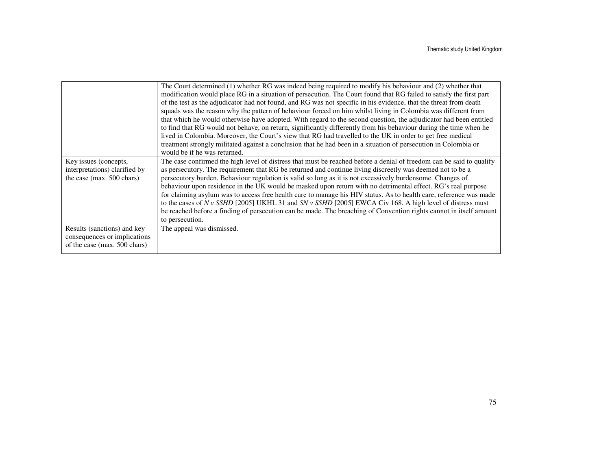|                               | The Court determined (1) whether RG was indeed being required to modify his behaviour and (2) whether that           |
|-------------------------------|----------------------------------------------------------------------------------------------------------------------|
|                               | modification would place RG in a situation of persecution. The Court found that RG failed to satisfy the first part  |
|                               | of the test as the adjudicator had not found, and RG was not specific in his evidence, that the threat from death    |
|                               | squads was the reason why the pattern of behaviour forced on him whilst living in Colombia was different from        |
|                               | that which he would otherwise have adopted. With regard to the second question, the adjudicator had been entitled    |
|                               | to find that RG would not behave, on return, significantly differently from his behaviour during the time when he    |
|                               | lived in Colombia. Moreover, the Court's view that RG had travelled to the UK in order to get free medical           |
|                               | treatment strongly militated against a conclusion that he had been in a situation of persecution in Colombia or      |
|                               | would be if he was returned.                                                                                         |
| Key issues (concepts,         | The case confirmed the high level of distress that must be reached before a denial of freedom can be said to qualify |
| interpretations) clarified by | as persecutory. The requirement that RG be returned and continue living discreetly was deemed not to be a            |
| the case (max. 500 chars)     | persecutory burden. Behaviour regulation is valid so long as it is not excessively burdensome. Changes of            |
|                               | behaviour upon residence in the UK would be masked upon return with no detrimental effect. RG's real purpose         |
|                               | for claiming asylum was to access free health care to manage his HIV status. As to health care, reference was made   |
|                               | to the cases of N v SSHD [2005] UKHL 31 and SN v SSHD [2005] EWCA Civ 168. A high level of distress must             |
|                               | be reached before a finding of persecution can be made. The breaching of Convention rights cannot in itself amount   |
|                               | to persecution.                                                                                                      |
| Results (sanctions) and key   | The appeal was dismissed.                                                                                            |
| consequences or implications  |                                                                                                                      |
| of the case (max. 500 chars)  |                                                                                                                      |
|                               |                                                                                                                      |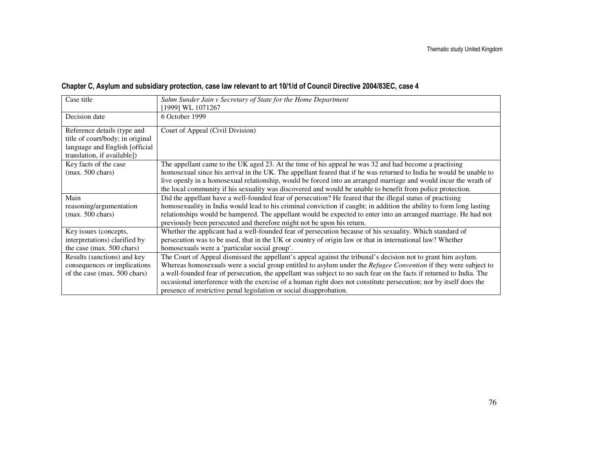|  | Chapter C, Asylum and subsidiary protection, case law relevant to art 10/1/d of Council Directive 2004/83EC, case 4 |  |
|--|---------------------------------------------------------------------------------------------------------------------|--|
|--|---------------------------------------------------------------------------------------------------------------------|--|

| Case title                                                                                                                       | Sahm Sunder Jain v Secretary of State for the Home Department                                                                                                                                                                                                                                                                                                                                                                                                                                                                                         |
|----------------------------------------------------------------------------------------------------------------------------------|-------------------------------------------------------------------------------------------------------------------------------------------------------------------------------------------------------------------------------------------------------------------------------------------------------------------------------------------------------------------------------------------------------------------------------------------------------------------------------------------------------------------------------------------------------|
|                                                                                                                                  | [1999] WL 1071267                                                                                                                                                                                                                                                                                                                                                                                                                                                                                                                                     |
| Decision date                                                                                                                    | 6 October 1999                                                                                                                                                                                                                                                                                                                                                                                                                                                                                                                                        |
| Reference details (type and<br>title of court/body; in original<br>language and English [official<br>translation, if available]) | Court of Appeal (Civil Division)                                                                                                                                                                                                                                                                                                                                                                                                                                                                                                                      |
| Key facts of the case<br>$(max. 500 \text{ chars})$                                                                              | The appellant came to the UK aged 23. At the time of his appeal he was 32 and had become a practising<br>homosexual since his arrival in the UK. The appellant feared that if he was returned to India he would be unable to<br>live openly in a homosexual relationship, would be forced into an arranged marriage and would incur the wrath of<br>the local community if his sexuality was discovered and would be unable to benefit from police protection.                                                                                        |
| Main<br>reasoning/argumentation<br>$(max. 500 \text{ chars})$                                                                    | Did the appellant have a well-founded fear of persecution? He feared that the illegal status of practising<br>homosexuality in India would lead to his criminal conviction if caught; in addition the ability to form long lasting<br>relationships would be hampered. The appellant would be expected to enter into an arranged marriage. He had not<br>previously been persecuted and therefore might not be upon his return.                                                                                                                       |
| Key issues (concepts,<br>interpretations) clarified by<br>the case (max. 500 chars)                                              | Whether the applicant had a well-founded fear of persecution because of his sexuality. Which standard of<br>persecution was to be used, that in the UK or country of origin law or that in international law? Whether<br>homosexuals were a 'particular social group'.                                                                                                                                                                                                                                                                                |
| Results (sanctions) and key<br>consequences or implications<br>of the case (max. 500 chars)                                      | The Court of Appeal dismissed the appellant's appeal against the tribunal's decision not to grant him asylum.<br>Whereas homosexuals were a social group entitled to asylum under the Refugee Convention if they were subject to<br>a well-founded fear of persecution, the appellant was subject to no such fear on the facts if returned to India. The<br>occasional interference with the exercise of a human right does not constitute persecution; nor by itself does the<br>presence of restrictive penal legislation or social disapprobation. |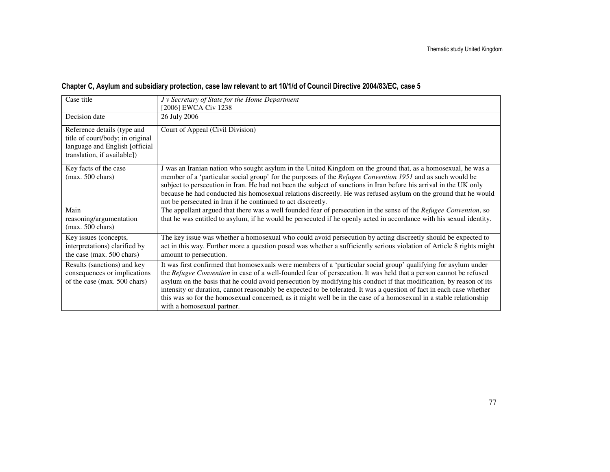|  |  |  | Chapter C, Asylum and subsidiary protection, case law relevant to art 10/1/d of Council Directive 2004/83/EC, case 5 |  |  |
|--|--|--|----------------------------------------------------------------------------------------------------------------------|--|--|
|--|--|--|----------------------------------------------------------------------------------------------------------------------|--|--|

| Case title                                                                                                                       | J v Secretary of State for the Home Department<br>[2006] EWCA Civ 1238                                                                                                                                                                                                                                                                                                                                                                                                                                                                                                                                                                  |
|----------------------------------------------------------------------------------------------------------------------------------|-----------------------------------------------------------------------------------------------------------------------------------------------------------------------------------------------------------------------------------------------------------------------------------------------------------------------------------------------------------------------------------------------------------------------------------------------------------------------------------------------------------------------------------------------------------------------------------------------------------------------------------------|
| Decision date                                                                                                                    | 26 July 2006                                                                                                                                                                                                                                                                                                                                                                                                                                                                                                                                                                                                                            |
| Reference details (type and<br>title of court/body; in original<br>language and English [official<br>translation, if available]) | Court of Appeal (Civil Division)                                                                                                                                                                                                                                                                                                                                                                                                                                                                                                                                                                                                        |
| Key facts of the case<br>$(max. 500 \text{ chars})$                                                                              | J was an Iranian nation who sought asylum in the United Kingdom on the ground that, as a homosexual, he was a<br>member of a 'particular social group' for the purposes of the Refugee Convention 1951 and as such would be<br>subject to persecution in Iran. He had not been the subject of sanctions in Iran before his arrival in the UK only<br>because he had conducted his homosexual relations discreetly. He was refused asylum on the ground that he would<br>not be persecuted in Iran if he continued to act discreetly.                                                                                                    |
| Main<br>reasoning/argumentation<br>$(max. 500 \text{ chars})$                                                                    | The appellant argued that there was a well founded fear of persecution in the sense of the Refugee Convention, so<br>that he was entitled to asylum, if he would be persecuted if he openly acted in accordance with his sexual identity.                                                                                                                                                                                                                                                                                                                                                                                               |
| Key issues (concepts,<br>interpretations) clarified by<br>the case (max. 500 chars)                                              | The key issue was whether a homosexual who could avoid persecution by acting discreetly should be expected to<br>act in this way. Further more a question posed was whether a sufficiently serious violation of Article 8 rights might<br>amount to persecution.                                                                                                                                                                                                                                                                                                                                                                        |
| Results (sanctions) and key<br>consequences or implications<br>of the case (max. 500 chars)                                      | It was first confirmed that homosexuals were members of a 'particular social group' qualifying for asylum under<br>the Refugee Convention in case of a well-founded fear of persecution. It was held that a person cannot be refused<br>asylum on the basis that he could avoid persecution by modifying his conduct if that modification, by reason of its<br>intensity or duration, cannot reasonably be expected to be tolerated. It was a question of fact in each case whether<br>this was so for the homosexual concerned, as it might well be in the case of a homosexual in a stable relationship<br>with a homosexual partner. |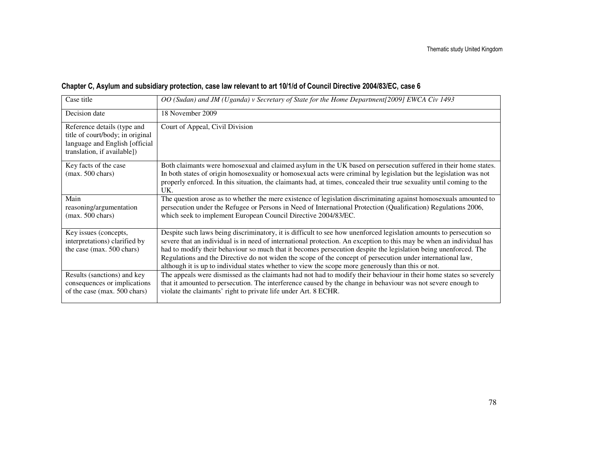| Chapter C, Asylum and subsidiary protection, case law relevant to art 10/1/d of Council Directive 2004/83/EC, case 6 |
|----------------------------------------------------------------------------------------------------------------------|
|----------------------------------------------------------------------------------------------------------------------|

| Case title                                                                                                                       | OO (Sudan) and JM (Uganda) v Secretary of State for the Home Department[2009] EWCA Civ 1493                                                                                                                                                                                                                                                                                                                                                                                                                                                                                         |
|----------------------------------------------------------------------------------------------------------------------------------|-------------------------------------------------------------------------------------------------------------------------------------------------------------------------------------------------------------------------------------------------------------------------------------------------------------------------------------------------------------------------------------------------------------------------------------------------------------------------------------------------------------------------------------------------------------------------------------|
| Decision date                                                                                                                    | 18 November 2009                                                                                                                                                                                                                                                                                                                                                                                                                                                                                                                                                                    |
| Reference details (type and<br>title of court/body; in original<br>language and English [official<br>translation, if available]) | Court of Appeal, Civil Division                                                                                                                                                                                                                                                                                                                                                                                                                                                                                                                                                     |
| Key facts of the case<br>$(max. 500 \text{ chars})$                                                                              | Both claimants were homosexual and claimed asylum in the UK based on persecution suffered in their home states.<br>In both states of origin homosexuality or homosexual acts were criminal by legislation but the legislation was not<br>properly enforced. In this situation, the claimants had, at times, concealed their true sexuality until coming to the<br>UK.                                                                                                                                                                                                               |
| Main<br>reasoning/argumentation<br>$(max. 500 \text{ chars})$                                                                    | The question arose as to whether the mere existence of legislation discriminating against homosexuals amounted to<br>persecution under the Refugee or Persons in Need of International Protection (Qualification) Regulations 2006,<br>which seek to implement European Council Directive 2004/83/EC.                                                                                                                                                                                                                                                                               |
| Key issues (concepts,<br>interpretations) clarified by<br>the case (max. 500 chars)                                              | Despite such laws being discriminatory, it is difficult to see how unenforced legislation amounts to persecution so<br>severe that an individual is in need of international protection. An exception to this may be when an individual has<br>had to modify their behaviour so much that it becomes persecution despite the legislation being unenforced. The<br>Regulations and the Directive do not widen the scope of the concept of persecution under international law,<br>although it is up to individual states whether to view the scope more generously than this or not. |
| Results (sanctions) and key<br>consequences or implications<br>of the case (max. 500 chars)                                      | The appeals were dismissed as the claimants had not had to modify their behaviour in their home states so severely<br>that it amounted to persecution. The interference caused by the change in behaviour was not severe enough to<br>violate the claimants' right to private life under Art. 8 ECHR.                                                                                                                                                                                                                                                                               |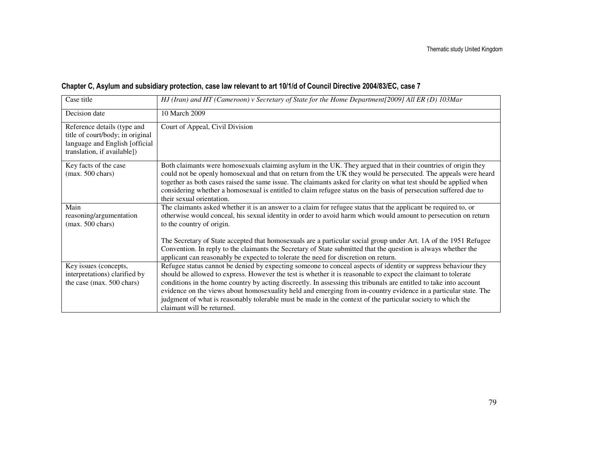|  | Chapter C, Asylum and subsidiary protection, case law relevant to art 10/1/d of Council Directive 2004/83/EC, case 7 |
|--|----------------------------------------------------------------------------------------------------------------------|
|--|----------------------------------------------------------------------------------------------------------------------|

| Case title                                                                                                                       | HJ (Iran) and HT (Cameroon) v Secretary of State for the Home Department[2009] All ER (D) 103Mar                                                                                                                                                                                                                                                                                                                                                                                                                                                                                                                      |
|----------------------------------------------------------------------------------------------------------------------------------|-----------------------------------------------------------------------------------------------------------------------------------------------------------------------------------------------------------------------------------------------------------------------------------------------------------------------------------------------------------------------------------------------------------------------------------------------------------------------------------------------------------------------------------------------------------------------------------------------------------------------|
| Decision date                                                                                                                    | 10 March 2009                                                                                                                                                                                                                                                                                                                                                                                                                                                                                                                                                                                                         |
| Reference details (type and<br>title of court/body; in original<br>language and English [official<br>translation, if available]) | Court of Appeal, Civil Division                                                                                                                                                                                                                                                                                                                                                                                                                                                                                                                                                                                       |
| Key facts of the case<br>$(max. 500 \text{ chars})$                                                                              | Both claimants were homosexuals claiming asylum in the UK. They argued that in their countries of origin they<br>could not be openly homosexual and that on return from the UK they would be persecuted. The appeals were heard<br>together as both cases raised the same issue. The claimants asked for clarity on what test should be applied when<br>considering whether a homosexual is entitled to claim refugee status on the basis of persecution suffered due to<br>their sexual orientation.                                                                                                                 |
| Main<br>reasoning/argumentation<br>$(max. 500 \text{ chars})$                                                                    | The claimants asked whether it is an answer to a claim for refugee status that the applicant be required to, or<br>otherwise would conceal, his sexual identity in order to avoid harm which would amount to persecution on return<br>to the country of origin.<br>The Secretary of State accepted that homosexuals are a particular social group under Art. 1A of the 1951 Refugee                                                                                                                                                                                                                                   |
|                                                                                                                                  | Convention. In reply to the claimants the Secretary of State submitted that the question is always whether the<br>applicant can reasonably be expected to tolerate the need for discretion on return.                                                                                                                                                                                                                                                                                                                                                                                                                 |
| Key issues (concepts,<br>interpretations) clarified by<br>the case (max. 500 chars)                                              | Refugee status cannot be denied by expecting someone to conceal aspects of identity or suppress behaviour they<br>should be allowed to express. However the test is whether it is reasonable to expect the claimant to tolerate<br>conditions in the home country by acting discreetly. In assessing this tribunals are entitled to take into account<br>evidence on the views about homosexuality held and emerging from in-country evidence in a particular state. The<br>judgment of what is reasonably tolerable must be made in the context of the particular society to which the<br>claimant will be returned. |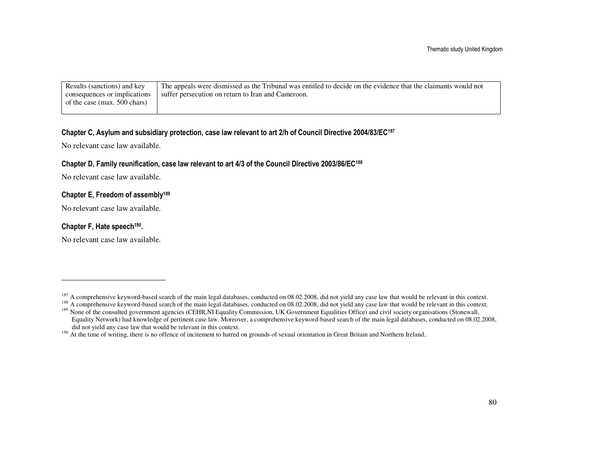| Results (sanctions) and key  | The appeals were dismissed as the Tribunal was entitled to decide on the evidence that the claimants would not |
|------------------------------|----------------------------------------------------------------------------------------------------------------|
| consequences or implications | suffer persecution on return to Iran and Cameroon.                                                             |
|                              |                                                                                                                |
| of the case (max. 500 chars) |                                                                                                                |

# Chapter C, Asylum and subsidiary protection, case law relevant to art 2/h of Council Directive 2004/83/EC<sup>187</sup>

No relevant case law available.

# Chapter D, Family reunification, case law relevant to art 4/3 of the Council Directive 2003/86/EC<sup>188</sup>

No relevant case law available.

#### Chapter E, Freedom of assembly<sup>189</sup>

No relevant case law available.

#### Chapter F, Hate speech<sup>190</sup>.

No relevant case law available.

<sup>&</sup>lt;sup>187</sup> A comprehensive keyword-based search of the main legal databases, conducted on 08.02.2008, did not yield any case law that would be relevant in this context.

<sup>&</sup>lt;sup>188</sup> A comprehensive keyword-based search of the main legal databases, conducted on 08.02.2008, did not yield any case law that would be relevant in this context.

<sup>&</sup>lt;sup>189</sup> None of the consulted government agencies (CEHR,NI Equality Commission, UK Government Equalities Office) and civil society organisations (Stonewall, Equality Network) had knowledge of pertinent case law. Moreover, a comprehensive keyword-based search of the main legal databases, conducted on 08.02.2008,did not yield any case law that would be relevant in this context.

<sup>&</sup>lt;sup>190</sup> At the time of writing, there is no offence of incitement to hatred on grounds of sexual orientation in Great Britain and Northern Ireland..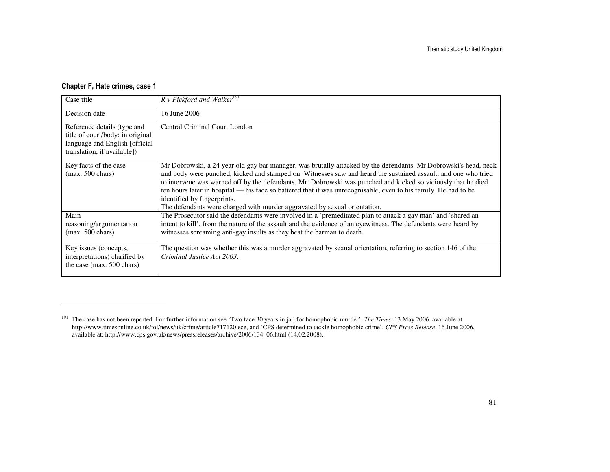# Chapter F, Hate crimes, case 1

| Case title                                                                                                                       | R v Pickford and Walker <sup>191</sup>                                                                                                                                                                                                                                                                                                                                                                                                                                                                                                                                            |
|----------------------------------------------------------------------------------------------------------------------------------|-----------------------------------------------------------------------------------------------------------------------------------------------------------------------------------------------------------------------------------------------------------------------------------------------------------------------------------------------------------------------------------------------------------------------------------------------------------------------------------------------------------------------------------------------------------------------------------|
| Decision date                                                                                                                    | 16 June 2006                                                                                                                                                                                                                                                                                                                                                                                                                                                                                                                                                                      |
| Reference details (type and<br>title of court/body; in original<br>language and English [official<br>translation, if available]) | <b>Central Criminal Court London</b>                                                                                                                                                                                                                                                                                                                                                                                                                                                                                                                                              |
| Key facts of the case<br>$(max. 500 \text{ chars})$                                                                              | Mr Dobrowski, a 24 year old gay bar manager, was brutally attacked by the defendants. Mr Dobrowski's head, neck<br>and body were punched, kicked and stamped on. Witnesses saw and heard the sustained assault, and one who tried<br>to intervene was warned off by the defendants. Mr. Dobrowski was punched and kicked so viciously that he died<br>ten hours later in hospital — his face so battered that it was unrecognisable, even to his family. He had to be<br>identified by fingerprints.<br>The defendants were charged with murder aggravated by sexual orientation. |
| Main<br>reasoning/argumentation<br>$(max. 500 \text{ chars})$                                                                    | The Prosecutor said the defendants were involved in a 'premeditated plan to attack a gay man' and 'shared an<br>intent to kill', from the nature of the assault and the evidence of an eyewitness. The defendants were heard by<br>witnesses screaming anti-gay insults as they beat the barman to death.                                                                                                                                                                                                                                                                         |
| Key issues (concepts,<br>interpretations) clarified by<br>the case (max. 500 chars)                                              | The question was whether this was a murder aggravated by sexual orientation, referring to section 146 of the<br>Criminal Justice Act 2003.                                                                                                                                                                                                                                                                                                                                                                                                                                        |

<sup>&</sup>lt;sup>191</sup> The case has not been reported. For further information see 'Two face 30 years in jail for homophobic murder', *The Times*, 13 May 2006, available at http://www.timesonline.co.uk/tol/news/uk/crime/article717120.ece, available at: http://www.cps.gov.uk/news/pressreleases/archive/2006/134\_06.html (14.02.2008).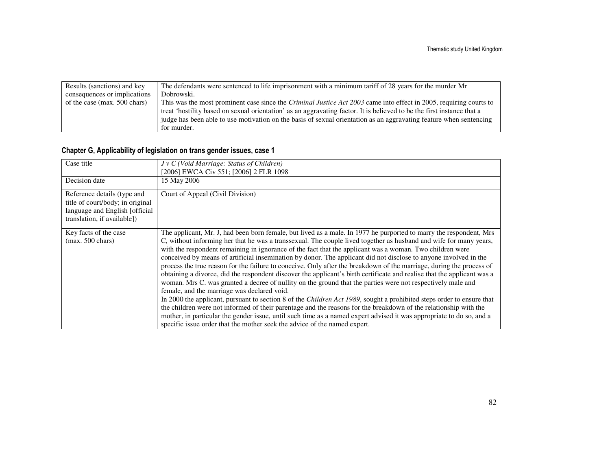| Results (sanctions) and key  | The defendants were sentenced to life imprisonment with a minimum tariff of 28 years for the murder Mr                    |
|------------------------------|---------------------------------------------------------------------------------------------------------------------------|
| consequences or implications | Dobrowski.                                                                                                                |
| of the case (max. 500 chars) | This was the most prominent case since the <i>Criminal Justice Act 2003</i> came into effect in 2005, requiring courts to |
|                              | treat 'hostility based on sexual orientation' as an aggravating factor. It is believed to be the first instance that a    |
|                              | judge has been able to use motivation on the basis of sexual orientation as an aggravating feature when sentencing        |
|                              | for murder.                                                                                                               |

# Chapter G, Applicability of legislation on trans gender issues, case 1

| Case title                                                                                                                       | $JvC$ (Void Marriage: Status of Children)<br>[2006] EWCA Civ 551; [2006] 2 FLR 1098                                                                                                                                                                                                                                                                                                                                                                                                                                                                                                                                                                                                                                                                                                                                                                                                                                                                                                                                                                                                                                                                                                                                                                                                                                                                |
|----------------------------------------------------------------------------------------------------------------------------------|----------------------------------------------------------------------------------------------------------------------------------------------------------------------------------------------------------------------------------------------------------------------------------------------------------------------------------------------------------------------------------------------------------------------------------------------------------------------------------------------------------------------------------------------------------------------------------------------------------------------------------------------------------------------------------------------------------------------------------------------------------------------------------------------------------------------------------------------------------------------------------------------------------------------------------------------------------------------------------------------------------------------------------------------------------------------------------------------------------------------------------------------------------------------------------------------------------------------------------------------------------------------------------------------------------------------------------------------------|
| Decision date                                                                                                                    | 15 May 2006                                                                                                                                                                                                                                                                                                                                                                                                                                                                                                                                                                                                                                                                                                                                                                                                                                                                                                                                                                                                                                                                                                                                                                                                                                                                                                                                        |
| Reference details (type and<br>title of court/body; in original<br>language and English [official<br>translation, if available]) | Court of Appeal (Civil Division)                                                                                                                                                                                                                                                                                                                                                                                                                                                                                                                                                                                                                                                                                                                                                                                                                                                                                                                                                                                                                                                                                                                                                                                                                                                                                                                   |
| Key facts of the case<br>$(max. 500 \text{ chars})$                                                                              | The applicant, Mr. J, had been born female, but lived as a male. In 1977 he purported to marry the respondent, Mrs<br>C, without informing her that he was a transsexual. The couple lived together as husband and wife for many years,<br>with the respondent remaining in ignorance of the fact that the applicant was a woman. Two children were<br>conceived by means of artificial insemination by donor. The applicant did not disclose to anyone involved in the<br>process the true reason for the failure to conceive. Only after the breakdown of the marriage, during the process of<br>obtaining a divorce, did the respondent discover the applicant's birth certificate and realise that the applicant was a<br>woman. Mrs C. was granted a decree of nullity on the ground that the parties were not respectively male and<br>female, and the marriage was declared void.<br>In 2000 the applicant, pursuant to section 8 of the <i>Children Act 1989</i> , sought a prohibited steps order to ensure that<br>the children were not informed of their parentage and the reasons for the breakdown of the relationship with the<br>mother, in particular the gender issue, until such time as a named expert advised it was appropriate to do so, and a<br>specific issue order that the mother seek the advice of the named expert. |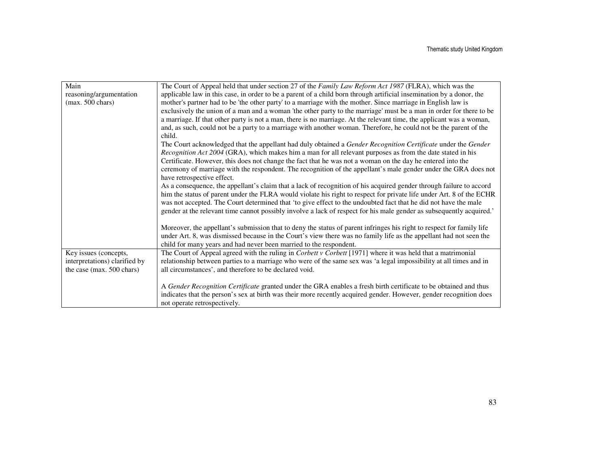| Main                          | The Court of Appeal held that under section 27 of the Family Law Reform Act 1987 (FLRA), which was the                |
|-------------------------------|-----------------------------------------------------------------------------------------------------------------------|
| reasoning/argumentation       | applicable law in this case, in order to be a parent of a child born through artificial insemination by a donor, the  |
| $(max. 500 \text{ chars})$    | mother's partner had to be 'the other party' to a marriage with the mother. Since marriage in English law is          |
|                               | exclusively the union of a man and a woman 'the other party to the marriage' must be a man in order for there to be   |
|                               | a marriage. If that other party is not a man, there is no marriage. At the relevant time, the applicant was a woman,  |
|                               | and, as such, could not be a party to a marriage with another woman. Therefore, he could not be the parent of the     |
|                               | child.                                                                                                                |
|                               | The Court acknowledged that the appellant had duly obtained a Gender Recognition Certificate under the Gender         |
|                               | Recognition Act 2004 (GRA), which makes him a man for all relevant purposes as from the date stated in his            |
|                               | Certificate. However, this does not change the fact that he was not a woman on the day he entered into the            |
|                               | ceremony of marriage with the respondent. The recognition of the appellant's male gender under the GRA does not       |
|                               | have retrospective effect.                                                                                            |
|                               | As a consequence, the appellant's claim that a lack of recognition of his acquired gender through failure to accord   |
|                               | him the status of parent under the FLRA would violate his right to respect for private life under Art. 8 of the ECHR  |
|                               | was not accepted. The Court determined that 'to give effect to the undoubted fact that he did not have the male       |
|                               | gender at the relevant time cannot possibly involve a lack of respect for his male gender as subsequently acquired.   |
|                               |                                                                                                                       |
|                               | Moreover, the appellant's submission that to deny the status of parent infringes his right to respect for family life |
|                               | under Art. 8, was dismissed because in the Court's view there was no family life as the appellant had not seen the    |
|                               | child for many years and had never been married to the respondent.                                                    |
| Key issues (concepts,         | The Court of Appeal agreed with the ruling in Corbett v Corbett [1971] where it was held that a matrimonial           |
| interpretations) clarified by | relationship between parties to a marriage who were of the same sex was 'a legal impossibility at all times and in    |
| the case (max. 500 chars)     | all circumstances', and therefore to be declared void.                                                                |
|                               |                                                                                                                       |
|                               | A Gender Recognition Certificate granted under the GRA enables a fresh birth certificate to be obtained and thus      |
|                               | indicates that the person's sex at birth was their more recently acquired gender. However, gender recognition does    |
|                               | not operate retrospectively.                                                                                          |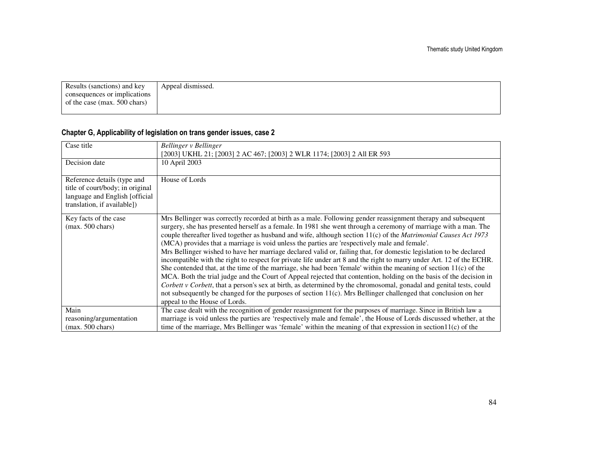| Results (sanctions) and key  | Appeal dismissed. |
|------------------------------|-------------------|
| consequences or implications |                   |
| of the case (max. 500 chars) |                   |
|                              |                   |

#### Chapter G, Applicability of legislation on trans gender issues, case 2

| Case title                                                                                                                        | Bellinger v Bellinger<br>[2003] UKHL 21; [2003] 2 AC 467; [2003] 2 WLR 1174; [2003] 2 All ER 593                                                                                                                                                                                                                                                                                                                                                                                                                                                                                                                                                                                                                                                                                                                                                                                                                                                                                                                                                                                                                                                                                                                                     |
|-----------------------------------------------------------------------------------------------------------------------------------|--------------------------------------------------------------------------------------------------------------------------------------------------------------------------------------------------------------------------------------------------------------------------------------------------------------------------------------------------------------------------------------------------------------------------------------------------------------------------------------------------------------------------------------------------------------------------------------------------------------------------------------------------------------------------------------------------------------------------------------------------------------------------------------------------------------------------------------------------------------------------------------------------------------------------------------------------------------------------------------------------------------------------------------------------------------------------------------------------------------------------------------------------------------------------------------------------------------------------------------|
| Decision date                                                                                                                     | 10 April 2003                                                                                                                                                                                                                                                                                                                                                                                                                                                                                                                                                                                                                                                                                                                                                                                                                                                                                                                                                                                                                                                                                                                                                                                                                        |
| Reference details (type and<br>title of court/body; in original<br>language and English [official]<br>translation, if available]) | House of Lords                                                                                                                                                                                                                                                                                                                                                                                                                                                                                                                                                                                                                                                                                                                                                                                                                                                                                                                                                                                                                                                                                                                                                                                                                       |
| Key facts of the case<br>$(max. 500 \text{ chars})$                                                                               | Mrs Bellinger was correctly recorded at birth as a male. Following gender reassignment therapy and subsequent<br>surgery, she has presented herself as a female. In 1981 she went through a ceremony of marriage with a man. The<br>couple thereafter lived together as husband and wife, although section $11(c)$ of the <i>Matrimonial Causes Act 1973</i><br>(MCA) provides that a marriage is void unless the parties are 'respectively male and female'.<br>Mrs Bellinger wished to have her marriage declared valid or, failing that, for domestic legislation to be declared<br>incompatible with the right to respect for private life under art 8 and the right to marry under Art. 12 of the ECHR.<br>She contended that, at the time of the marriage, she had been 'female' within the meaning of section $11(c)$ of the<br>MCA. Both the trial judge and the Court of Appeal rejected that contention, holding on the basis of the decision in<br>Corbett v Corbett, that a person's sex at birth, as determined by the chromosomal, gonadal and genital tests, could<br>not subsequently be changed for the purposes of section 11(c). Mrs Bellinger challenged that conclusion on her<br>appeal to the House of Lords. |
| Main<br>reasoning/argumentation<br>$(max. 500 \text{ chars})$                                                                     | The case dealt with the recognition of gender reassignment for the purposes of marriage. Since in British law a<br>marriage is void unless the parties are 'respectively male and female', the House of Lords discussed whether, at the<br>time of the marriage, Mrs Bellinger was 'female' within the meaning of that expression in section $11(c)$ of the                                                                                                                                                                                                                                                                                                                                                                                                                                                                                                                                                                                                                                                                                                                                                                                                                                                                          |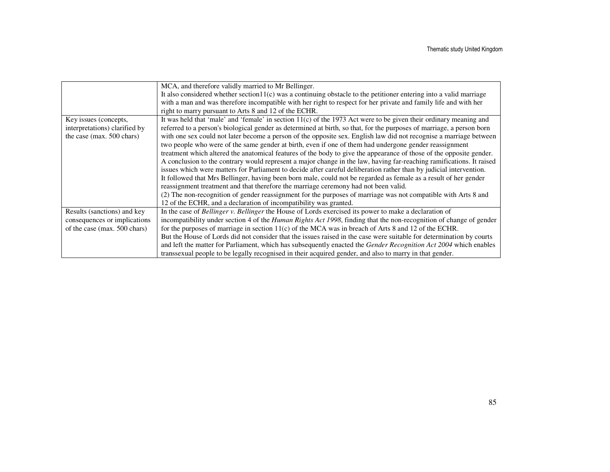|                               | MCA, and therefore validly married to Mr Bellinger.                                                                        |
|-------------------------------|----------------------------------------------------------------------------------------------------------------------------|
|                               | It also considered whether section $1(c)$ was a continuing obstacle to the petitioner entering into a valid marriage       |
|                               | with a man and was therefore incompatible with her right to respect for her private and family life and with her           |
|                               | right to marry pursuant to Arts 8 and 12 of the ECHR.                                                                      |
| Key issues (concepts,         | It was held that 'male' and 'female' in section $11(c)$ of the 1973 Act were to be given their ordinary meaning and        |
| interpretations) clarified by | referred to a person's biological gender as determined at birth, so that, for the purposes of marriage, a person born      |
| the case (max. 500 chars)     | with one sex could not later become a person of the opposite sex. English law did not recognise a marriage between         |
|                               | two people who were of the same gender at birth, even if one of them had undergone gender reassignment                     |
|                               | treatment which altered the anatomical features of the body to give the appearance of those of the opposite gender.        |
|                               | A conclusion to the contrary would represent a major change in the law, having far-reaching ramifications. It raised       |
|                               | issues which were matters for Parliament to decide after careful deliberation rather than by judicial intervention.        |
|                               | It followed that Mrs Bellinger, having been born male, could not be regarded as female as a result of her gender           |
|                               | reassignment treatment and that therefore the marriage ceremony had not been valid.                                        |
|                               | (2) The non-recognition of gender reassignment for the purposes of marriage was not compatible with Arts 8 and             |
|                               | 12 of the ECHR, and a declaration of incompatibility was granted.                                                          |
| Results (sanctions) and key   | In the case of Bellinger v. Bellinger the House of Lords exercised its power to make a declaration of                      |
| consequences or implications  | incompatibility under section 4 of the <i>Human Rights Act 1998</i> , finding that the non-recognition of change of gender |
| of the case (max. 500 chars)  | for the purposes of marriage in section $11(c)$ of the MCA was in breach of Arts 8 and 12 of the ECHR.                     |
|                               | But the House of Lords did not consider that the issues raised in the case were suitable for determination by courts       |
|                               | and left the matter for Parliament, which has subsequently enacted the <i>Gender Recognition Act</i> 2004 which enables    |
|                               | transsexual people to be legally recognised in their acquired gender, and also to marry in that gender.                    |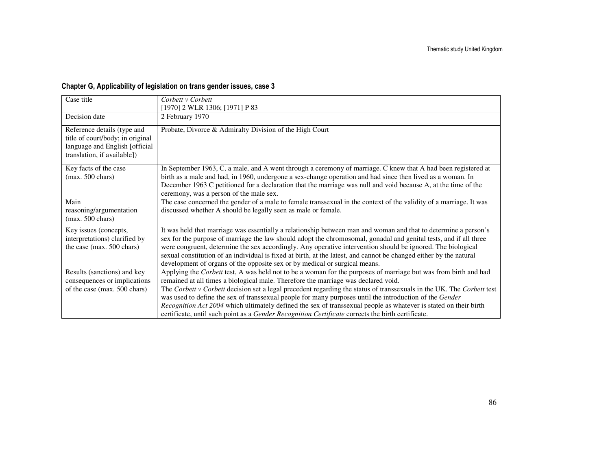# Chapter G, Applicability of legislation on trans gender issues, case 3

| Case title                                                                                                                       | Corbett v Corbett<br>[1970] 2 WLR 1306; [1971] P 83                                                                                                                                                                                                                                                                                                                                                                                                                                                                                                                                                                                                                |
|----------------------------------------------------------------------------------------------------------------------------------|--------------------------------------------------------------------------------------------------------------------------------------------------------------------------------------------------------------------------------------------------------------------------------------------------------------------------------------------------------------------------------------------------------------------------------------------------------------------------------------------------------------------------------------------------------------------------------------------------------------------------------------------------------------------|
| Decision date                                                                                                                    | 2 February 1970                                                                                                                                                                                                                                                                                                                                                                                                                                                                                                                                                                                                                                                    |
| Reference details (type and<br>title of court/body; in original<br>language and English [official<br>translation, if available]) | Probate, Divorce & Admiralty Division of the High Court                                                                                                                                                                                                                                                                                                                                                                                                                                                                                                                                                                                                            |
| Key facts of the case<br>$(max. 500 \text{ chars})$                                                                              | In September 1963, C, a male, and A went through a ceremony of marriage. C knew that A had been registered at<br>birth as a male and had, in 1960, undergone a sex-change operation and had since then lived as a woman. In<br>December 1963 C petitioned for a declaration that the marriage was null and void because A, at the time of the<br>ceremony, was a person of the male sex.                                                                                                                                                                                                                                                                           |
| Main<br>reasoning/argumentation<br>$(max. 500 \text{ chars})$                                                                    | The case concerned the gender of a male to female transsexual in the context of the validity of a marriage. It was<br>discussed whether A should be legally seen as male or female.                                                                                                                                                                                                                                                                                                                                                                                                                                                                                |
| Key issues (concepts,<br>interpretations) clarified by<br>the case (max. 500 chars)                                              | It was held that marriage was essentially a relationship between man and woman and that to determine a person's<br>sex for the purpose of marriage the law should adopt the chromosomal, gonadal and genital tests, and if all three<br>were congruent, determine the sex accordingly. Any operative intervention should be ignored. The biological<br>sexual constitution of an individual is fixed at birth, at the latest, and cannot be changed either by the natural<br>development of organs of the opposite sex or by medical or surgical means.                                                                                                            |
| Results (sanctions) and key<br>consequences or implications<br>of the case (max. 500 chars)                                      | Applying the Corbett test, A was held not to be a woman for the purposes of marriage but was from birth and had<br>remained at all times a biological male. Therefore the marriage was declared void.<br>The Corbett v Corbett decision set a legal precedent regarding the status of transsexuals in the UK. The Corbett test<br>was used to define the sex of transsexual people for many purposes until the introduction of the Gender<br>Recognition Act 2004 which ultimately defined the sex of transsexual people as whatever is stated on their birth<br>certificate, until such point as a Gender Recognition Certificate corrects the birth certificate. |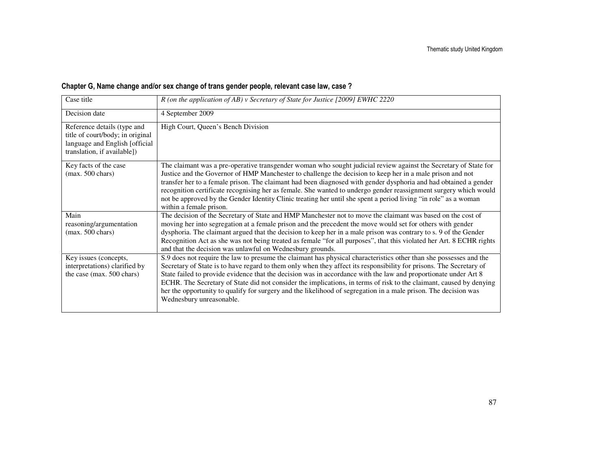| Case title                                                                                                                       | R (on the application of AB) v Secretary of State for Justice [2009] EWHC 2220                                                                                                                                                                                                                                                                                                                                                                                                                                                                                                                                                     |
|----------------------------------------------------------------------------------------------------------------------------------|------------------------------------------------------------------------------------------------------------------------------------------------------------------------------------------------------------------------------------------------------------------------------------------------------------------------------------------------------------------------------------------------------------------------------------------------------------------------------------------------------------------------------------------------------------------------------------------------------------------------------------|
| Decision date                                                                                                                    | 4 September 2009                                                                                                                                                                                                                                                                                                                                                                                                                                                                                                                                                                                                                   |
| Reference details (type and<br>title of court/body; in original<br>language and English [official<br>translation, if available]) | High Court, Queen's Bench Division                                                                                                                                                                                                                                                                                                                                                                                                                                                                                                                                                                                                 |
| Key facts of the case<br>$(max. 500 \text{ chars})$                                                                              | The claimant was a pre-operative transgender woman who sought judicial review against the Secretary of State for<br>Justice and the Governor of HMP Manchester to challenge the decision to keep her in a male prison and not<br>transfer her to a female prison. The claimant had been diagnosed with gender dysphoria and had obtained a gender<br>recognition certificate recognising her as female. She wanted to undergo gender reassignment surgery which would<br>not be approved by the Gender Identity Clinic treating her until she spent a period living "in role" as a woman<br>within a female prison.                |
| Main<br>reasoning/argumentation<br>$(max. 500 \text{ chars})$                                                                    | The decision of the Secretary of State and HMP Manchester not to move the claimant was based on the cost of<br>moving her into segregation at a female prison and the precedent the move would set for others with gender<br>dysphoria. The claimant argued that the decision to keep her in a male prison was contrary to s. 9 of the Gender<br>Recognition Act as she was not being treated as female "for all purposes", that this violated her Art. 8 ECHR rights<br>and that the decision was unlawful on Wednesbury grounds.                                                                                                 |
| Key issues (concepts,<br>interpretations) clarified by<br>the case (max. 500 chars)                                              | S.9 does not require the law to presume the claimant has physical characteristics other than she possesses and the<br>Secretary of State is to have regard to them only when they affect its responsibility for prisons. The Secretary of<br>State failed to provide evidence that the decision was in accordance with the law and proportionate under Art 8<br>ECHR. The Secretary of State did not consider the implications, in terms of risk to the claimant, caused by denying<br>her the opportunity to qualify for surgery and the likelihood of segregation in a male prison. The decision was<br>Wednesbury unreasonable. |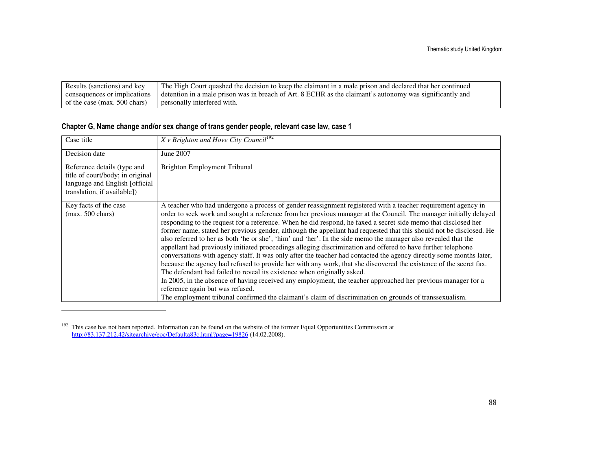| Results (sanctions) and key  | The High Court quashed the decision to keep the claimant in a male prison and declared that her continued |
|------------------------------|-----------------------------------------------------------------------------------------------------------|
| consequences or implications | detention in a male prison was in breach of Art. 8 ECHR as the claimant's autonomy was significantly and  |
| of the case (max. 500 chars) | personally interfered with.                                                                               |

| Case title                                                                                                                       | $X \vee$ Brighton and Hove City Council <sup>192</sup>                                                                                                                                                                                                                                                                                                                                                                                                                                                                                                                                                                                                                                                                                                                                                                                                                                                                                                                                                                                                                                                                                                                                                                                                                                            |
|----------------------------------------------------------------------------------------------------------------------------------|---------------------------------------------------------------------------------------------------------------------------------------------------------------------------------------------------------------------------------------------------------------------------------------------------------------------------------------------------------------------------------------------------------------------------------------------------------------------------------------------------------------------------------------------------------------------------------------------------------------------------------------------------------------------------------------------------------------------------------------------------------------------------------------------------------------------------------------------------------------------------------------------------------------------------------------------------------------------------------------------------------------------------------------------------------------------------------------------------------------------------------------------------------------------------------------------------------------------------------------------------------------------------------------------------|
| Decision date                                                                                                                    | June 2007                                                                                                                                                                                                                                                                                                                                                                                                                                                                                                                                                                                                                                                                                                                                                                                                                                                                                                                                                                                                                                                                                                                                                                                                                                                                                         |
| Reference details (type and<br>title of court/body; in original<br>language and English [official<br>translation, if available]) | Brighton Employment Tribunal                                                                                                                                                                                                                                                                                                                                                                                                                                                                                                                                                                                                                                                                                                                                                                                                                                                                                                                                                                                                                                                                                                                                                                                                                                                                      |
| Key facts of the case<br>$(max. 500 \text{ chars})$                                                                              | A teacher who had undergone a process of gender reassignment registered with a teacher requirement agency in<br>order to seek work and sought a reference from her previous manager at the Council. The manager initially delayed<br>responding to the request for a reference. When he did respond, he faxed a secret side memo that disclosed her<br>former name, stated her previous gender, although the appellant had requested that this should not be disclosed. He<br>also referred to her as both 'he or she', 'him' and 'her'. In the side memo the manager also revealed that the<br>appellant had previously initiated proceedings alleging discrimination and offered to have further telephone<br>conversations with agency staff. It was only after the teacher had contacted the agency directly some months later,<br>because the agency had refused to provide her with any work, that she discovered the existence of the secret fax.<br>The defendant had failed to reveal its existence when originally asked.<br>In 2005, in the absence of having received any employment, the teacher approached her previous manager for a<br>reference again but was refused.<br>The employment tribunal confirmed the claimant's claim of discrimination on grounds of transsexualism. |

<sup>&</sup>lt;sup>192</sup> This case has not been reported. Information can be found on the website of the former Equal Opportunities Commission at http://83.137.212.42/sitearchive/eoc/Defaulta83c.html?page=19826 (14.02.2008).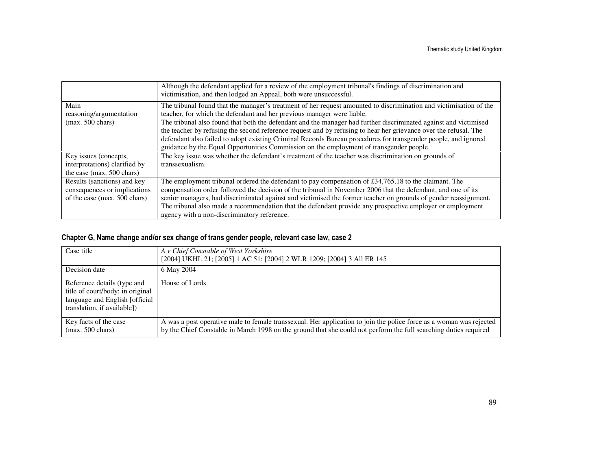|                                 | Although the defendant applied for a review of the employment tribunal's findings of discrimination and<br>victimisation, and then lodged an Appeal, both were unsuccessful.                              |
|---------------------------------|-----------------------------------------------------------------------------------------------------------------------------------------------------------------------------------------------------------|
| Main<br>reasoning/argumentation | The tribunal found that the manager's treatment of her request amounted to discrimination and victimisation of the<br>teacher, for which the defendant and her previous manager were liable.              |
| $(max. 500 \text{ chars})$      | The tribunal also found that both the defendant and the manager had further discriminated against and victimised                                                                                          |
|                                 | the teacher by refusing the second reference request and by refusing to hear her grievance over the refusal. The                                                                                          |
|                                 | defendant also failed to adopt existing Criminal Records Bureau procedures for transgender people, and ignored<br>guidance by the Equal Opportunities Commission on the employment of transgender people. |
| Key issues (concepts,           | The key issue was whether the defendant's treatment of the teacher was discrimination on grounds of                                                                                                       |
| interpretations) clarified by   | transsexualism.                                                                                                                                                                                           |
| the case (max. 500 chars)       |                                                                                                                                                                                                           |
| Results (sanctions) and key     | The employment tribunal ordered the defendant to pay compensation of £34,765.18 to the claimant. The                                                                                                      |
| consequences or implications    | compensation order followed the decision of the tribunal in November 2006 that the defendant, and one of its                                                                                              |
| of the case (max. 500 chars)    | senior managers, had discriminated against and victimised the former teacher on grounds of gender reassignment.                                                                                           |
|                                 | The tribunal also made a recommendation that the defendant provide any prospective employer or employment                                                                                                 |
|                                 | agency with a non-discriminatory reference.                                                                                                                                                               |

| Case title                                                                                                                        | A v Chief Constable of West Yorkshire<br>[2004] UKHL 21; [2005] 1 AC 51; [2004] 2 WLR 1209; [2004] 3 All ER 145                                                                                                                         |
|-----------------------------------------------------------------------------------------------------------------------------------|-----------------------------------------------------------------------------------------------------------------------------------------------------------------------------------------------------------------------------------------|
| Decision date                                                                                                                     | 6 May 2004                                                                                                                                                                                                                              |
| Reference details (type and<br>title of court/body; in original<br>language and English [official]<br>translation, if available]) | House of Lords                                                                                                                                                                                                                          |
| Key facts of the case<br>$(max. 500 \text{ chars})$                                                                               | A was a post operative male to female transsexual. Her application to join the police force as a woman was rejected<br>by the Chief Constable in March 1998 on the ground that she could not perform the full searching duties required |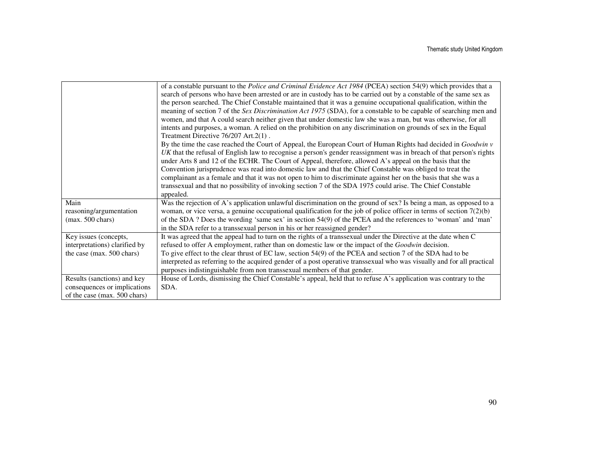|                               | of a constable pursuant to the <i>Police and Criminal Evidence Act 1984</i> (PCEA) section 54(9) which provides that a                                                                                                                       |
|-------------------------------|----------------------------------------------------------------------------------------------------------------------------------------------------------------------------------------------------------------------------------------------|
|                               | search of persons who have been arrested or are in custody has to be carried out by a constable of the same sex as                                                                                                                           |
|                               | the person searched. The Chief Constable maintained that it was a genuine occupational qualification, within the                                                                                                                             |
|                               | meaning of section 7 of the Sex Discrimination Act 1975 (SDA), for a constable to be capable of searching men and                                                                                                                            |
|                               | women, and that A could search neither given that under domestic law she was a man, but was otherwise, for all                                                                                                                               |
|                               | intents and purposes, a woman. A relied on the prohibition on any discrimination on grounds of sex in the Equal                                                                                                                              |
|                               | Treatment Directive 76/207 Art.2(1).                                                                                                                                                                                                         |
|                               | By the time the case reached the Court of Appeal, the European Court of Human Rights had decided in <i>Goodwin v</i><br>UK that the refusal of English law to recognise a person's gender reassignment was in breach of that person's rights |
|                               | under Arts 8 and 12 of the ECHR. The Court of Appeal, therefore, allowed A's appeal on the basis that the                                                                                                                                    |
|                               | Convention jurisprudence was read into domestic law and that the Chief Constable was obliged to treat the                                                                                                                                    |
|                               | complainant as a female and that it was not open to him to discriminate against her on the basis that she was a                                                                                                                              |
|                               | transsexual and that no possibility of invoking section 7 of the SDA 1975 could arise. The Chief Constable                                                                                                                                   |
|                               | appealed.                                                                                                                                                                                                                                    |
| Main                          | Was the rejection of A's application unlawful discrimination on the ground of sex? Is being a man, as opposed to a                                                                                                                           |
| reasoning/argumentation       | woman, or vice versa, a genuine occupational qualification for the job of police officer in terms of section $7(2)(b)$                                                                                                                       |
| $(max. 500 \text{ chars})$    | of the SDA? Does the wording 'same sex' in section 54(9) of the PCEA and the references to 'woman' and 'man'                                                                                                                                 |
|                               | in the SDA refer to a transsexual person in his or her reassigned gender?                                                                                                                                                                    |
| Key issues (concepts,         | It was agreed that the appeal had to turn on the rights of a transsexual under the Directive at the date when C                                                                                                                              |
| interpretations) clarified by | refused to offer A employment, rather than on domestic law or the impact of the <i>Goodwin</i> decision.                                                                                                                                     |
| the case (max. 500 chars)     | To give effect to the clear thrust of EC law, section 54(9) of the PCEA and section 7 of the SDA had to be                                                                                                                                   |
|                               | interpreted as referring to the acquired gender of a post operative transsexual who was visually and for all practical                                                                                                                       |
|                               | purposes indistinguishable from non transsexual members of that gender.                                                                                                                                                                      |
| Results (sanctions) and key   | House of Lords, dismissing the Chief Constable's appeal, held that to refuse A's application was contrary to the                                                                                                                             |
| consequences or implications  | SDA.                                                                                                                                                                                                                                         |
| of the case (max. 500 chars)  |                                                                                                                                                                                                                                              |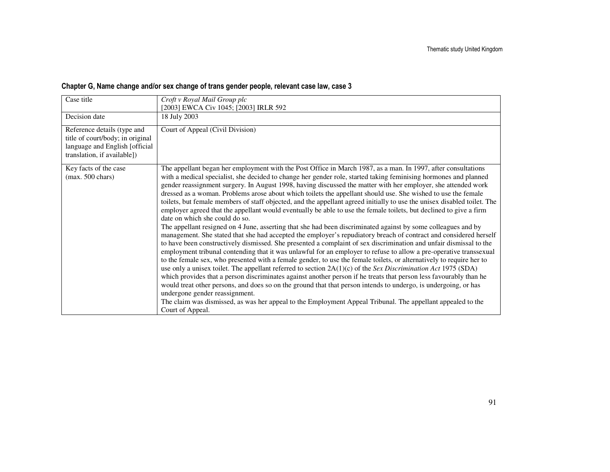| Case title                                                                                                                       | Croft v Royal Mail Group plc<br>[2003] EWCA Civ 1045; [2003] IRLR 592                                                                                                                                                                                                                                                                                                                                                                                                                                                                                                                                                                                                                                                                                                                                                                                                                                                                                                                                                                                                                                                                                                                                                                                                                                                                                                                                                                                                                                                                                                                                                                                                                                                                                                                                                                                                                              |
|----------------------------------------------------------------------------------------------------------------------------------|----------------------------------------------------------------------------------------------------------------------------------------------------------------------------------------------------------------------------------------------------------------------------------------------------------------------------------------------------------------------------------------------------------------------------------------------------------------------------------------------------------------------------------------------------------------------------------------------------------------------------------------------------------------------------------------------------------------------------------------------------------------------------------------------------------------------------------------------------------------------------------------------------------------------------------------------------------------------------------------------------------------------------------------------------------------------------------------------------------------------------------------------------------------------------------------------------------------------------------------------------------------------------------------------------------------------------------------------------------------------------------------------------------------------------------------------------------------------------------------------------------------------------------------------------------------------------------------------------------------------------------------------------------------------------------------------------------------------------------------------------------------------------------------------------------------------------------------------------------------------------------------------------|
| Decision date                                                                                                                    | 18 July 2003                                                                                                                                                                                                                                                                                                                                                                                                                                                                                                                                                                                                                                                                                                                                                                                                                                                                                                                                                                                                                                                                                                                                                                                                                                                                                                                                                                                                                                                                                                                                                                                                                                                                                                                                                                                                                                                                                       |
| Reference details (type and<br>title of court/body; in original<br>language and English [official<br>translation, if available]) | Court of Appeal (Civil Division)                                                                                                                                                                                                                                                                                                                                                                                                                                                                                                                                                                                                                                                                                                                                                                                                                                                                                                                                                                                                                                                                                                                                                                                                                                                                                                                                                                                                                                                                                                                                                                                                                                                                                                                                                                                                                                                                   |
| Key facts of the case<br>$(max. 500 \text{ chars})$                                                                              | The appellant began her employment with the Post Office in March 1987, as a man. In 1997, after consultations<br>with a medical specialist, she decided to change her gender role, started taking feminising hormones and planned<br>gender reassignment surgery. In August 1998, having discussed the matter with her employer, she attended work<br>dressed as a woman. Problems arose about which toilets the appellant should use. She wished to use the female<br>toilets, but female members of staff objected, and the appellant agreed initially to use the unisex disabled toilet. The<br>employer agreed that the appellant would eventually be able to use the female toilets, but declined to give a firm<br>date on which she could do so.<br>The appellant resigned on 4 June, asserting that she had been discriminated against by some colleagues and by<br>management. She stated that she had accepted the employer's repudiatory breach of contract and considered herself<br>to have been constructively dismissed. She presented a complaint of sex discrimination and unfair dismissal to the<br>employment tribunal contending that it was unlawful for an employer to refuse to allow a pre-operative transsexual<br>to the female sex, who presented with a female gender, to use the female toilets, or alternatively to require her to<br>use only a unisex toilet. The appellant referred to section $2A(1)(c)$ of the Sex Discrimination Act 1975 (SDA)<br>which provides that a person discriminates against another person if he treats that person less favourably than he<br>would treat other persons, and does so on the ground that that person intends to undergo, is undergoing, or has<br>undergone gender reassignment.<br>The claim was dismissed, as was her appeal to the Employment Appeal Tribunal. The appellant appealed to the<br>Court of Appeal. |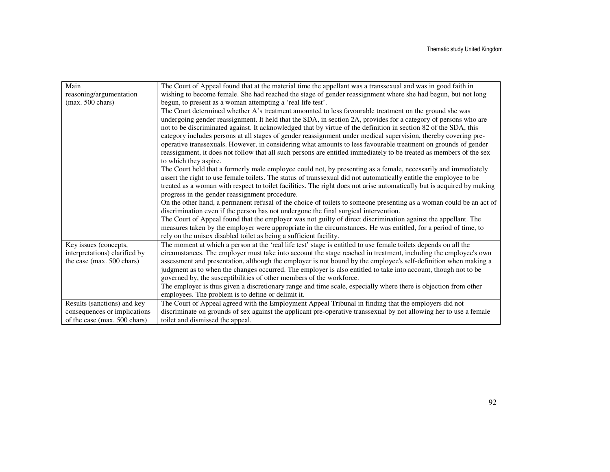| Main                                                                                                                   | The Court of Appeal found that at the material time the appellant was a transsexual and was in good faith in        |  |  |  |  |  |  |  |  |
|------------------------------------------------------------------------------------------------------------------------|---------------------------------------------------------------------------------------------------------------------|--|--|--|--|--|--|--|--|
| reasoning/argumentation                                                                                                | wishing to become female. She had reached the stage of gender reassignment where she had begun, but not long        |  |  |  |  |  |  |  |  |
| $(max. 500 \text{ chars})$                                                                                             | begun, to present as a woman attempting a 'real life test'.                                                         |  |  |  |  |  |  |  |  |
|                                                                                                                        | The Court determined whether A's treatment amounted to less favourable treatment on the ground she was              |  |  |  |  |  |  |  |  |
|                                                                                                                        | undergoing gender reassignment. It held that the SDA, in section 2A, provides for a category of persons who are     |  |  |  |  |  |  |  |  |
|                                                                                                                        | not to be discriminated against. It acknowledged that by virtue of the definition in section 82 of the SDA, this    |  |  |  |  |  |  |  |  |
|                                                                                                                        | category includes persons at all stages of gender reassignment under medical supervision, thereby covering pre-     |  |  |  |  |  |  |  |  |
| operative transsexuals. However, in considering what amounts to less favourable treatment on grounds of gender         |                                                                                                                     |  |  |  |  |  |  |  |  |
|                                                                                                                        | reassignment, it does not follow that all such persons are entitled immediately to be treated as members of the sex |  |  |  |  |  |  |  |  |
|                                                                                                                        | to which they aspire.                                                                                               |  |  |  |  |  |  |  |  |
|                                                                                                                        | The Court held that a formerly male employee could not, by presenting as a female, necessarily and immediately      |  |  |  |  |  |  |  |  |
| assert the right to use female toilets. The status of transsexual did not automatically entitle the employee to be     |                                                                                                                     |  |  |  |  |  |  |  |  |
| treated as a woman with respect to toilet facilities. The right does not arise automatically but is acquired by making |                                                                                                                     |  |  |  |  |  |  |  |  |
|                                                                                                                        | progress in the gender reassignment procedure.                                                                      |  |  |  |  |  |  |  |  |
|                                                                                                                        | On the other hand, a permanent refusal of the choice of toilets to someone presenting as a woman could be an act of |  |  |  |  |  |  |  |  |
|                                                                                                                        | discrimination even if the person has not undergone the final surgical intervention.                                |  |  |  |  |  |  |  |  |
| The Court of Appeal found that the employer was not guilty of direct discrimination against the appellant. The         |                                                                                                                     |  |  |  |  |  |  |  |  |
|                                                                                                                        | measures taken by the employer were appropriate in the circumstances. He was entitled, for a period of time, to     |  |  |  |  |  |  |  |  |
|                                                                                                                        | rely on the unisex disabled toilet as being a sufficient facility.                                                  |  |  |  |  |  |  |  |  |
| Key issues (concepts,                                                                                                  | The moment at which a person at the 'real life test' stage is entitled to use female toilets depends on all the     |  |  |  |  |  |  |  |  |
| interpretations) clarified by                                                                                          | circumstances. The employer must take into account the stage reached in treatment, including the employee's own     |  |  |  |  |  |  |  |  |
| the case (max. 500 chars)                                                                                              | assessment and presentation, although the employer is not bound by the employee's self-definition when making a     |  |  |  |  |  |  |  |  |
|                                                                                                                        | judgment as to when the changes occurred. The employer is also entitled to take into account, though not to be      |  |  |  |  |  |  |  |  |
|                                                                                                                        | governed by, the susceptibilities of other members of the workforce.                                                |  |  |  |  |  |  |  |  |
|                                                                                                                        | The employer is thus given a discretionary range and time scale, especially where there is objection from other     |  |  |  |  |  |  |  |  |
|                                                                                                                        | employees. The problem is to define or delimit it.                                                                  |  |  |  |  |  |  |  |  |
| Results (sanctions) and key                                                                                            | The Court of Appeal agreed with the Employment Appeal Tribunal in finding that the employers did not                |  |  |  |  |  |  |  |  |
| consequences or implications                                                                                           | discriminate on grounds of sex against the applicant pre-operative transsexual by not allowing her to use a female  |  |  |  |  |  |  |  |  |
| of the case (max. 500 chars)                                                                                           | toilet and dismissed the appeal.                                                                                    |  |  |  |  |  |  |  |  |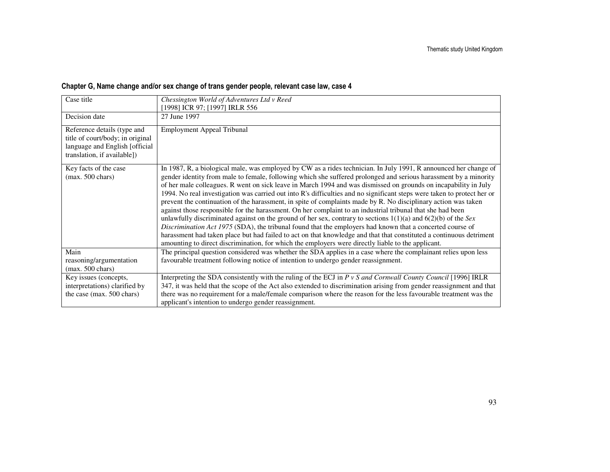| Case title                                                                                                                       | Chessington World of Adventures Ltd v Reed<br>[1998] ICR 97; [1997] IRLR 556                                                                                                                                                                                                                                                                                                                                                                                                                                                                                                                                                                                                                                                                                                                                                                                                                                                                                                                                                                                                                                                                                                       |
|----------------------------------------------------------------------------------------------------------------------------------|------------------------------------------------------------------------------------------------------------------------------------------------------------------------------------------------------------------------------------------------------------------------------------------------------------------------------------------------------------------------------------------------------------------------------------------------------------------------------------------------------------------------------------------------------------------------------------------------------------------------------------------------------------------------------------------------------------------------------------------------------------------------------------------------------------------------------------------------------------------------------------------------------------------------------------------------------------------------------------------------------------------------------------------------------------------------------------------------------------------------------------------------------------------------------------|
| Decision date                                                                                                                    | 27 June 1997                                                                                                                                                                                                                                                                                                                                                                                                                                                                                                                                                                                                                                                                                                                                                                                                                                                                                                                                                                                                                                                                                                                                                                       |
| Reference details (type and<br>title of court/body; in original<br>language and English [official<br>translation, if available]) | <b>Employment Appeal Tribunal</b>                                                                                                                                                                                                                                                                                                                                                                                                                                                                                                                                                                                                                                                                                                                                                                                                                                                                                                                                                                                                                                                                                                                                                  |
| Key facts of the case<br>$(max. 500 \text{ chars})$                                                                              | In 1987, R, a biological male, was employed by CW as a rides technician. In July 1991, R announced her change of<br>gender identity from male to female, following which she suffered prolonged and serious harassment by a minority<br>of her male colleagues. R went on sick leave in March 1994 and was dismissed on grounds on incapability in July<br>1994. No real investigation was carried out into R's difficulties and no significant steps were taken to protect her or<br>prevent the continuation of the harassment, in spite of complaints made by R. No disciplinary action was taken<br>against those responsible for the harassment. On her complaint to an industrial tribunal that she had been<br>unlawfully discriminated against on the ground of her sex, contrary to sections $1(1)(a)$ and $6(2)(b)$ of the Sex<br>Discrimination Act 1975 (SDA), the tribunal found that the employers had known that a concerted course of<br>harassment had taken place but had failed to act on that knowledge and that that constituted a continuous detriment<br>amounting to direct discrimination, for which the employers were directly liable to the applicant. |
| Main                                                                                                                             | The principal question considered was whether the SDA applies in a case where the complainant relies upon less                                                                                                                                                                                                                                                                                                                                                                                                                                                                                                                                                                                                                                                                                                                                                                                                                                                                                                                                                                                                                                                                     |
| reasoning/argumentation<br>$(max. 500 \text{ chars})$                                                                            | favourable treatment following notice of intention to undergo gender reassignment.                                                                                                                                                                                                                                                                                                                                                                                                                                                                                                                                                                                                                                                                                                                                                                                                                                                                                                                                                                                                                                                                                                 |
| Key issues (concepts,                                                                                                            | Interpreting the SDA consistently with the ruling of the ECJ in $P \nu S$ and Cornwall County Council [1996] IRLR                                                                                                                                                                                                                                                                                                                                                                                                                                                                                                                                                                                                                                                                                                                                                                                                                                                                                                                                                                                                                                                                  |
| interpretations) clarified by<br>the case (max. 500 chars)                                                                       | 347, it was held that the scope of the Act also extended to discrimination arising from gender reassignment and that<br>there was no requirement for a male/female comparison where the reason for the less favourable treatment was the<br>applicant's intention to undergo gender reassignment.                                                                                                                                                                                                                                                                                                                                                                                                                                                                                                                                                                                                                                                                                                                                                                                                                                                                                  |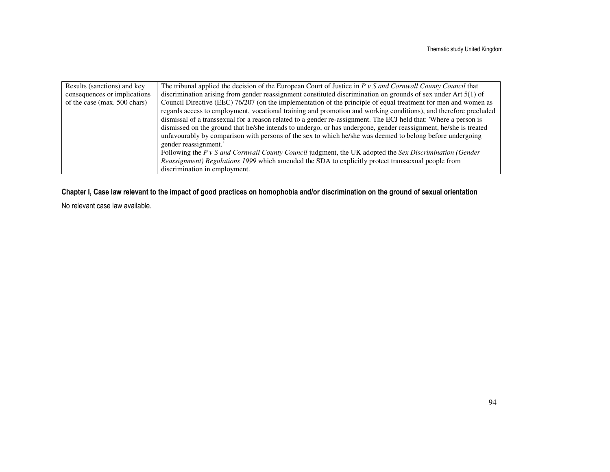| Results (sanctions) and key  | The tribunal applied the decision of the European Court of Justice in $P \nu S$ and Cornwall County Council that |
|------------------------------|------------------------------------------------------------------------------------------------------------------|
| consequences or implications | discrimination arising from gender reassignment constituted discrimination on grounds of sex under Art $5(1)$ of |
| of the case (max. 500 chars) | Council Directive (EEC) 76/207 (on the implementation of the principle of equal treatment for men and women as   |
|                              | regards access to employment, vocational training and promotion and working conditions), and therefore precluded |
|                              | dismissal of a transsexual for a reason related to a gender re-assignment. The ECJ held that: 'Where a person is |
|                              | dismissed on the ground that he/she intends to undergo, or has undergone, gender reassignment, he/she is treated |
|                              | unfavourably by comparison with persons of the sex to which he/she was deemed to belong before undergoing        |
|                              | gender reassignment.'                                                                                            |
|                              | Following the $P v S$ and Cornwall County Council judgment, the UK adopted the Sex Discrimination (Gender        |
|                              | Reassignment) Regulations 1999 which amended the SDA to explicitly protect transsexual people from               |
|                              | discrimination in employment.                                                                                    |

Chapter I, Case law relevant to the impact of good practices on homophobia and/or discrimination on the ground of sexual orientation

No relevant case law available.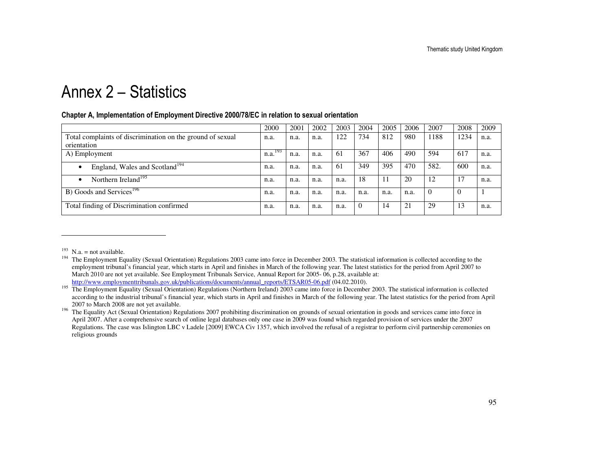# Annex 2 – Statistics

# Chapter A, Implementation of Employment Directive 2000/78/EC in relation to sexual orientation

|                                                            | 2000         | 2001 | 2002 | 2003 | 2004     | 2005 | 2006 | 2007     | 2008     | 2009 |
|------------------------------------------------------------|--------------|------|------|------|----------|------|------|----------|----------|------|
| Total complaints of discrimination on the ground of sexual | n.a.         | n.a. | n.a. | 122  | 734      | 812  | 980  | 1188     | 1234     | n.a. |
| orientation                                                |              |      |      |      |          |      |      |          |          |      |
| A) Employment                                              | -193<br>n.a. | n.a. | n.a. | -61  | 367      | 406  | 490  | 594      | 617      | n.a. |
| England, Wales and Scotland <sup>194</sup><br>$\bullet$    | n.a.         | n.a. | n.a. | -61  | 349      | 395  | 470  | 582.     | 600      | n.a. |
| Northern Ireland <sup>195</sup><br>$\bullet$               | n.a.         | n.a. | n.a. | n.a. | 18       | 11   | 20   | 12       | 17       | n.a. |
| B) Goods and Services <sup>196</sup>                       | n.a.         | n.a. | n.a. | n.a. | n.a.     | n.a. | n.a. | $\Omega$ | $\Omega$ |      |
| Total finding of Discrimination confirmed                  | n.a.         | n.a. | n.a. | n.a. | $\theta$ | 14   | -21  | 29       | 13       | n.a. |

 $193$  N.a. = not available.<br> $194$  The Employment Eq.

<sup>&</sup>lt;sup>194</sup> The Employment Equality (Sexual Orientation) Regulations 2003 came into force in December 2003. The statistical information is collected according to the employment tribunal's financial year, which starts in April and finishes in March of the following year. The latest statistics for the period from April 2007 to March 2010 are not yet available. See Employment Tribunals Service, Annual Report for 2005- 06, p.28, available at: http://www.employmenttribunals.gov.uk/publications/documents/annual\_reports/ETSAR05-06.pdf (04.02.2010).

<sup>&</sup>lt;sup>195</sup> The Employment Equality (Sexual Orientation) Regulations (Northern Ireland) 2003 came into force in December 2003. The statistical information is collected according to the industrial tribunal's financial year, which starts in April and finishes in March of the following year. The latest statistics for the period from April 2007 to March 2008 are not yet available.

<sup>&</sup>lt;sup>196</sup> The Equality Act (Sexual Orientation) Regulations 2007 prohibiting discrimination on grounds of sexual orientation in goods and services came into force in April 2007. After a comprehensive search of online legal databases only one case in 2009 was found which regarded provision of services under the 2007 Regulations. The case was Islington LBC v Ladele [2009] EWCA Civ 1357, which involved the refusal of a registrar to perform civil partnership ceremonies on religious grounds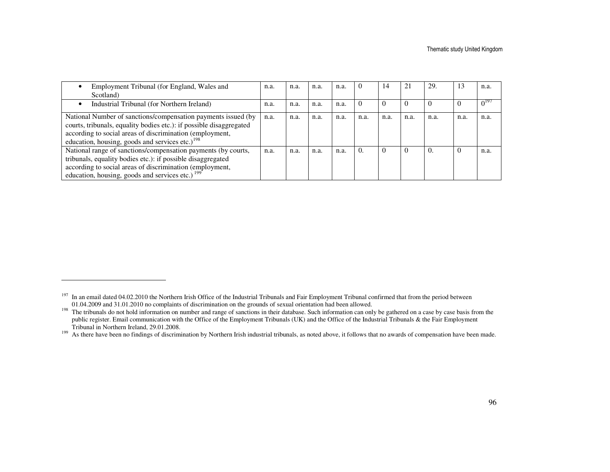| Employment Tribunal (for England, Wales and                         | n.a. | n.a. | n.a. | n.a. |      | 14   |      | 29.  | 13       | n.a.     |
|---------------------------------------------------------------------|------|------|------|------|------|------|------|------|----------|----------|
| Scotland)                                                           |      |      |      |      |      |      |      |      |          |          |
| Industrial Tribunal (for Northern Ireland)                          | n.a. | n.a. | n.a. | n.a. |      |      |      |      | $\Omega$ | $0^{19}$ |
| National Number of sanctions/compensation payments issued (by       | n.a. | n.a. | n.a. | n.a. | n.a. | n.a. | n.a. | n.a. | n.a.     | n.a.     |
| courts, tribunals, equality bodies etc.): if possible disaggregated |      |      |      |      |      |      |      |      |          |          |
| according to social areas of discrimination (employment,            |      |      |      |      |      |      |      |      |          |          |
| education, housing, goods and services etc.) <sup>198</sup>         |      |      |      |      |      |      |      |      |          |          |
| National range of sanctions/compensation payments (by courts,       | n.a. | n.a. | n.a. | n.a. |      |      |      |      | $\Omega$ | n.a.     |
| tribunals, equality bodies etc.): if possible disaggregated         |      |      |      |      |      |      |      |      |          |          |
| according to social areas of discrimination (employment,            |      |      |      |      |      |      |      |      |          |          |
| education, housing, goods and services etc.) <sup>199</sup>         |      |      |      |      |      |      |      |      |          |          |

<sup>&</sup>lt;sup>197</sup> In an email dated 04.02.2010 the Northern Irish Office of the Industrial Tribunals and Fair Employment Tribunal confirmed that from the period between 01.04.2009 and 31.01.2010 no complaints of discrimination on the grounds of sexual orientation had been allowed.

<sup>&</sup>lt;sup>198</sup> The tribunals do not hold information on number and range of sanctions in their database. Such information can only be gathered on a case by case basis from the public register. Email communication with the Office of the Employment Tribunals (UK) and the Office of the Industrial Tribunals & the Fair Employment

Tribunal in Northern Ireland, 29.01.2008.<br><sup>199</sup> As there have been no findings of discrimination by Northern Irish industrial tribunals, as noted above, it follows that no awards of compensation have been made.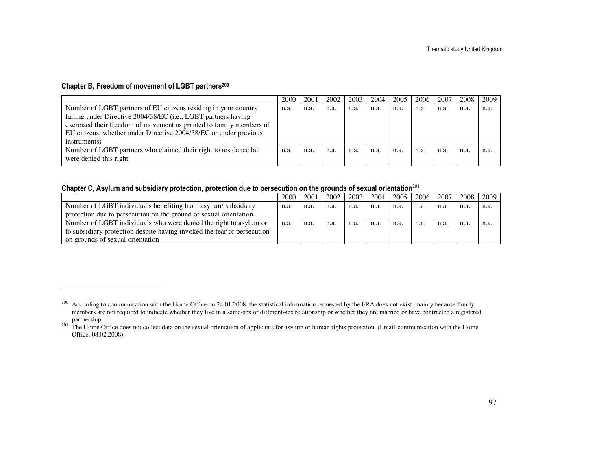# Chapter B, Freedom of movement of LGBT partners<sup>200</sup>

|                                                                                                                                                                                                                                                                                               | 2000 | 2001 | 2002 | 2003 | 2004 | 2005 | 2006 | 2007 | 2008 | 2009 |
|-----------------------------------------------------------------------------------------------------------------------------------------------------------------------------------------------------------------------------------------------------------------------------------------------|------|------|------|------|------|------|------|------|------|------|
| Number of LGBT partners of EU citizens residing in your country<br>falling under Directive 2004/38/EC (i.e., LGBT partners having<br>exercised their freedom of movement as granted to family members of<br>EU citizens, whether under Directive 2004/38/EC or under previous<br>instruments) | n.a. | n.a. | n.a. | n.a. | n.a. | n.a. | n.a. | n.a. | n.a. | n.a. |
| Number of LGBT partners who claimed their right to residence but<br>were denied this right                                                                                                                                                                                                    | n.a. | n.a. | n.a. | n.a. | n.a. | n.a. | n.a. | n.a. | n.a. | n.a. |

# Chapter C, Asylum and subsidiary protection, protection due to persecution on the grounds of sexual orientation<sup>201</sup>

|                                                                         | 2000 | 2001 | 2002 | 2003 | 2004 | 2005 | 2006 | 2007 | 2008 | 2009 |
|-------------------------------------------------------------------------|------|------|------|------|------|------|------|------|------|------|
| Number of LGBT individuals benefiting from asylum/subsidiary            | n.a. | n.a. | n.a. | n.a. | n.a. | n.a. | n.a. | n.a. | n.a. | n.a. |
| protection due to persecution on the ground of sexual orientation.      |      |      |      |      |      |      |      |      |      |      |
| Number of LGBT individuals who were denied the right to asylum or       | n.a. | n.a. | n.a. | n.a. | n.a. | n.a. | n.a. | n.a. | n.a. | n.a. |
| to subsidiary protection despite having invoked the fear of persecution |      |      |      |      |      |      |      |      |      |      |
| on grounds of sexual orientation                                        |      |      |      |      |      |      |      |      |      |      |

<sup>&</sup>lt;sup>200</sup> According to communication with the Home Office on 24.01.2008, the statistical information requested by the FRA does not exist, mainly because family members are not required to indicate whether they live in a same-sex or different-sex relationship or whether they are married or have contracted a registered

partnership<br><sup>201</sup> The Home Office does not collect data on the sexual orientation of applicants for asylum or human rights protection. (Email-communication with the Home Office, 08.02.2008).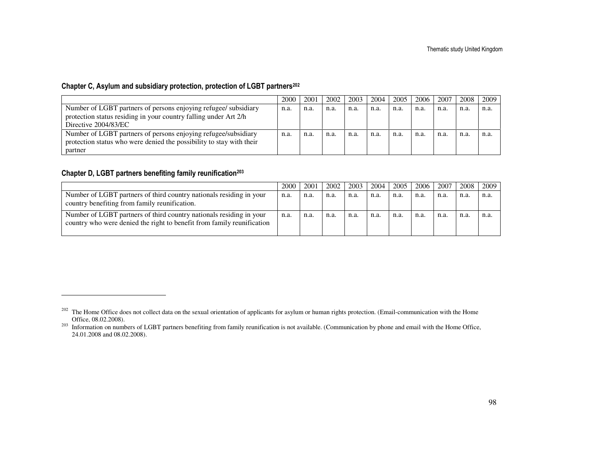# Chapter C, Asylum and subsidiary protection, protection of LGBT partners<sup>202</sup>

|                                                                      | 2000 | 2001 | 2002 | 2003 | 2004 | 2005 | 2006 | 2007 | 2008 | 2009 |
|----------------------------------------------------------------------|------|------|------|------|------|------|------|------|------|------|
| Number of LGBT partners of persons enjoying refugee/ subsidiary      | n.a. | n.a. | n.a. | n.a. | n.a. | n.a. | n.a. | n.a. | n.a. | n.a. |
| protection status residing in your country falling under Art 2/h     |      |      |      |      |      |      |      |      |      |      |
| Directive 2004/83/EC                                                 |      |      |      |      |      |      |      |      |      |      |
| Number of LGBT partners of persons enjoying refugee/subsidiary       | n.a. | n.a. | n.a. | n.a. | n.a. | n.a. | n.a. | n.a. | n.a. | n.a. |
| protection status who were denied the possibility to stay with their |      |      |      |      |      |      |      |      |      |      |
| partner                                                              |      |      |      |      |      |      |      |      |      |      |

# Chapter D, LGBT partners benefiting family reunification<sup>203</sup>

|                                                                                                                                               | 2000 | 2001 | 2002 | 2003 | 2004 | 2005 | 2006 | 2007 | 2008 | 2009 |
|-----------------------------------------------------------------------------------------------------------------------------------------------|------|------|------|------|------|------|------|------|------|------|
| Number of LGBT partners of third country nationals residing in your<br>country benefiting from family reunification.                          | n.a. | n.a. | n.a. | n.a. | n.a. | n.a. | n.a. | n.a. | n.a. | n.a. |
| Number of LGBT partners of third country nationals residing in your<br>country who were denied the right to benefit from family reunification | n.a. | n.a. | n.a. | n.a. | n.a. | n.a. | n.a. | n.a. | n.a  | n.a. |

<sup>&</sup>lt;sup>202</sup> The Home Office does not collect data on the sexual orientation of applicants for asylum or human rights protection. (Email-communication with the Home Office, 08.02.2008).<br><sup>203</sup> Information on numbers of LGBT partne

<sup>24.01.2008</sup> and 08.02.2008).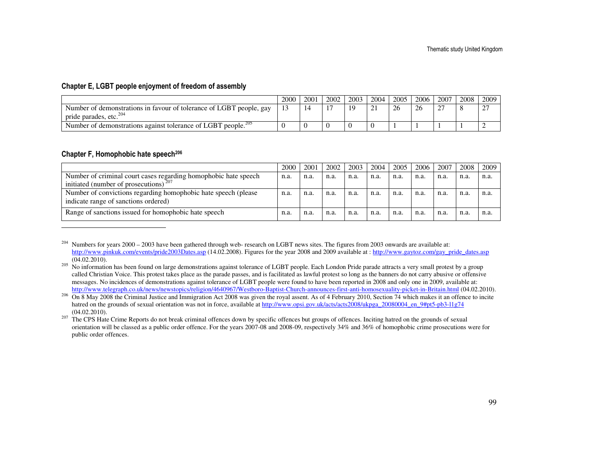#### Chapter E, LGBT people enjoyment of freedom of assembly

|                                                                                                           | 2000 | 2001 | 2002 | 2003 | 2004     | 2005 | 2006 | 2007   | 2008 | 2009   |
|-----------------------------------------------------------------------------------------------------------|------|------|------|------|----------|------|------|--------|------|--------|
| Number of demonstrations in favour of tolerance of LGBT people, gay<br>pride parades, etc. <sup>204</sup> |      |      |      |      | <u>.</u> |      | 26   | $\sim$ |      | $\sim$ |
| Number of demonstrations against tolerance of LGBT people. <sup>205</sup>                                 |      |      |      |      |          |      |      |        |      |        |

#### Chapter F, Homophobic hate speech<sup>206</sup>

|                                                                                                        | 2000 | 2001 | 2002 | 2003. | 2004 | 2005 | 2006 | 2007 | 2008 | 2009 |
|--------------------------------------------------------------------------------------------------------|------|------|------|-------|------|------|------|------|------|------|
| Number of criminal court cases regarding homophobic hate speech                                        | n.a. | n.a. | n.a. | n.a.  | n.a. | n.a. | n.a. | n.a. | n.a. | n.a. |
| initiated (number of prosecutions) $207$                                                               |      |      |      |       |      |      |      |      |      |      |
| Number of convictions regarding homophobic hate speech (please<br>indicate range of sanctions ordered) | n.a. | n.a. | n.a. | n.a.  | n.a. | n.a. | n.a. | n.a. | n.a. | n.a. |
| Range of sanctions issued for homophobic hate speech                                                   | n.a. | n.a. | n.a. | n.a.  | n.a. | n.a. | n.a. | n.a. | n.a. | n.a. |

 $^{204}$  Numbers for years 2000 – 2003 have been gathered through web- research on LGBT news sites. The figures from 2003 onwards are available at: http://www.pinkuk.com/events/pride2003Dates.asp (14.02.2008). Figures for the year 2008 and 2009 available at : http://www.gaytoz.com/gay\_pride\_dates.asp (04.02.2010).

<sup>&</sup>lt;sup>205</sup> No information has been found on large demonstrations against tolerance of LGBT people. Each London Pride parade attracts a very small protest by a group called Christian Voice. This protest takes place as the parade passes, and is facilitated as lawful protest so long as the banners do not carry abusive or offensive messages. No incidences of demonstrations against tolerance of LGBT people were found to have been reported in 2008 and only one in 2009, available at: http://www.telegraph.co.uk/news/newstopics/religion/4640967/Westboro-Baptist-Church-announces-first-anti-homosexuality-picket-in-Britain.html (04.02.2010).

<sup>&</sup>lt;sup>206</sup> On 8 May 2008 the Criminal Justice and Immigration Act 2008 was given the royal assent. As of 4 February 2010, Section 74 which makes it an offence to incite hatred on the grounds of sexual orientation was not in force, available at http://www.opsi.gov.uk/acts/acts2008/ukpga\_20080004\_en\_9#pt5-pb3-l1g74 (04.02.2010).

<sup>&</sup>lt;sup>207</sup> The CPS Hate Crime Reports do not break criminal offences down by specific offences but groups of offences. Inciting hatred on the grounds of sexual orientation will be classed as a public order offence. For the years 2007-08 and 2008-09, respectively 34% and 36% of homophobic crime prosecutions were for public order offences.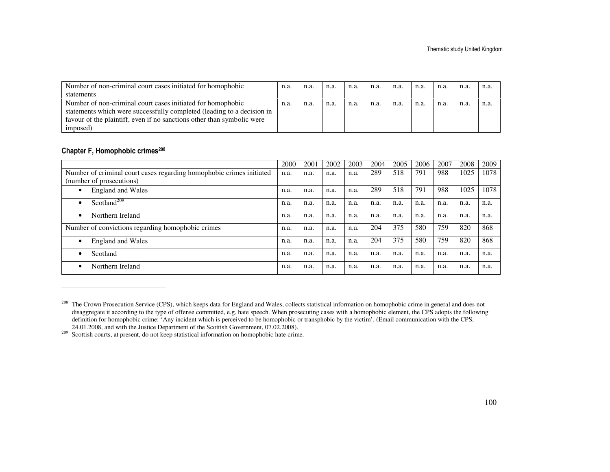| Number of non-criminal court cases initiated for homophobic            | n.a. | n.a. | n.a. | n.a. | n.a. | n.a. | n.a. | n.a. | n.a. | n.a. |
|------------------------------------------------------------------------|------|------|------|------|------|------|------|------|------|------|
| statements                                                             |      |      |      |      |      |      |      |      |      |      |
| Number of non-criminal court cases initiated for homophobic            | n.a. | n.a. | n.a. | n.a. | n.a. | n.a. | n.a. | n.a. | n.a  | n.a. |
| statements which were successfully completed (leading to a decision in |      |      |      |      |      |      |      |      |      |      |
| favour of the plaintiff, even if no sanctions other than symbolic were |      |      |      |      |      |      |      |      |      |      |
| imposed)                                                               |      |      |      |      |      |      |      |      |      |      |

# Chapter F, Homophobic crimes<sup>208</sup>

|                                                                      | 2000 | 2001 | 2002 | 2003 | 2004 | 2005 | 2006 | 2007 | 2008 | 2009 |
|----------------------------------------------------------------------|------|------|------|------|------|------|------|------|------|------|
| Number of criminal court cases regarding homophobic crimes initiated | n.a. | n.a. | n.a. | n.a. | 289  | 518  | 791  | 988  | 1025 | 1078 |
| (number of prosecutions)                                             |      |      |      |      |      |      |      |      |      |      |
| <b>England and Wales</b><br>٠                                        | n.a. | n.a. | n.a. | n.a. | 289  | 518  | 791  | 988  | 1025 | 1078 |
| Scotland <sup>209</sup><br>$\bullet$                                 | n.a. | n.a. | n.a. | n.a. | n.a. | n.a. | n.a. | n.a. | n.a. | n.a. |
| Northern Ireland<br>٠                                                | n.a. | n.a. | n.a. | n.a. | n.a. | n.a. | n.a. | n.a. | n.a. | n.a. |
| Number of convictions regarding homophobic crimes                    | n.a. | n.a. | n.a. | n.a. | 204  | 375  | 580  | 759  | 820  | 868  |
| <b>England and Wales</b>                                             | n.a. | n.a. | n.a. | n.a. | 204  | 375  | 580  | 759  | 820  | 868  |
| Scotland<br>٠                                                        | n.a. | n.a. | n.a. | n.a. | n.a. | n.a. | n.a. | n.a. | n.a. | n.a. |
| Northern Ireland<br>$\bullet$                                        | n.a. | n.a. | n.a. | n.a. | n.a. | n.a. | n.a. | n.a. | n.a. | n.a. |

24.01.2008, and with the Justice Department of the Scottish Government, 07.02.2008).<br><sup>209</sup> Scottish courts, at present, do not keep statistical information on homophobic hate crime.

<sup>&</sup>lt;sup>208</sup> The Crown Prosecution Service (CPS), which keeps data for England and Wales, collects statistical information on homophobic crime in general and does not disaggregate it according to the type of offense committed, e.g. hate speech. When prosecuting cases with a homophobic element, the CPS adopts the following definition for homophobic crime: 'Any incident which is perceived to be homophobic or transphobic by the victim'. (Email communication with the CPS,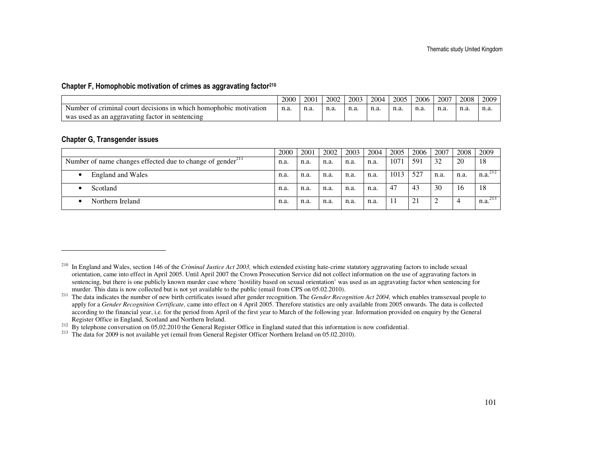#### Chapter F, Homophobic motivation of crimes as aggravating factor $210$

|                                                                            | 2000 | 2001 | 2002 | 2003 | 2004 | 2005 | 2006 | $-2007$ | 2008 | 2009 |
|----------------------------------------------------------------------------|------|------|------|------|------|------|------|---------|------|------|
| criminal court<br>decisions in which homophobic<br>Number of<br>motivation | n.a. | n.a. | n.a. | n.a. | n.a. | n.a. | n.a. | n.a.    | n.a. | n.a. |
| was used as an aggravating factor in sentencing                            |      |      |      |      |      |      |      |         |      |      |

#### Chapter G, Transgender issues

|                                                                        | 2000 | 2001 | 2002 | 2003 | 2004 | 2005 | 2006 | 2007 | 2008 | 2009                |
|------------------------------------------------------------------------|------|------|------|------|------|------|------|------|------|---------------------|
| Number of name changes effected due to change of gender <sup>211</sup> | n.a. | n.a. | n.a. | n.a. | n.a. | 1071 | 591  | 32   | 20   | 18                  |
| <b>England and Wales</b>                                               | n.a. | n.a. | n.a. | n.a. | n.a. | 1013 | 527  | n.a. | n.a. | n.a. <sup>212</sup> |
| Scotland                                                               | n.a. | n.a. | n.a. | n.a. | n.a. | 47   | 43   | 30   | 16   | 18                  |
| Northern Ireland                                                       | n.a. | n.a. | n.a. | n.a. | n.a. |      | 21   |      |      | n.a. <sup>213</sup> |

<sup>210</sup> In England and Wales, section 146 of the *Criminal Justice Act 2003,* which extended existing hate-crime statutory aggravating factors to include sexual orientation, came into effect in April 2005. Until April 2007 the Crown Prosecution Service did not collect information on the use of aggravating factors in sentencing, but there is one publicly known murder case where 'hostility based on sexual orientation' was used as an aggravating factor when sentencing for murder. This data is now collected but is not yet available to the public (email from CPS on 05.02.2010).

<sup>&</sup>lt;sup>211</sup> The data indicates the number of new birth certificates issued after gender recognition. The *Gender Recognition Act 2004*, which enables transsexual people to apply for a *Gender Recognition Certificate,* came into effect on 4 April 2005. Therefore statistics are only available from 2005 onwards. The data is collected according to the financial year, i.e. for the period from April of the first year to March of the following year. Information provided on enquiry by the General Register Office in England, Scotland and Northern Ireland.

 $^{212}$  By telephone conversation on 05,02.2010 the General Register Office in England stated that this information is now confidential.

<sup>&</sup>lt;sup>213</sup> The data for 2009 is not available yet (email from General Register Officer Northern Ireland on 05.02.2010).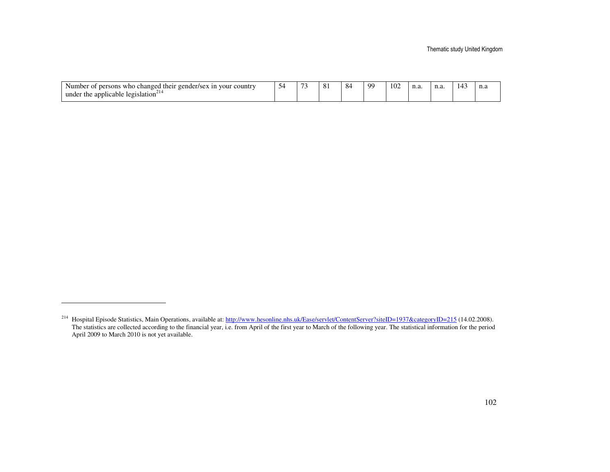| who changed their<br>eender/sex in<br>Number<br>vour<br>of persons:<br>country<br>under<br>applicable legislation<br>the | - ' |  | $\Omega$<br>$^{\circ}$ | $Q$ $\Lambda$<br>o٩ | QQ | 102<br>102 | n.a. | n.a. | $\sim$ | n.a |
|--------------------------------------------------------------------------------------------------------------------------|-----|--|------------------------|---------------------|----|------------|------|------|--------|-----|
|--------------------------------------------------------------------------------------------------------------------------|-----|--|------------------------|---------------------|----|------------|------|------|--------|-----|

<sup>&</sup>lt;sup>214</sup> Hospital Episode Statistics, Main Operations, available at: http://www.hesonline.nhs.uk/Ease/servlet/ContentServer?siteID=1937&categoryID=215 (14.02.2008).<br>The statistics are collected according to the financial year April 2009 to March 2010 is not yet available.